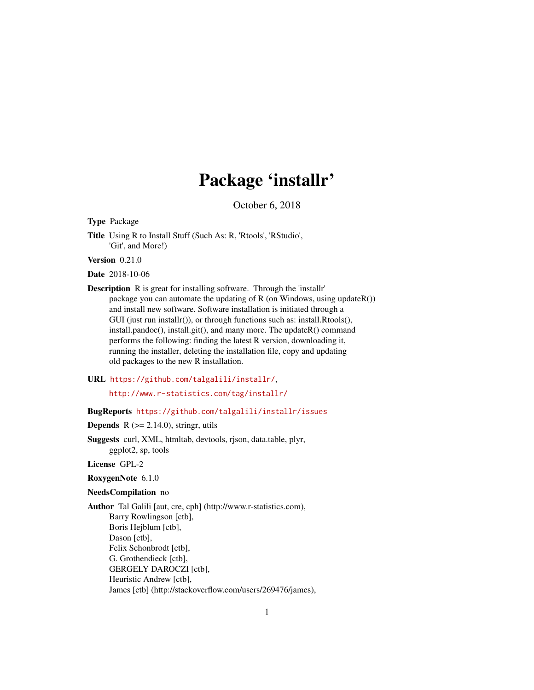# Package 'installr'

October 6, 2018

<span id="page-0-0"></span>Type Package

Title Using R to Install Stuff (Such As: R, 'Rtools', 'RStudio', 'Git', and More!)

Version 0.21.0

Date 2018-10-06

Description R is great for installing software. Through the 'installr' package you can automate the updating of R (on Windows, using updateR()) and install new software. Software installation is initiated through a GUI (just run installr()), or through functions such as: install.Rtools(), install.pandoc(), install.git(), and many more. The updateR() command performs the following: finding the latest R version, downloading it, running the installer, deleting the installation file, copy and updating old packages to the new R installation.

URL <https://github.com/talgalili/installr/>,

<http://www.r-statistics.com/tag/installr/>

# BugReports <https://github.com/talgalili/installr/issues>

**Depends**  $R$  ( $>= 2.14.0$ ), stringr, utils

Suggests curl, XML, htmltab, devtools, rjson, data.table, plyr, ggplot2, sp, tools

License GPL-2

#### RoxygenNote 6.1.0

#### NeedsCompilation no

Author Tal Galili [aut, cre, cph] (http://www.r-statistics.com), Barry Rowlingson [ctb], Boris Hejblum [ctb], Dason [ctb], Felix Schonbrodt [ctb], G. Grothendieck [ctb], GERGELY DAROCZI [ctb], Heuristic Andrew [ctb], James [ctb] (http://stackoverflow.com/users/269476/james),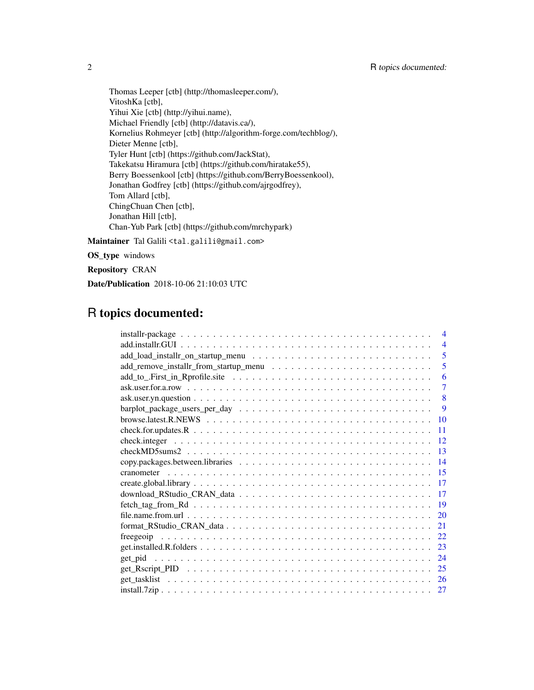Thomas Leeper [ctb] (http://thomasleeper.com/), VitoshKa [ctb], Yihui Xie [ctb] (http://yihui.name), Michael Friendly [ctb] (http://datavis.ca/), Kornelius Rohmeyer [ctb] (http://algorithm-forge.com/techblog/), Dieter Menne [ctb], Tyler Hunt [ctb] (https://github.com/JackStat), Takekatsu Hiramura [ctb] (https://github.com/hiratake55), Berry Boessenkool [ctb] (https://github.com/BerryBoessenkool), Jonathan Godfrey [ctb] (https://github.com/ajrgodfrey), Tom Allard [ctb], ChingChuan Chen [ctb], Jonathan Hill [ctb], Chan-Yub Park [ctb] (https://github.com/mrchypark) Maintainer Tal Galili <tal.galili@gmail.com>

OS\_type windows

Repository CRAN

Date/Publication 2018-10-06 21:10:03 UTC

# R topics documented:

| $\overline{\mathcal{A}}$                                                                                                                                    |
|-------------------------------------------------------------------------------------------------------------------------------------------------------------|
| $\overline{4}$                                                                                                                                              |
| 5                                                                                                                                                           |
| 5                                                                                                                                                           |
| 6                                                                                                                                                           |
| $\overline{7}$<br>$ask. user. for a row \dots \dots \dots \dots \dots \dots \dots \dots \dots \dots \dots \dots \dots \dots \dots \dots \dots \dots$        |
| 8                                                                                                                                                           |
| 9                                                                                                                                                           |
| browse.latest.R.NEWS $\ldots \ldots \ldots \ldots \ldots \ldots \ldots \ldots \ldots \ldots \ldots \ldots \ldots$<br>10                                     |
| $check.$ for updates. R $\ldots$ $\ldots$ $\ldots$ $\ldots$ $\ldots$ $\ldots$ $\ldots$ $\ldots$ $\ldots$ $\ldots$ $\ldots$ $\ldots$ $\ldots$ $\ldots$<br>11 |
| 12                                                                                                                                                          |
| 13                                                                                                                                                          |
| -14                                                                                                                                                         |
|                                                                                                                                                             |
|                                                                                                                                                             |
|                                                                                                                                                             |
| $\overline{19}$                                                                                                                                             |
| 20                                                                                                                                                          |
| 21                                                                                                                                                          |
| 22                                                                                                                                                          |
|                                                                                                                                                             |
| 24                                                                                                                                                          |
|                                                                                                                                                             |
|                                                                                                                                                             |
|                                                                                                                                                             |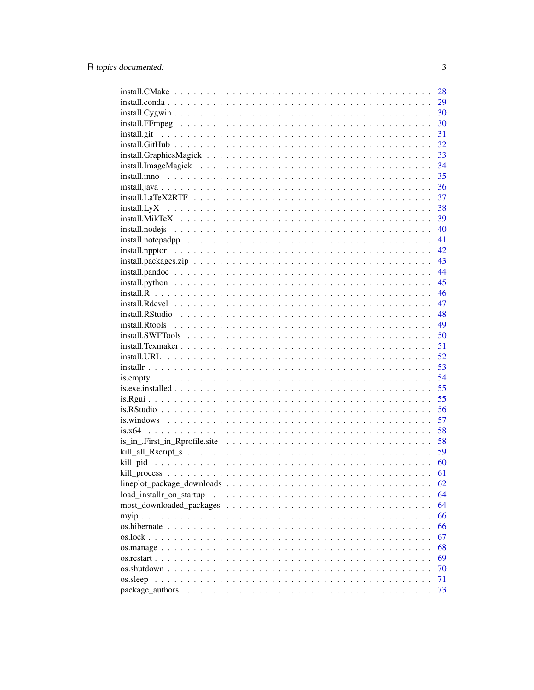|                                                                                                                  | 28 |
|------------------------------------------------------------------------------------------------------------------|----|
|                                                                                                                  | 29 |
|                                                                                                                  | 30 |
| $install.FFmpeg \dots \dots \dots \dots \dots \dots \dots \dots \dots \dots \dots \dots \dots \dots \dots$       | 30 |
| install.git                                                                                                      | 31 |
|                                                                                                                  | 32 |
|                                                                                                                  | 33 |
|                                                                                                                  | 34 |
|                                                                                                                  | 35 |
|                                                                                                                  | 36 |
|                                                                                                                  | 37 |
|                                                                                                                  |    |
|                                                                                                                  |    |
|                                                                                                                  | 40 |
| $install. not epadpp \dots \dots \dots \dots \dots \dots \dots \dots \dots \dots \dots \dots \dots \dots \dots$  | 41 |
|                                                                                                                  | 42 |
|                                                                                                                  | 43 |
| $install.pando c \ldots \ldots \ldots \ldots \ldots \ldots \ldots \ldots \ldots \ldots \ldots \ldots$            | 44 |
| $install.python \dots \dots \dots \dots \dots \dots \dots \dots \dots \dots \dots \dots \dots \dots \dots \dots$ | 45 |
|                                                                                                                  | 46 |
|                                                                                                                  | 47 |
|                                                                                                                  | 48 |
|                                                                                                                  | 49 |
|                                                                                                                  | 50 |
|                                                                                                                  | 51 |
|                                                                                                                  | 52 |
|                                                                                                                  | 53 |
|                                                                                                                  | 54 |
|                                                                                                                  | 55 |
|                                                                                                                  | 55 |
|                                                                                                                  | 56 |
|                                                                                                                  | 57 |
|                                                                                                                  | 58 |
|                                                                                                                  | 58 |
|                                                                                                                  | 59 |
|                                                                                                                  | 60 |
|                                                                                                                  | 61 |
|                                                                                                                  | 62 |
| load_installr_on_startup                                                                                         | 64 |
|                                                                                                                  | 64 |
|                                                                                                                  | 66 |
|                                                                                                                  | 66 |
|                                                                                                                  | 67 |
|                                                                                                                  | 68 |
|                                                                                                                  | 69 |
|                                                                                                                  | 70 |
| os.sleep                                                                                                         | 71 |
| package_authors                                                                                                  | 73 |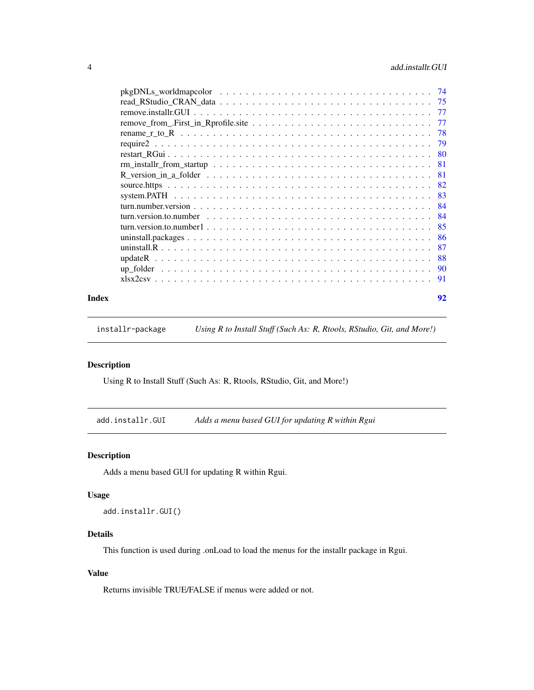# <span id="page-3-0"></span>4 add.installr.GUI

|       | $pkgDNLs_wordmap color \dots \dots \dots \dots \dots \dots \dots \dots \dots \dots \dots \dots \dots \dots \dots$ |    |
|-------|-------------------------------------------------------------------------------------------------------------------|----|
|       |                                                                                                                   |    |
|       |                                                                                                                   |    |
|       |                                                                                                                   |    |
|       |                                                                                                                   |    |
|       |                                                                                                                   |    |
|       |                                                                                                                   |    |
|       |                                                                                                                   |    |
|       |                                                                                                                   |    |
|       |                                                                                                                   |    |
|       |                                                                                                                   |    |
|       |                                                                                                                   |    |
|       |                                                                                                                   |    |
|       |                                                                                                                   |    |
|       |                                                                                                                   |    |
|       |                                                                                                                   |    |
|       |                                                                                                                   |    |
|       |                                                                                                                   |    |
|       |                                                                                                                   |    |
|       |                                                                                                                   |    |
| Index |                                                                                                                   | 92 |

installr-package *Using R to Install Stuff (Such As: R, Rtools, RStudio, Git, and More!)*

# Description

Using R to Install Stuff (Such As: R, Rtools, RStudio, Git, and More!)

add.installr.GUI *Adds a menu based GUI for updating R within Rgui*

# Description

Adds a menu based GUI for updating R within Rgui.

# Usage

add.installr.GUI()

# Details

This function is used during .onLoad to load the menus for the installr package in Rgui.

# Value

Returns invisible TRUE/FALSE if menus were added or not.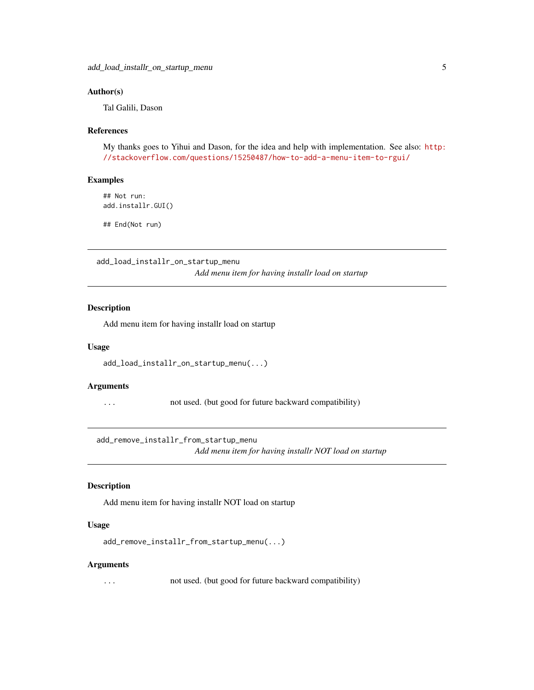# <span id="page-4-0"></span>Author(s)

Tal Galili, Dason

#### References

My thanks goes to Yihui and Dason, for the idea and help with implementation. See also: [http:](http://stackoverflow.com/questions/15250487/how-to-add-a-menu-item-to-rgui/) [//stackoverflow.com/questions/15250487/how-to-add-a-menu-item-to-rgui/](http://stackoverflow.com/questions/15250487/how-to-add-a-menu-item-to-rgui/)

#### Examples

```
## Not run:
add.installr.GUI()
```
## End(Not run)

add\_load\_installr\_on\_startup\_menu

*Add menu item for having installr load on startup*

# Description

Add menu item for having installr load on startup

#### Usage

```
add_load_installr_on_startup_menu(...)
```
#### Arguments

... not used. (but good for future backward compatibility)

add\_remove\_installr\_from\_startup\_menu

*Add menu item for having installr NOT load on startup*

# Description

Add menu item for having installr NOT load on startup

#### Usage

```
add_remove_installr_from_startup_menu(...)
```
#### Arguments

... not used. (but good for future backward compatibility)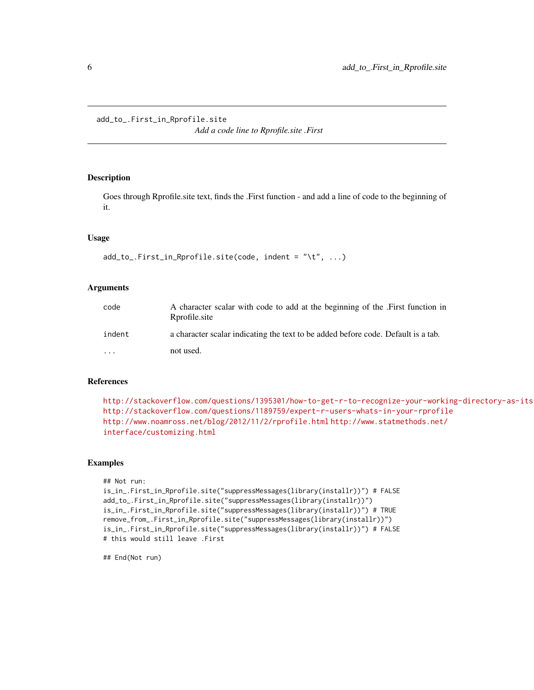<span id="page-5-0"></span>add\_to\_.First\_in\_Rprofile.site

*Add a code line to Rprofile.site .First*

# Description

Goes through Rprofile.site text, finds the .First function - and add a line of code to the beginning of it.

# Usage

```
add_to_.First_in_Rprofile.site(code, indent = "\t", ...)
```
# Arguments

| code     | A character scalar with code to add at the beginning of the First function in<br>Rprofile site |
|----------|------------------------------------------------------------------------------------------------|
| indent   | a character scalar indicating the text to be added before code. Default is a tab.              |
| $\cdots$ | not used.                                                                                      |

#### References

```
http://stackoverflow.com/questions/1395301/how-to-get-r-to-recognize-your-working-directory-as-its-working-directory
http://stackoverflow.com/questions/1189759/expert-r-users-whats-in-your-rprofile
http://www.noamross.net/blog/2012/11/2/rprofile.html http://www.statmethods.net/
interface/customizing.html
```
# Examples

```
## Not run:
is_in_.First_in_Rprofile.site("suppressMessages(library(installr))") # FALSE
add_to_.First_in_Rprofile.site("suppressMessages(library(installr))")
is_in_.First_in_Rprofile.site("suppressMessages(library(installr))") # TRUE
remove_from_.First_in_Rprofile.site("suppressMessages(library(installr))")
is_in_.First_in_Rprofile.site("suppressMessages(library(installr))") # FALSE
# this would still leave .First
```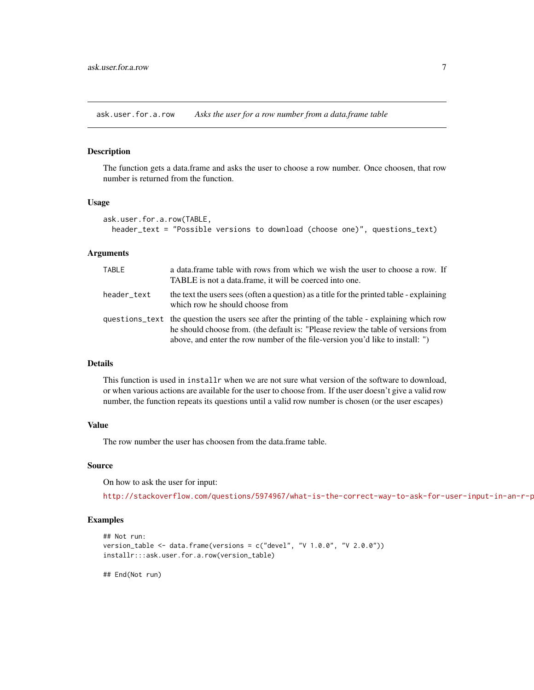<span id="page-6-0"></span>ask.user.for.a.row *Asks the user for a row number from a data.frame table*

# Description

The function gets a data.frame and asks the user to choose a row number. Once choosen, that row number is returned from the function.

#### Usage

```
ask.user.for.a.row(TABLE,
  header_text = "Possible versions to download (choose one)", questions_text)
```
# Arguments

| TABLE       | a data frame table with rows from which we wish the user to choose a row. If<br>TABLE is not a data.frame, it will be coerced into one.                                                                                                                                |
|-------------|------------------------------------------------------------------------------------------------------------------------------------------------------------------------------------------------------------------------------------------------------------------------|
| header text | the text the users sees (often a question) as a title for the printed table - explaining<br>which row he should choose from                                                                                                                                            |
|             | questions_text the question the users see after the printing of the table - explaining which row<br>he should choose from. (the default is: "Please review the table of versions from<br>above, and enter the row number of the file-version you'd like to install: ") |

# Details

This function is used in installr when we are not sure what version of the software to download, or when various actions are available for the user to choose from. If the user doesn't give a valid row number, the function repeats its questions until a valid row number is chosen (or the user escapes)

#### Value

The row number the user has choosen from the data.frame table.

# Source

On how to ask the user for input:

http://stackoverflow.com/questions/5974967/what-is-the-correct-way-to-ask-for-user-input-in-an-r-p

#### Examples

```
## Not run:
version_table <- data.frame(versions = c("devel", "V 1.0.0", "V 2.0.0"))
installr:::ask.user.for.a.row(version_table)
```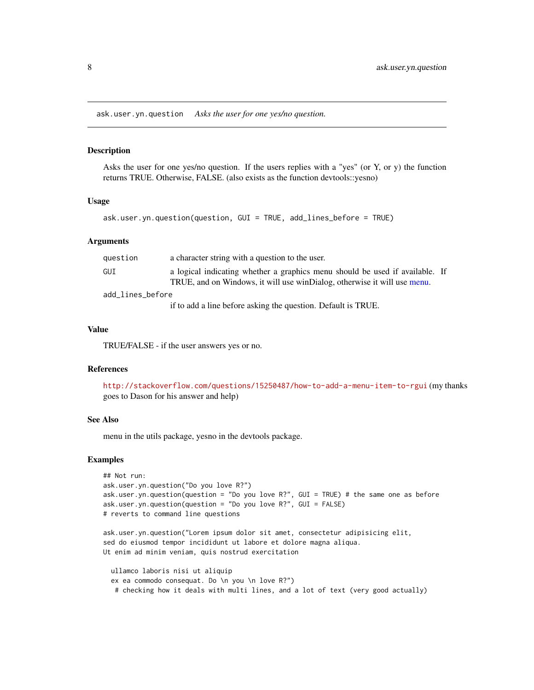<span id="page-7-0"></span>ask.user.yn.question *Asks the user for one yes/no question.*

#### Description

Asks the user for one yes/no question. If the users replies with a "yes" (or  $Y$ , or  $y$ ) the function returns TRUE. Otherwise, FALSE. (also exists as the function devtools::yesno)

#### Usage

```
ask.user.yn.question(question, GUI = TRUE, add_lines_before = TRUE)
```
#### Arguments

| question         | a character string with a question to the user.                                                                                                          |  |
|------------------|----------------------------------------------------------------------------------------------------------------------------------------------------------|--|
| GUI              | a logical indicating whether a graphics menu should be used if available. If<br>TRUE, and on Windows, it will use winDialog, otherwise it will use menu. |  |
| add lines before |                                                                                                                                                          |  |
|                  | if to add a line before asking the question. Default is TRUE.                                                                                            |  |

# Value

TRUE/FALSE - if the user answers yes or no.

#### References

<http://stackoverflow.com/questions/15250487/how-to-add-a-menu-item-to-rgui> (my thanks goes to Dason for his answer and help)

#### See Also

menu in the utils package, yesno in the devtools package.

#### Examples

```
## Not run:
ask.user.yn.question("Do you love R?")
ask.user.yn.question(question = "Do you love R?", GUI = TRUE) # the same one as before
ask.user.yn.question(question = "Do you love R?", GUI = FALSE)
# reverts to command line questions
```
ask.user.yn.question("Lorem ipsum dolor sit amet, consectetur adipisicing elit, sed do eiusmod tempor incididunt ut labore et dolore magna aliqua. Ut enim ad minim veniam, quis nostrud exercitation

ullamco laboris nisi ut aliquip ex ea commodo consequat. Do \n you \n love R?") # checking how it deals with multi lines, and a lot of text (very good actually)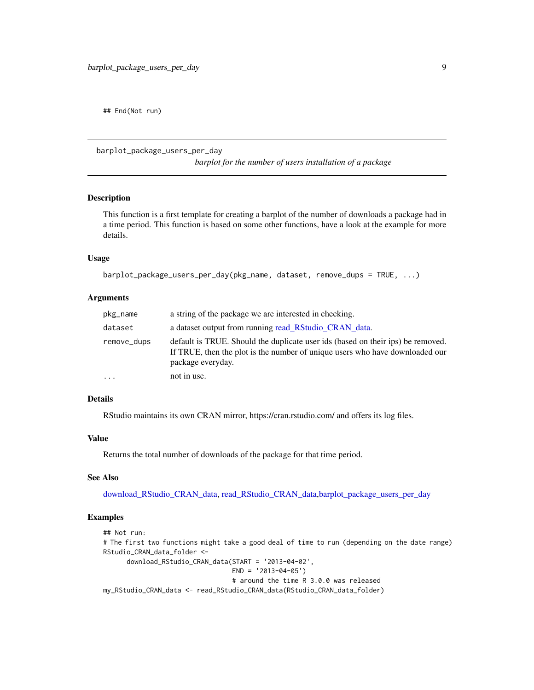<span id="page-8-0"></span>## End(Not run)

<span id="page-8-1"></span>barplot\_package\_users\_per\_day

*barplot for the number of users installation of a package*

# Description

This function is a first template for creating a barplot of the number of downloads a package had in a time period. This function is based on some other functions, have a look at the example for more details.

# Usage

```
barplot_package_users_per_day(pkg_name, dataset, remove_dups = TRUE, ...)
```
#### Arguments

| pkg_name    | a string of the package we are interested in checking.                                                                                                                               |
|-------------|--------------------------------------------------------------------------------------------------------------------------------------------------------------------------------------|
| dataset     | a dataset output from running read RStudio CRAN data.                                                                                                                                |
| remove_dups | default is TRUE. Should the duplicate user ids (based on their ips) be removed.<br>If TRUE, then the plot is the number of unique users who have downloaded our<br>package everyday. |
| $\ddots$    | not in use.                                                                                                                                                                          |

# Details

RStudio maintains its own CRAN mirror, https://cran.rstudio.com/ and offers its log files.

#### Value

Returns the total number of downloads of the package for that time period.

#### See Also

[download\\_RStudio\\_CRAN\\_data,](#page-16-1) [read\\_RStudio\\_CRAN\\_data](#page-74-1)[,barplot\\_package\\_users\\_per\\_day](#page-8-1)

```
## Not run:
# The first two functions might take a good deal of time to run (depending on the date range)
RStudio_CRAN_data_folder <-
     download_RStudio_CRAN_data(START = '2013-04-02',
                                 END = '2013-04-05')# around the time R 3.0.0 was released
my_RStudio_CRAN_data <- read_RStudio_CRAN_data(RStudio_CRAN_data_folder)
```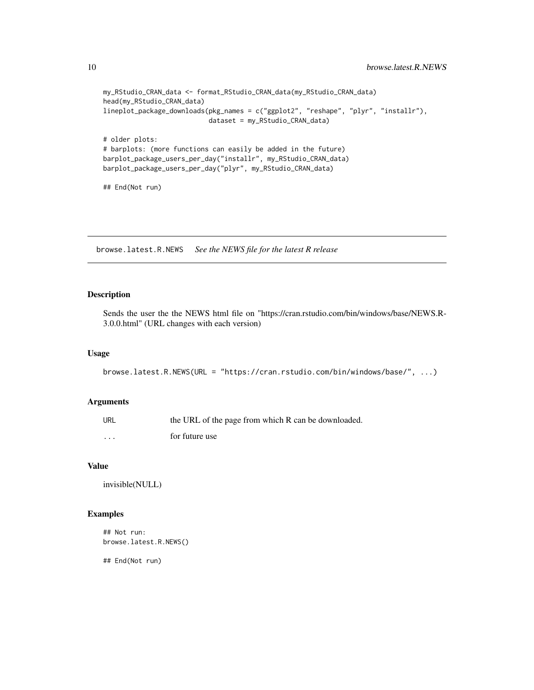```
my_RStudio_CRAN_data <- format_RStudio_CRAN_data(my_RStudio_CRAN_data)
head(my_RStudio_CRAN_data)
lineplot_package_downloads(pkg_names = c("ggplot2", "reshape", "plyr", "installr"),
                           dataset = my_RStudio_CRAN_data)
# older plots:
# barplots: (more functions can easily be added in the future)
barplot_package_users_per_day("installr", my_RStudio_CRAN_data)
barplot_package_users_per_day("plyr", my_RStudio_CRAN_data)
## End(Not run)
```
browse.latest.R.NEWS *See the NEWS file for the latest R release*

# Description

Sends the user the the NEWS html file on "https://cran.rstudio.com/bin/windows/base/NEWS.R-3.0.0.html" (URL changes with each version)

#### Usage

browse.latest.R.NEWS(URL = "https://cran.rstudio.com/bin/windows/base/", ...)

# Arguments

| URL | the URL of the page from which R can be downloaded. |
|-----|-----------------------------------------------------|
| .   | for future use                                      |

# Value

invisible(NULL)

# Examples

## Not run: browse.latest.R.NEWS()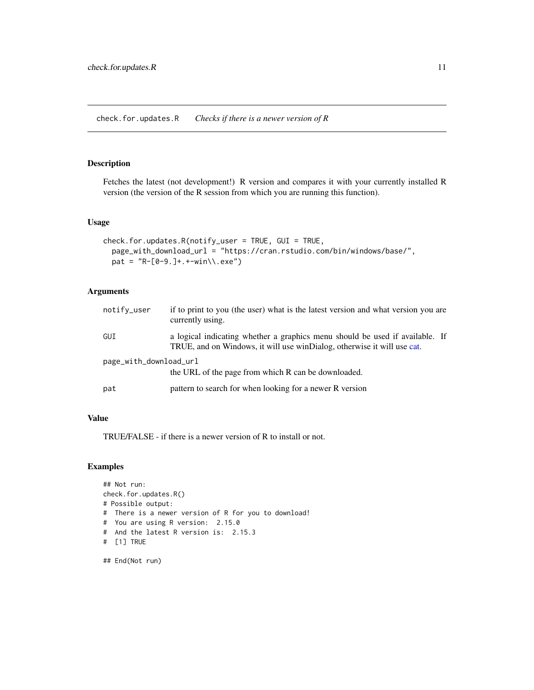<span id="page-10-0"></span>Fetches the latest (not development!) R version and compares it with your currently installed R version (the version of the R session from which you are running this function).

# Usage

```
check.for.updates.R(notify_user = TRUE, GUI = TRUE,
 page_with_download_url = "https://cran.rstudio.com/bin/windows/base/",
 pat = "R-[0-9.] + .+ -win\\ \csc")
```
# Arguments

| notify_user            | if to print to you (the user) what is the latest version and what version you are<br>currently using.                                                   |
|------------------------|---------------------------------------------------------------------------------------------------------------------------------------------------------|
| GUI                    | a logical indicating whether a graphics menu should be used if available. If<br>TRUE, and on Windows, it will use winDialog, otherwise it will use cat. |
| page_with_download_url | the URL of the page from which R can be downloaded.                                                                                                     |
| pat                    | pattern to search for when looking for a newer R version                                                                                                |

# Value

TRUE/FALSE - if there is a newer version of R to install or not.

# Examples

```
## Not run:
check.for.updates.R()
# Possible output:
# There is a newer version of R for you to download!
# You are using R version: 2.15.0
# And the latest R version is: 2.15.3
# [1] TRUE
```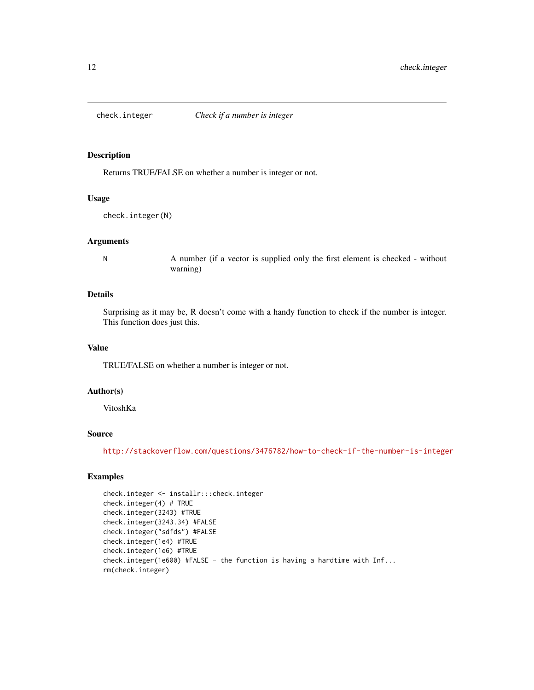<span id="page-11-0"></span>

Returns TRUE/FALSE on whether a number is integer or not.

#### Usage

check.integer(N)

#### Arguments

N A number (if a vector is supplied only the first element is checked - without warning)

# Details

Surprising as it may be, R doesn't come with a handy function to check if the number is integer. This function does just this.

# Value

TRUE/FALSE on whether a number is integer or not.

#### Author(s)

VitoshKa

#### Source

<http://stackoverflow.com/questions/3476782/how-to-check-if-the-number-is-integer>

```
check.integer <- installr:::check.integer
check.integer(4) # TRUE
check.integer(3243) #TRUE
check.integer(3243.34) #FALSE
check.integer("sdfds") #FALSE
check.integer(1e4) #TRUE
check.integer(1e6) #TRUE
check.integer(1e600) #FALSE - the function is having a hardtime with Inf...
rm(check.integer)
```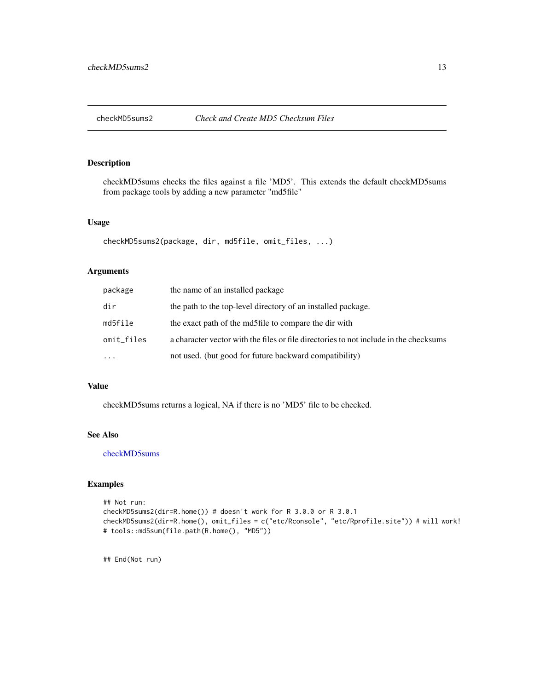<span id="page-12-0"></span>

checkMD5sums checks the files against a file 'MD5'. This extends the default checkMD5sums from package tools by adding a new parameter "md5file"

#### Usage

```
checkMD5sums2(package, dir, md5file, omit_files, ...)
```
#### Arguments

| package    | the name of an installed package                                                      |
|------------|---------------------------------------------------------------------------------------|
| dir        | the path to the top-level directory of an installed package.                          |
| md5file    | the exact path of the md5file to compare the dir with                                 |
| omit_files | a character vector with the files or file directories to not include in the checksums |
| $\ddotsc$  | not used. (but good for future backward compatibility)                                |

#### Value

checkMD5sums returns a logical, NA if there is no 'MD5' file to be checked.

#### See Also

[checkMD5sums](#page-0-0)

# Examples

```
## Not run:
checkMD5sums2(dir=R.home()) # doesn't work for R 3.0.0 or R 3.0.1
checkMD5sums2(dir=R.home(), omit_files = c("etc/Rconsole", "etc/Rprofile.site")) # will work!
# tools::md5sum(file.path(R.home(), "MD5"))
```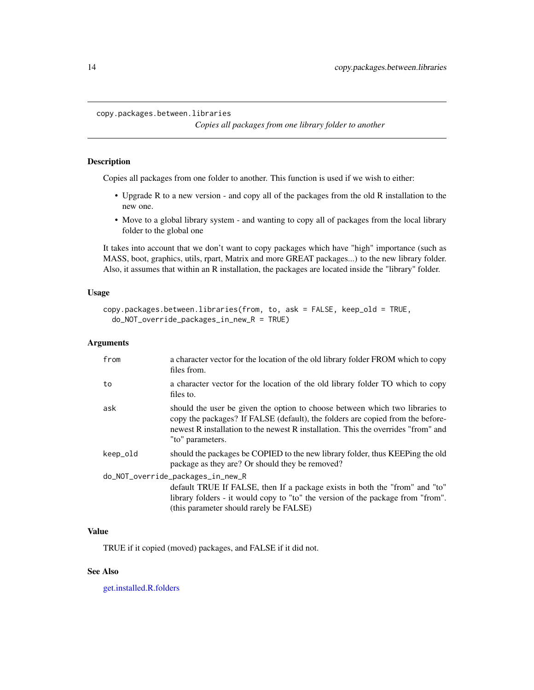*Copies all packages from one library folder to another*

#### <span id="page-13-1"></span><span id="page-13-0"></span>Description

Copies all packages from one folder to another. This function is used if we wish to either:

- Upgrade R to a new version and copy all of the packages from the old R installation to the new one.
- Move to a global library system and wanting to copy all of packages from the local library folder to the global one

It takes into account that we don't want to copy packages which have "high" importance (such as MASS, boot, graphics, utils, rpart, Matrix and more GREAT packages...) to the new library folder. Also, it assumes that within an R installation, the packages are located inside the "library" folder.

# Usage

```
copy.packages.between.libraries(from, to, ask = FALSE, keep_old = TRUE,
  do_NOT_override_packages_in_new_R = TRUE)
```
# Arguments

| from                              | a character vector for the location of the old library folder FROM which to copy<br>files from.                                                                                                                                                                         |  |
|-----------------------------------|-------------------------------------------------------------------------------------------------------------------------------------------------------------------------------------------------------------------------------------------------------------------------|--|
| to                                | a character vector for the location of the old library folder TO which to copy<br>files to.                                                                                                                                                                             |  |
| ask                               | should the user be given the option to choose between which two libraries to<br>copy the packages? If FALSE (default), the folders are copied from the before-<br>newest R installation to the newest R installation. This the overrides "from" and<br>"to" parameters. |  |
| keep_old                          | should the packages be COPIED to the new library folder, thus KEEPing the old<br>package as they are? Or should they be removed?                                                                                                                                        |  |
| do_NOT_override_packages_in_new_R |                                                                                                                                                                                                                                                                         |  |
|                                   | default TRUE If FALSE, then If a package exists in both the "from" and "to"                                                                                                                                                                                             |  |
|                                   | library folders - it would copy to "to" the version of the package from "from".                                                                                                                                                                                         |  |
|                                   | (this parameter should rarely be FALSE)                                                                                                                                                                                                                                 |  |

# Value

TRUE if it copied (moved) packages, and FALSE if it did not.

# See Also

[get.installed.R.folders](#page-22-1)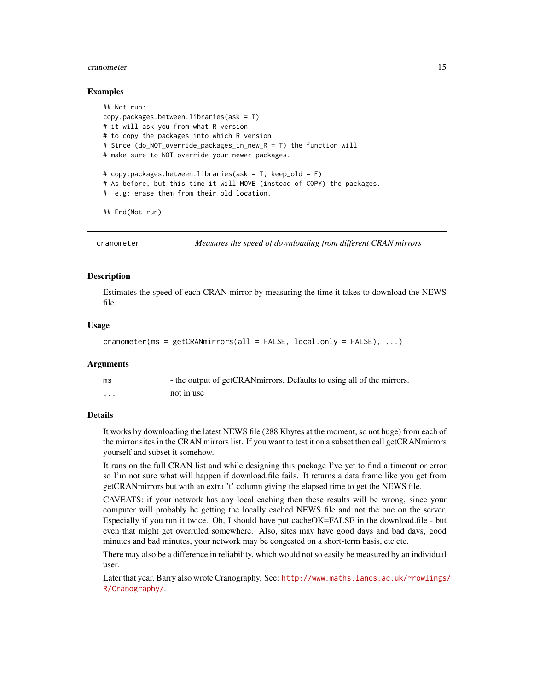#### <span id="page-14-0"></span>cranometer and the set of the set of the set of the set of the set of the set of the set of the set of the set of the set of the set of the set of the set of the set of the set of the set of the set of the set of the set o

#### Examples

```
## Not run:
copy.packages.between.libraries(ask = T)
# it will ask you from what R version
# to copy the packages into which R version.
# Since (do_NOT_override_packages_in_new_R = T) the function will
# make sure to NOT override your newer packages.
# copy.packages.between.libraries(ask = T, keep_old = F)
# As before, but this time it will MOVE (instead of COPY) the packages.
# e.g: erase them from their old location.
```
## End(Not run)

<span id="page-14-1"></span>cranometer *Measures the speed of downloading from different CRAN mirrors*

#### **Description**

Estimates the speed of each CRAN mirror by measuring the time it takes to download the NEWS file.

#### Usage

```
cranometer(ms = getCRANmirrors(all = FALSE, local.only = FALSE), \dots)
```
#### **Arguments**

| ms | - the output of getCRANmirrors. Defaults to using all of the mirrors. |
|----|-----------------------------------------------------------------------|
| .  | not in use                                                            |

#### Details

It works by downloading the latest NEWS file (288 Kbytes at the moment, so not huge) from each of the mirror sites in the CRAN mirrors list. If you want to test it on a subset then call getCRANmirrors yourself and subset it somehow.

It runs on the full CRAN list and while designing this package I've yet to find a timeout or error so I'm not sure what will happen if download.file fails. It returns a data frame like you get from getCRANmirrors but with an extra 't' column giving the elapsed time to get the NEWS file.

CAVEATS: if your network has any local caching then these results will be wrong, since your computer will probably be getting the locally cached NEWS file and not the one on the server. Especially if you run it twice. Oh, I should have put cacheOK=FALSE in the download.file - but even that might get overruled somewhere. Also, sites may have good days and bad days, good minutes and bad minutes, your network may be congested on a short-term basis, etc etc.

There may also be a difference in reliability, which would not so easily be measured by an individual user.

Later that year, Barry also wrote Cranography. See: [http://www.maths.lancs.ac.uk/~rowlings/](http://www.maths.lancs.ac.uk/~rowlings/R/Cranography/) [R/Cranography/](http://www.maths.lancs.ac.uk/~rowlings/R/Cranography/).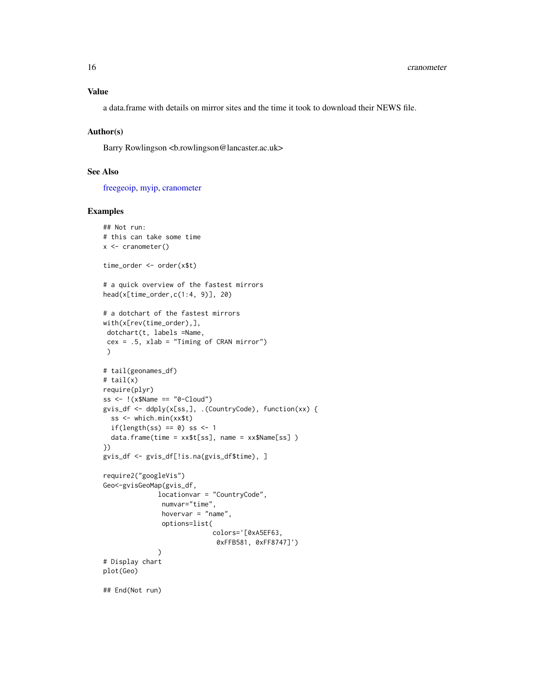a data.frame with details on mirror sites and the time it took to download their NEWS file.

#### Author(s)

Barry Rowlingson <b.rowlingson@lancaster.ac.uk>

# See Also

[freegeoip,](#page-21-1) [myip,](#page-65-1) [cranometer](#page-14-1)

```
## Not run:
# this can take some time
x <- cranometer()
time_order <- order(x$t)
# a quick overview of the fastest mirrors
head(x[time_order,c(1:4, 9)], 20)
# a dotchart of the fastest mirrors
with(x[rev(time_order),],
dotchart(t, labels =Name,
 cex = .5, xlab = "Timing of CRAN mirror"))
# tail(geonames_df)
# tail(x)
require(plyr)
ss \leq !(x$Name == "0-Cloud")
gvis_df <- ddply(x[ss,], .(CountryCode), function(xx) {
  ss <- which.min(xx$t)
  if(length(ss) == 0) ss <- 1
  data.frame(time = xx$t[ss], name = xx$Name[ss] )
})
gvis_df <- gvis_df[!is.na(gvis_df$time), ]
require2("googleVis")
Geo<-gvisGeoMap(gvis_df,
              locationvar = "CountryCode",
               numvar="time",
               hovervar = "name",
               options=list(
                            colors='[0xA5EF63,
                             0xFFB581, 0xFF8747]')
              )
# Display chart
plot(Geo)
## End(Not run)
```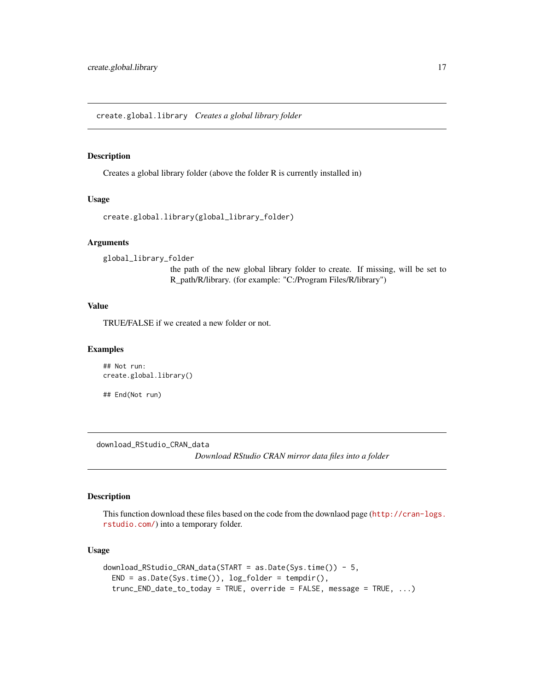<span id="page-16-0"></span>create.global.library *Creates a global library folder*

#### Description

Creates a global library folder (above the folder R is currently installed in)

# Usage

```
create.global.library(global_library_folder)
```
# Arguments

global\_library\_folder

the path of the new global library folder to create. If missing, will be set to R\_path/R/library. (for example: "C:/Program Files/R/library")

# Value

TRUE/FALSE if we created a new folder or not.

# Examples

```
## Not run:
create.global.library()
```
## End(Not run)

<span id="page-16-1"></span>download\_RStudio\_CRAN\_data *Download RStudio CRAN mirror data files into a folder*

# Description

This function download these files based on the code from the downlaod page ([http://cran-logs.](http://cran-logs.rstudio.com/) [rstudio.com/](http://cran-logs.rstudio.com/)) into a temporary folder.

# Usage

```
download_RStudio_CRAN_data(START = as.Date(Sys.time()) - 5,
 END = as.Date(Sys.time()), log_folder = tempdir(),
  trunc_END_date_to_today = TRUE, override = FALSE, message = TRUE, ...)
```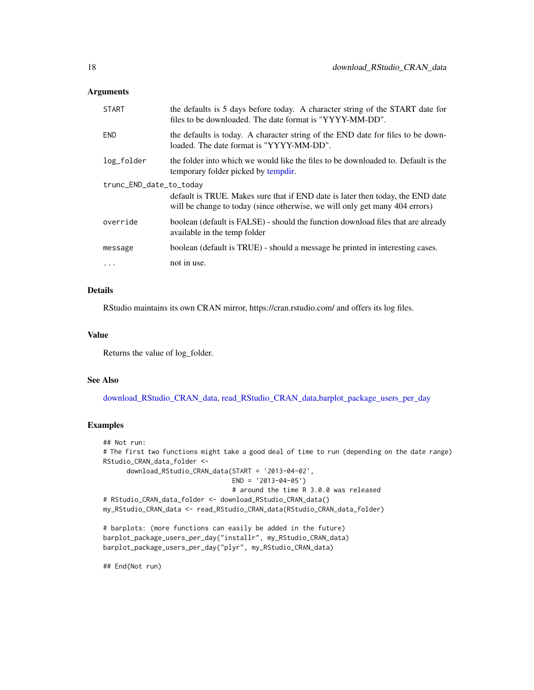# **Arguments**

| <b>START</b>            | the defaults is 5 days before today. A character string of the START date for<br>files to be downloaded. The date format is "YYYY-MM-DD".                     |  |
|-------------------------|---------------------------------------------------------------------------------------------------------------------------------------------------------------|--|
| END                     | the defaults is today. A character string of the END date for files to be down-<br>loaded. The date format is "YYYY-MM-DD".                                   |  |
| log_folder              | the folder into which we would like the files to be downloaded to. Default is the<br>temporary folder picked by tempdir.                                      |  |
| trunc_END_date_to_today |                                                                                                                                                               |  |
|                         | default is TRUE. Makes sure that if END date is later then today, the END date<br>will be change to today (since otherwise, we will only get many 404 errors) |  |
| override                | boolean (default is FALSE) - should the function download files that are already<br>available in the temp folder                                              |  |
| message                 | boolean (default is TRUE) - should a message be printed in interesting cases.                                                                                 |  |
| $\ddotsc$               | not in use.                                                                                                                                                   |  |

# Details

RStudio maintains its own CRAN mirror, https://cran.rstudio.com/ and offers its log files.

# Value

Returns the value of log\_folder.

# See Also

[download\\_RStudio\\_CRAN\\_data,](#page-16-1) [read\\_RStudio\\_CRAN\\_data](#page-74-1)[,barplot\\_package\\_users\\_per\\_day](#page-8-1)

#### Examples

```
## Not run:
# The first two functions might take a good deal of time to run (depending on the date range)
RStudio_CRAN_data_folder <-
      download_RStudio_CRAN_data(START = '2013-04-02',
                                 END = '2013-04-05')
                                 # around the time R 3.0.0 was released
# RStudio_CRAN_data_folder <- download_RStudio_CRAN_data()
my_RStudio_CRAN_data <- read_RStudio_CRAN_data(RStudio_CRAN_data_folder)
```

```
# barplots: (more functions can easily be added in the future)
barplot_package_users_per_day("installr", my_RStudio_CRAN_data)
barplot_package_users_per_day("plyr", my_RStudio_CRAN_data)
```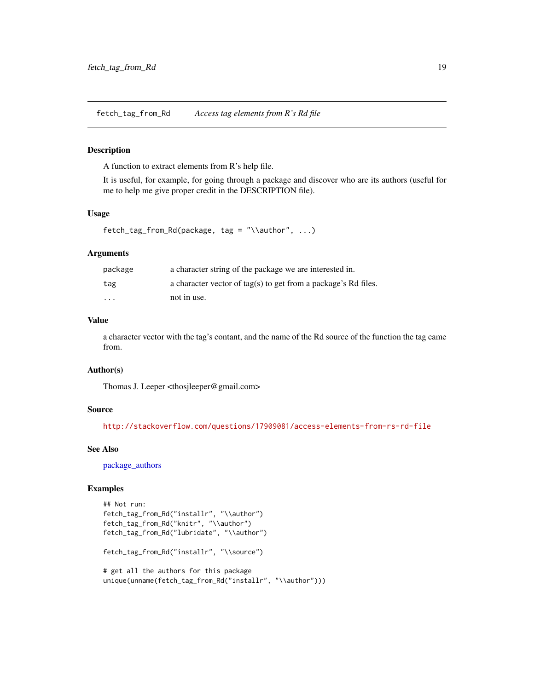<span id="page-18-0"></span>fetch\_tag\_from\_Rd *Access tag elements from R's Rd file*

#### Description

A function to extract elements from R's help file.

It is useful, for example, for going through a package and discover who are its authors (useful for me to help me give proper credit in the DESCRIPTION file).

# Usage

fetch\_tag\_from\_Rd(package, tag = "\\author", ...)

# Arguments

| package                 | a character string of the package we are interested in.        |
|-------------------------|----------------------------------------------------------------|
| tag                     | a character vector of tag(s) to get from a package's Rd files. |
| $\cdot$ $\cdot$ $\cdot$ | not in use.                                                    |

# Value

a character vector with the tag's contant, and the name of the Rd source of the function the tag came from.

# Author(s)

Thomas J. Leeper <thosjleeper@gmail.com>

#### Source

<http://stackoverflow.com/questions/17909081/access-elements-from-rs-rd-file>

#### See Also

[package\\_authors](#page-72-1)

```
## Not run:
fetch_tag_from_Rd("installr", "\\author")
fetch_tag_from_Rd("knitr", "\\author")
fetch_tag_from_Rd("lubridate", "\\author")
fetch_tag_from_Rd("installr", "\\source")
# get all the authors for this package
unique(unname(fetch_tag_from_Rd("installr", "\\author")))
```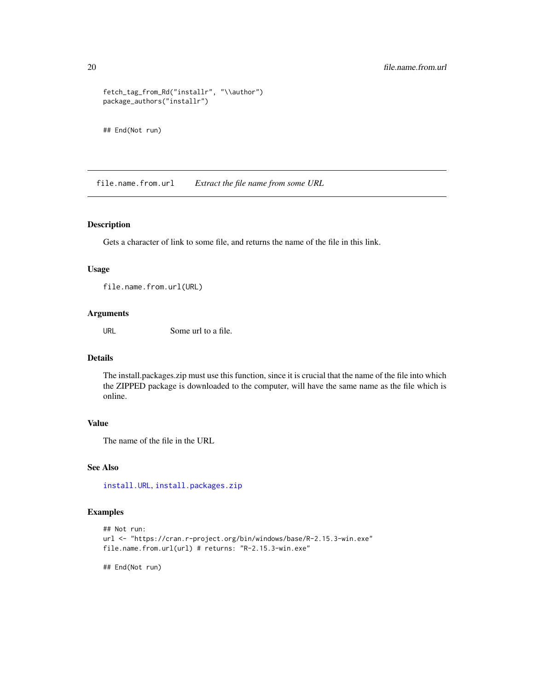```
fetch_tag_from_Rd("installr", "\\author")
package_authors("installr")
```
## End(Not run)

file.name.from.url *Extract the file name from some URL*

# Description

Gets a character of link to some file, and returns the name of the file in this link.

#### Usage

file.name.from.url(URL)

# Arguments

URL Some url to a file.

#### Details

The install.packages.zip must use this function, since it is crucial that the name of the file into which the ZIPPED package is downloaded to the computer, will have the same name as the file which is online.

# Value

The name of the file in the URL

# See Also

[install.URL](#page-51-1), [install.packages.zip](#page-42-1)

# Examples

```
## Not run:
url <- "https://cran.r-project.org/bin/windows/base/R-2.15.3-win.exe"
file.name.from.url(url) # returns: "R-2.15.3-win.exe"
```
<span id="page-19-0"></span>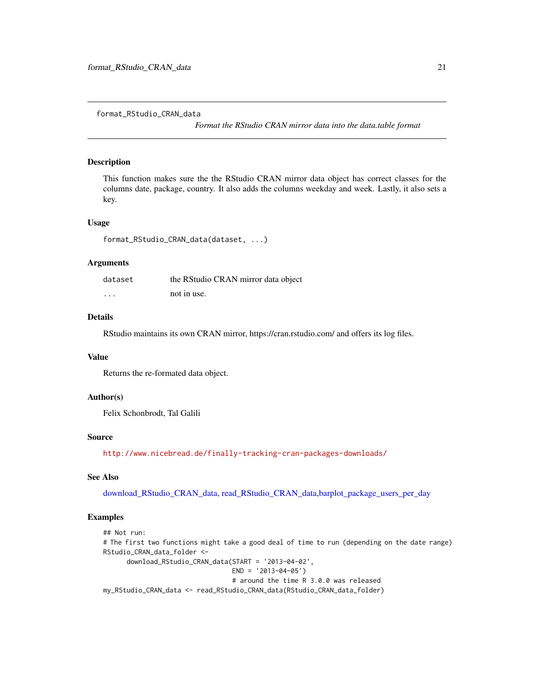<span id="page-20-0"></span>format\_RStudio\_CRAN\_data

*Format the RStudio CRAN mirror data into the data.table format*

#### Description

This function makes sure the the RStudio CRAN mirror data object has correct classes for the columns date, package, country. It also adds the columns weekday and week. Lastly, it also sets a key.

#### Usage

```
format_RStudio_CRAN_data(dataset, ...)
```
# Arguments

| dataset  | the RStudio CRAN mirror data object |
|----------|-------------------------------------|
| $\cdots$ | not in use.                         |

# Details

RStudio maintains its own CRAN mirror, https://cran.rstudio.com/ and offers its log files.

# Value

Returns the re-formated data object.

# Author(s)

Felix Schonbrodt, Tal Galili

#### Source

<http://www.nicebread.de/finally-tracking-cran-packages-downloads/>

# See Also

[download\\_RStudio\\_CRAN\\_data,](#page-16-1) [read\\_RStudio\\_CRAN\\_data](#page-74-1)[,barplot\\_package\\_users\\_per\\_day](#page-8-1)

```
## Not run:
# The first two functions might take a good deal of time to run (depending on the date range)
RStudio_CRAN_data_folder <-
      download_RStudio_CRAN_data(START = '2013-04-02',
                                 END = '2013-04-05')# around the time R 3.0.0 was released
my_RStudio_CRAN_data <- read_RStudio_CRAN_data(RStudio_CRAN_data_folder)
```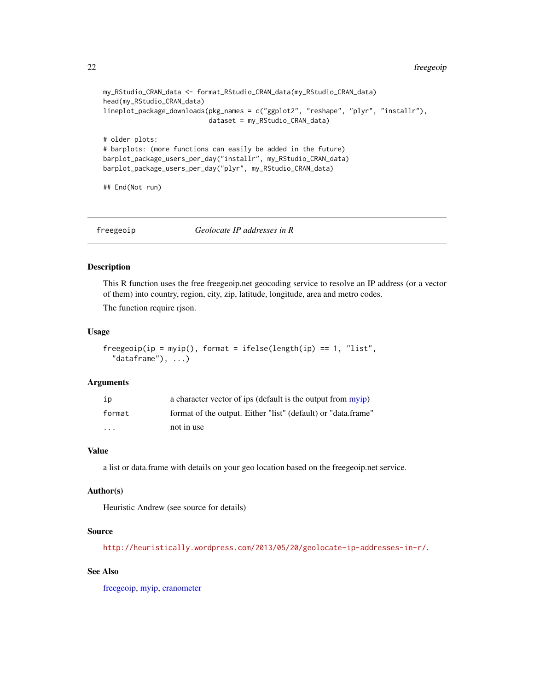```
my_RStudio_CRAN_data <- format_RStudio_CRAN_data(my_RStudio_CRAN_data)
head(my_RStudio_CRAN_data)
lineplot_package_downloads(pkg_names = c("ggplot2", "reshape", "plyr", "installr"),
                           dataset = my_RStudio_CRAN_data)
# older plots:
# barplots: (more functions can easily be added in the future)
barplot_package_users_per_day("installr", my_RStudio_CRAN_data)
barplot_package_users_per_day("plyr", my_RStudio_CRAN_data)
## End(Not run)
```
<span id="page-21-1"></span>freegeoip *Geolocate IP addresses in R*

#### Description

This R function uses the free freegeoip.net geocoding service to resolve an IP address (or a vector of them) into country, region, city, zip, latitude, longitude, area and metro codes.

The function require rjson.

#### Usage

```
freegeoip(ip = myip(), format = ifelse(length(ip) == 1, "list","dataframe"), \dots)
```
# Arguments

| ip                      | a character vector of ips (default is the output from myip)   |
|-------------------------|---------------------------------------------------------------|
| format                  | format of the output. Either "list" (default) or "data.frame" |
| $\cdot$ $\cdot$ $\cdot$ | not in use                                                    |

# Value

a list or data.frame with details on your geo location based on the freegeoip.net service.

# Author(s)

Heuristic Andrew (see source for details)

#### Source

<http://heuristically.wordpress.com/2013/05/20/geolocate-ip-addresses-in-r/>.

# See Also

[freegeoip,](#page-21-1) [myip,](#page-65-1) [cranometer](#page-14-1)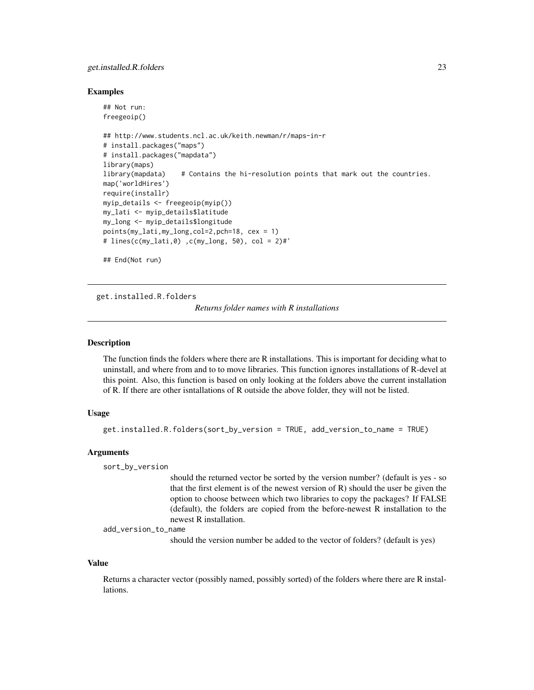# <span id="page-22-0"></span>get.installed.R.folders 23

#### Examples

```
## Not run:
freegeoip()
## http://www.students.ncl.ac.uk/keith.newman/r/maps-in-r
# install.packages("maps")
# install.packages("mapdata")
library(maps)
library(mapdata) # Contains the hi-resolution points that mark out the countries.
map('worldHires')
require(installr)
myip_details <- freegeoip(myip())
my_lati <- myip_details$latitude
my_long <- myip_details$longitude
points(my_lati,my_long,col=2,pch=18, cex = 1)
# lines(c(my_lati,0) ,c(my_long, 50), col = 2)#'
```
## End(Not run)

<span id="page-22-1"></span>get.installed.R.folders

*Returns folder names with R installations*

#### **Description**

The function finds the folders where there are R installations. This is important for deciding what to uninstall, and where from and to to move libraries. This function ignores installations of R-devel at this point. Also, this function is based on only looking at the folders above the current installation of R. If there are other isntallations of R outside the above folder, they will not be listed.

# Usage

```
get.installed.R.folders(sort_by_version = TRUE, add_version_to_name = TRUE)
```
#### Arguments

sort\_by\_version

should the returned vector be sorted by the version number? (default is yes - so that the first element is of the newest version of R) should the user be given the option to choose between which two libraries to copy the packages? If FALSE (default), the folders are copied from the before-newest R installation to the newest R installation.

add\_version\_to\_name

should the version number be added to the vector of folders? (default is yes)

#### Value

Returns a character vector (possibly named, possibly sorted) of the folders where there are R installations.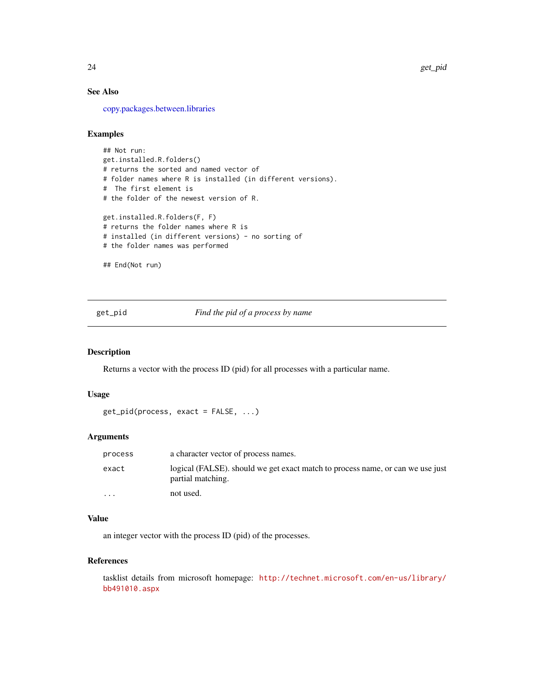# See Also

[copy.packages.between.libraries](#page-13-1)

# Examples

## Not run: get.installed.R.folders() # returns the sorted and named vector of # folder names where R is installed (in different versions). # The first element is # the folder of the newest version of R. get.installed.R.folders(F, F) # returns the folder names where R is # installed (in different versions) - no sorting of # the folder names was performed ## End(Not run)

<span id="page-23-1"></span>get\_pid *Find the pid of a process by name*

#### Description

Returns a vector with the process ID (pid) for all processes with a particular name.

# Usage

```
get_pid(process, exact = FALSE, ...)
```
# Arguments

| process  | a character vector of process names.                                                                |
|----------|-----------------------------------------------------------------------------------------------------|
| exact    | logical (FALSE), should we get exact match to process name, or can we use just<br>partial matching. |
| $\cdots$ | not used.                                                                                           |

# Value

an integer vector with the process ID (pid) of the processes.

# References

tasklist details from microsoft homepage: [http://technet.microsoft.com/en-us/library/](http://technet.microsoft.com/en-us/library/bb491010.aspx) [bb491010.aspx](http://technet.microsoft.com/en-us/library/bb491010.aspx)

<span id="page-23-0"></span>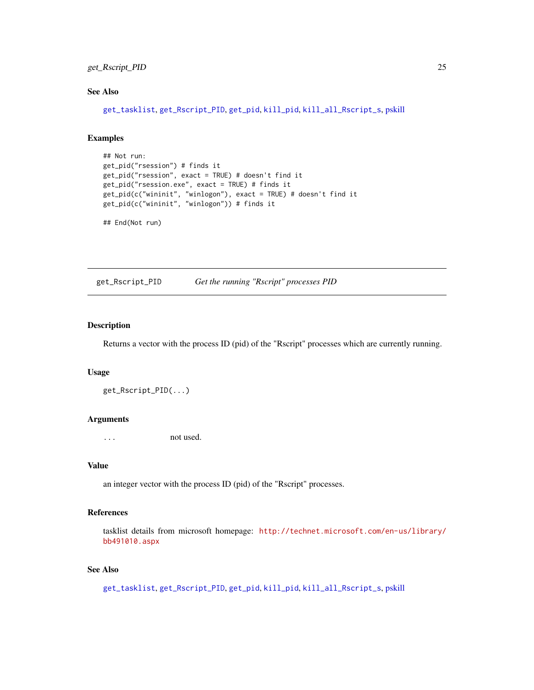# <span id="page-24-0"></span>get\_Rscript\_PID 25

# See Also

[get\\_tasklist](#page-25-1), [get\\_Rscript\\_PID](#page-24-1), [get\\_pid](#page-23-1), [kill\\_pid](#page-59-1), [kill\\_all\\_Rscript\\_s](#page-58-1), [pskill](#page-0-0)

# Examples

```
## Not run:
get_pid("rsession") # finds it
get_pid("rsession", exact = TRUE) # doesn't find it
get_pid("rsession.exe", exact = TRUE) # finds it
get_pid(c("wininit", "winlogon"), exact = TRUE) # doesn't find it
get_pid(c("wininit", "winlogon")) # finds it
```
## End(Not run)

<span id="page-24-1"></span>get\_Rscript\_PID *Get the running "Rscript" processes PID*

# Description

Returns a vector with the process ID (pid) of the "Rscript" processes which are currently running.

#### Usage

```
get_Rscript_PID(...)
```
# Arguments

... not used.

# Value

an integer vector with the process ID (pid) of the "Rscript" processes.

# References

tasklist details from microsoft homepage: [http://technet.microsoft.com/en-us/library/](http://technet.microsoft.com/en-us/library/bb491010.aspx) [bb491010.aspx](http://technet.microsoft.com/en-us/library/bb491010.aspx)

# See Also

[get\\_tasklist](#page-25-1), [get\\_Rscript\\_PID](#page-24-1), [get\\_pid](#page-23-1), [kill\\_pid](#page-59-1), [kill\\_all\\_Rscript\\_s](#page-58-1), [pskill](#page-0-0)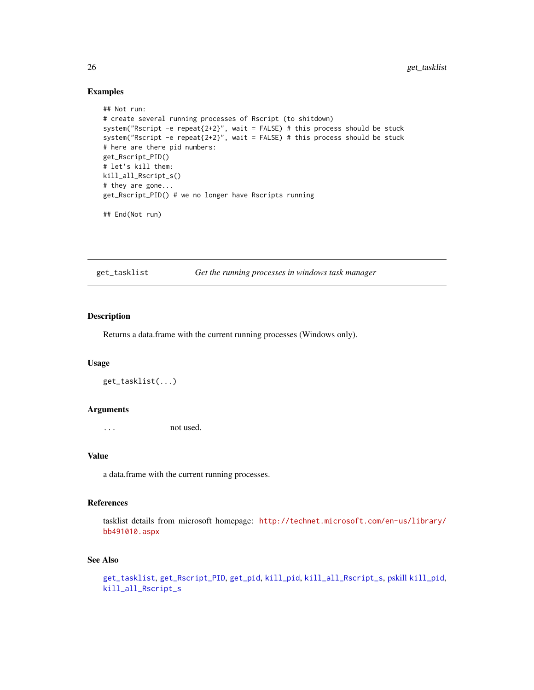# Examples

```
## Not run:
# create several running processes of Rscript (to shitdown)
system("Rscript -e repeat{2+2}", wait = FALSE) # this process should be stuck
system("Rscript -e repeat{2+2}", wait = FALSE) # this process should be stuck
# here are there pid numbers:
get_Rscript_PID()
# let's kill them:
kill_all_Rscript_s()
# they are gone...
get_Rscript_PID() # we no longer have Rscripts running
## End(Not run)
```
<span id="page-25-1"></span>get\_tasklist *Get the running processes in windows task manager*

# Description

Returns a data.frame with the current running processes (Windows only).

#### Usage

get\_tasklist(...)

#### Arguments

... not used.

# Value

a data.frame with the current running processes.

# References

tasklist details from microsoft homepage: [http://technet.microsoft.com/en-us/library/](http://technet.microsoft.com/en-us/library/bb491010.aspx) [bb491010.aspx](http://technet.microsoft.com/en-us/library/bb491010.aspx)

# See Also

```
get_tasklist, get_Rscript_PID, get_pid, kill_pid, kill_all_Rscript_s, pskill kill_pid,
kill_all_Rscript_s
```
<span id="page-25-0"></span>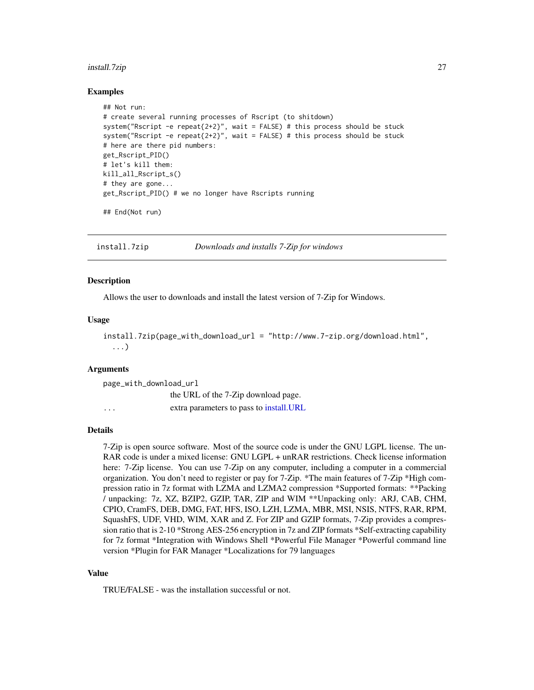#### <span id="page-26-0"></span>install.7zip 27

#### Examples

```
## Not run:
# create several running processes of Rscript (to shitdown)
system("Rscript -e repeat{2+2}", wait = FALSE) # this process should be stuck
system("Rscript -e repeat{2+2}", wait = FALSE) # this process should be stuck
# here are there pid numbers:
get_Rscript_PID()
# let's kill them:
kill_all_Rscript_s()
# they are gone...
get_Rscript_PID() # we no longer have Rscripts running
## End(Not run)
```
install.7zip *Downloads and installs 7-Zip for windows*

# **Description**

Allows the user to downloads and install the latest version of 7-Zip for Windows.

# Usage

```
install.7zip(page_with_download_url = "http://www.7-zip.org/download.html",
  ...)
```
# Arguments

| page_with_download_url  |                                          |
|-------------------------|------------------------------------------|
|                         | the URL of the 7-Zip download page.      |
| $\cdot$ $\cdot$ $\cdot$ | extra parameters to pass to install. URL |

# Details

7-Zip is open source software. Most of the source code is under the GNU LGPL license. The un-RAR code is under a mixed license: GNU LGPL + unRAR restrictions. Check license information here: 7-Zip license. You can use 7-Zip on any computer, including a computer in a commercial organization. You don't need to register or pay for 7-Zip. \*The main features of 7-Zip \*High compression ratio in 7z format with LZMA and LZMA2 compression \*Supported formats: \*\*Packing / unpacking: 7z, XZ, BZIP2, GZIP, TAR, ZIP and WIM \*\*Unpacking only: ARJ, CAB, CHM, CPIO, CramFS, DEB, DMG, FAT, HFS, ISO, LZH, LZMA, MBR, MSI, NSIS, NTFS, RAR, RPM, SquashFS, UDF, VHD, WIM, XAR and Z. For ZIP and GZIP formats, 7-Zip provides a compression ratio that is 2-10 \*Strong AES-256 encryption in 7z and ZIP formats \*Self-extracting capability for 7z format \*Integration with Windows Shell \*Powerful File Manager \*Powerful command line version \*Plugin for FAR Manager \*Localizations for 79 languages

#### Value

TRUE/FALSE - was the installation successful or not.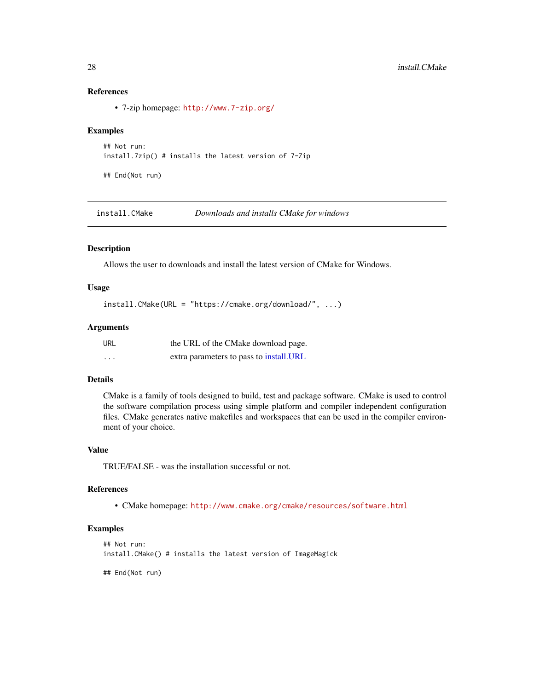# References

• 7-zip homepage: <http://www.7-zip.org/>

#### Examples

```
## Not run:
install.7zip() # installs the latest version of 7-Zip
```
## End(Not run)

install.CMake *Downloads and installs CMake for windows*

# Description

Allows the user to downloads and install the latest version of CMake for Windows.

# Usage

install.CMake(URL = "https://cmake.org/download/", ...)

# Arguments

| URL.     | the URL of the CMake download page.      |
|----------|------------------------------------------|
| $\cdots$ | extra parameters to pass to install. URL |

#### Details

CMake is a family of tools designed to build, test and package software. CMake is used to control the software compilation process using simple platform and compiler independent configuration files. CMake generates native makefiles and workspaces that can be used in the compiler environment of your choice.

# Value

TRUE/FALSE - was the installation successful or not.

# References

• CMake homepage: <http://www.cmake.org/cmake/resources/software.html>

```
## Not run:
install.CMake() # installs the latest version of ImageMagick
## End(Not run)
```
<span id="page-27-0"></span>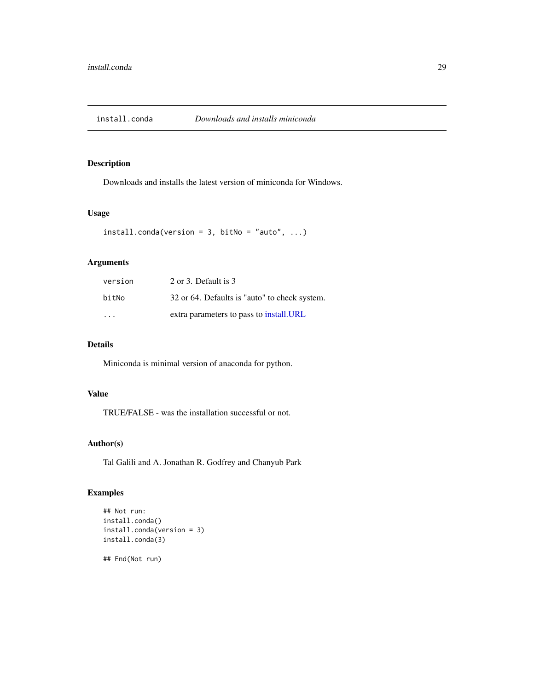<span id="page-28-0"></span>

Downloads and installs the latest version of miniconda for Windows.

# Usage

```
install.config(version = 3, bitNo = "auto", ...)
```
# Arguments

| version | 2 or 3. Default is 3                          |
|---------|-----------------------------------------------|
| bitNo   | 32 or 64. Defaults is "auto" to check system. |
| .       | extra parameters to pass to install. URL      |

# Details

Miniconda is minimal version of anaconda for python.

# Value

TRUE/FALSE - was the installation successful or not.

# Author(s)

Tal Galili and A. Jonathan R. Godfrey and Chanyub Park

```
## Not run:
install.conda()
install.conda(version = 3)
install.conda(3)
## End(Not run)
```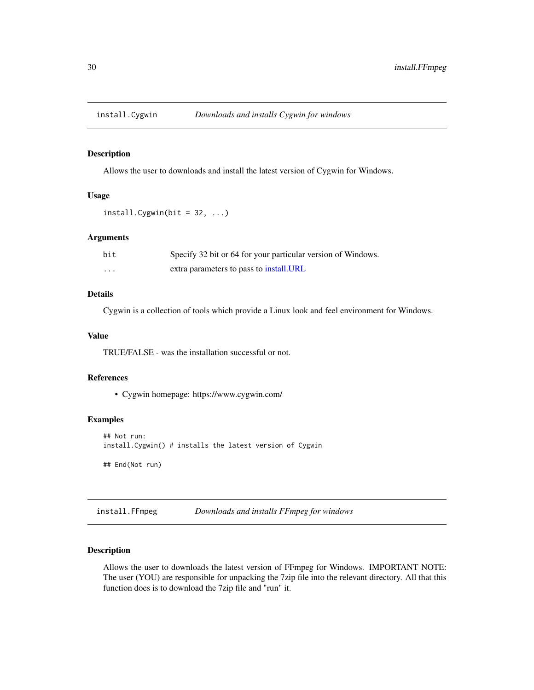<span id="page-29-0"></span>

Allows the user to downloads and install the latest version of Cygwin for Windows.

# Usage

```
install.Cygwin(bit = 32, ...)
```
# Arguments

| bit               | Specify 32 bit or 64 for your particular version of Windows. |
|-------------------|--------------------------------------------------------------|
| $\cdot\cdot\cdot$ | extra parameters to pass to install.URL                      |

# Details

Cygwin is a collection of tools which provide a Linux look and feel environment for Windows.

# Value

TRUE/FALSE - was the installation successful or not.

#### References

• Cygwin homepage: https://www.cygwin.com/

# Examples

```
## Not run:
install.Cygwin() # installs the latest version of Cygwin
## End(Not run)
```
install.FFmpeg *Downloads and installs FFmpeg for windows*

# Description

Allows the user to downloads the latest version of FFmpeg for Windows. IMPORTANT NOTE: The user (YOU) are responsible for unpacking the 7zip file into the relevant directory. All that this function does is to download the 7zip file and "run" it.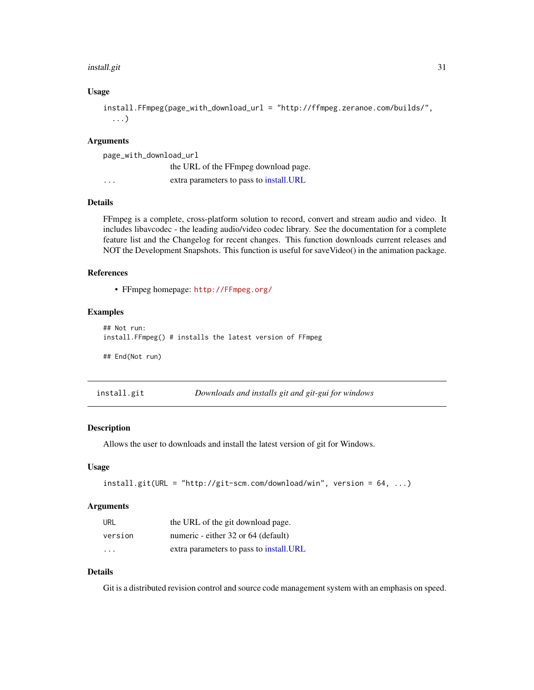#### <span id="page-30-0"></span>install.git 31

# Usage

```
install.FFmpeg(page_with_download_url = "http://ffmpeg.zeranoe.com/builds/",
  ...)
```
# Arguments

| page_with_download_url |                                          |
|------------------------|------------------------------------------|
|                        | the URL of the FFmpeg download page.     |
| $\cdot$                | extra parameters to pass to install. URL |

# Details

FFmpeg is a complete, cross-platform solution to record, convert and stream audio and video. It includes libavcodec - the leading audio/video codec library. See the documentation for a complete feature list and the Changelog for recent changes. This function downloads current releases and NOT the Development Snapshots. This function is useful for saveVideo() in the animation package.

# References

• FFmpeg homepage: <http://FFmpeg.org/>

#### Examples

```
## Not run:
install.FFmpeg() # installs the latest version of FFmpeg
## End(Not run)
```

| install.git | Downloads and installs git and git-gui for windows |
|-------------|----------------------------------------------------|
|-------------|----------------------------------------------------|

#### Description

Allows the user to downloads and install the latest version of git for Windows.

#### Usage

```
install.git(URL = "http://git-scm.com/download/win", version = 64, ...)
```
#### Arguments

| URL     | the URL of the git download page.        |
|---------|------------------------------------------|
| version | numeric - either 32 or 64 (default)      |
| .       | extra parameters to pass to install. URL |

# Details

Git is a distributed revision control and source code management system with an emphasis on speed.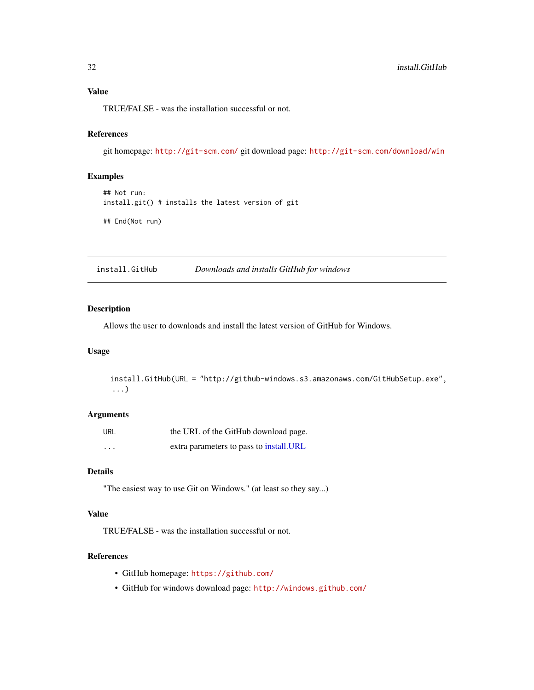# <span id="page-31-0"></span>Value

TRUE/FALSE - was the installation successful or not.

# References

git homepage: <http://git-scm.com/> git download page: <http://git-scm.com/download/win>

# Examples

```
## Not run:
install.git() # installs the latest version of git
```
## End(Not run)

install.GitHub *Downloads and installs GitHub for windows*

# Description

Allows the user to downloads and install the latest version of GitHub for Windows.

# Usage

install.GitHub(URL = "http://github-windows.s3.amazonaws.com/GitHubSetup.exe", ...)

# Arguments

| URL      | the URL of the GitHub download page.     |
|----------|------------------------------------------|
| $\cdots$ | extra parameters to pass to install. URL |

# Details

"The easiest way to use Git on Windows." (at least so they say...)

# Value

TRUE/FALSE - was the installation successful or not.

# References

- GitHub homepage: <https://github.com/>
- GitHub for windows download page: <http://windows.github.com/>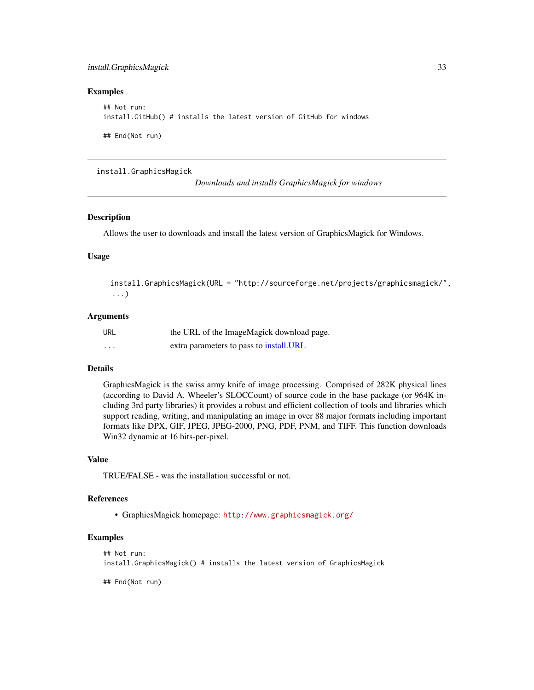# <span id="page-32-0"></span>install.GraphicsMagick 33

#### Examples

```
## Not run:
install.GitHub() # installs the latest version of GitHub for windows
## End(Not run)
```
install.GraphicsMagick

*Downloads and installs GraphicsMagick for windows*

#### Description

Allows the user to downloads and install the latest version of GraphicsMagick for Windows.

# Usage

```
install.GraphicsMagick(URL = "http://sourceforge.net/projects/graphicsmagick/",
...)
```
#### Arguments

| url      | the URL of the ImageMagick download page. |
|----------|-------------------------------------------|
| $\cdots$ | extra parameters to pass to install. URL  |

# Details

GraphicsMagick is the swiss army knife of image processing. Comprised of 282K physical lines (according to David A. Wheeler's SLOCCount) of source code in the base package (or 964K including 3rd party libraries) it provides a robust and efficient collection of tools and libraries which support reading, writing, and manipulating an image in over 88 major formats including important formats like DPX, GIF, JPEG, JPEG-2000, PNG, PDF, PNM, and TIFF. This function downloads Win32 dynamic at 16 bits-per-pixel.

#### Value

TRUE/FALSE - was the installation successful or not.

#### References

• GraphicsMagick homepage: <http://www.graphicsmagick.org/>

```
## Not run:
install.GraphicsMagick() # installs the latest version of GraphicsMagick
```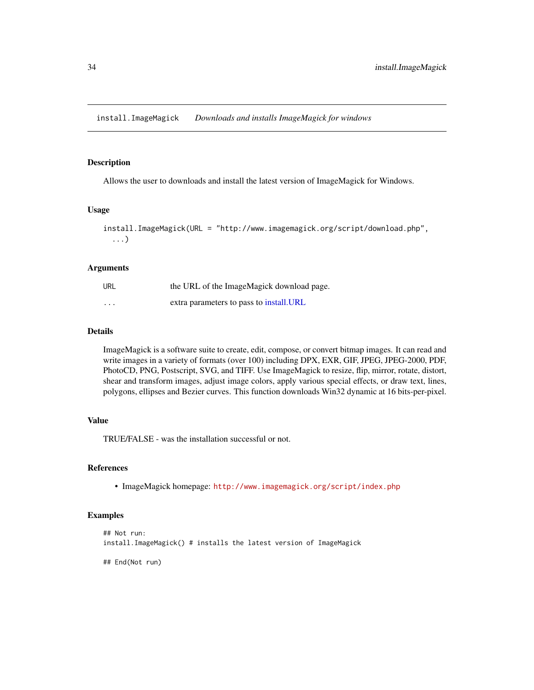<span id="page-33-0"></span>install.ImageMagick *Downloads and installs ImageMagick for windows*

# Description

Allows the user to downloads and install the latest version of ImageMagick for Windows.

# Usage

```
install.ImageMagick(URL = "http://www.imagemagick.org/script/download.php",
  ...)
```
# Arguments

| URL                     | the URL of the ImageMagick download page. |
|-------------------------|-------------------------------------------|
| $\cdot$ $\cdot$ $\cdot$ | extra parameters to pass to install. URL  |

# Details

ImageMagick is a software suite to create, edit, compose, or convert bitmap images. It can read and write images in a variety of formats (over 100) including DPX, EXR, GIF, JPEG, JPEG-2000, PDF, PhotoCD, PNG, Postscript, SVG, and TIFF. Use ImageMagick to resize, flip, mirror, rotate, distort, shear and transform images, adjust image colors, apply various special effects, or draw text, lines, polygons, ellipses and Bezier curves. This function downloads Win32 dynamic at 16 bits-per-pixel.

# Value

TRUE/FALSE - was the installation successful or not.

# References

• ImageMagick homepage: <http://www.imagemagick.org/script/index.php>

#### Examples

```
## Not run:
install.ImageMagick() # installs the latest version of ImageMagick
```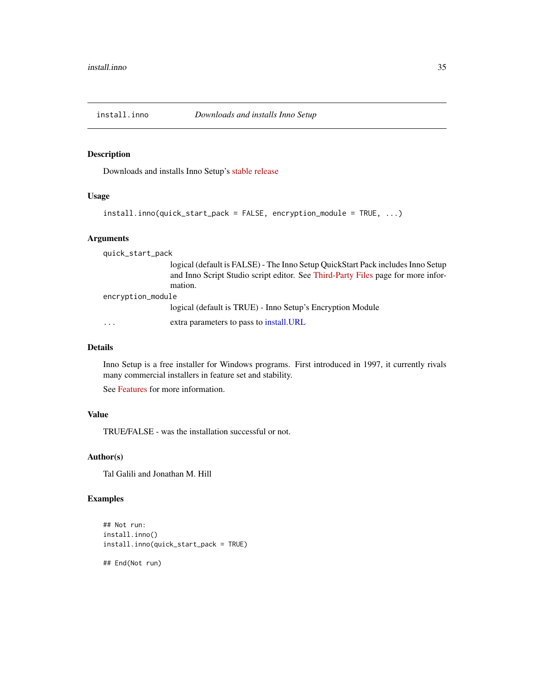<span id="page-34-0"></span>

Downloads and installs Inno Setup's [stable release](http://www.jrsoftware.org/isdl.php#stable)

# Usage

```
install.inno(quick_start_pack = FALSE, encryption_module = TRUE, ...)
```
#### **Arguments**

quick\_start\_pack logical (default is FALSE) - The Inno Setup QuickStart Pack includes Inno Setup and Inno Script Studio script editor. See [Third-Party Files](http://www.jrsoftware.org/is3rdparty.php) page for more information. encryption\_module logical (default is TRUE) - Inno Setup's Encryption Module ... extra parameters to pass to [install.URL](#page-51-1)

#### Details

Inno Setup is a free installer for Windows programs. First introduced in 1997, it currently rivals many commercial installers in feature set and stability.

See [Features](http://www.jrsoftware.org/isinfo.php#features) for more information.

# Value

TRUE/FALSE - was the installation successful or not.

# Author(s)

Tal Galili and Jonathan M. Hill

# Examples

```
## Not run:
install.inno()
install.inno(quick_start_pack = TRUE)
```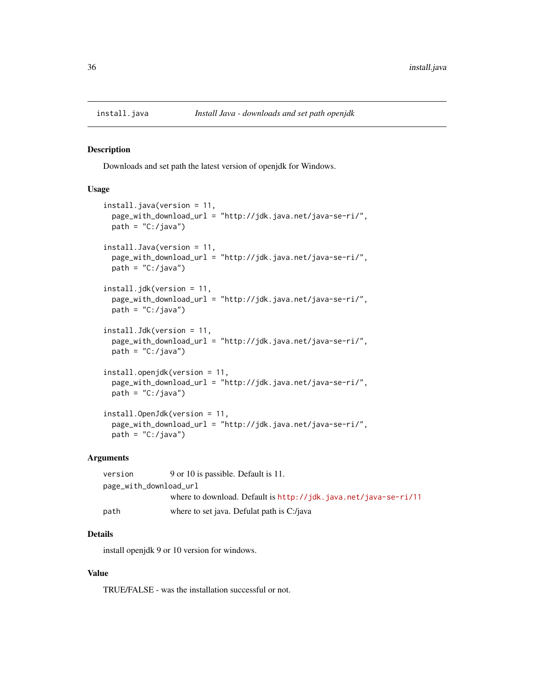<span id="page-35-0"></span>

Downloads and set path the latest version of openjdk for Windows.

# Usage

```
install.java(version = 11,
 page_with_download_url = "http://jdk.java.net/java-se-ri/",
 path = "C:}/java")install.Java(version = 11,
 page_with_download_url = "http://jdk.java.net/java-se-ri/",
 path = (C: /java")install.jdk(version = 11,
 page_with_download_url = "http://jdk.java.net/java-se-ri/",
 path = "C:}/java")install.Jdk(version = 11,
 page_with_download_url = "http://jdk.java.net/java-se-ri/",
 path = "C://java")install.openjdk(version = 11,
 page_with_download_url = "http://jdk.java.net/java-se-ri/",
 path = "C:}/java")install.OpenJdk(version = 11,
 page_with_download_url = "http://jdk.java.net/java-se-ri/",
 path = (C: /java")
```
#### Arguments

| version                | 9 or 10 is passible. Default is 11.                             |  |
|------------------------|-----------------------------------------------------------------|--|
| page_with_download_url |                                                                 |  |
|                        | where to download. Default is http://jdk.java.net/java-se-ri/11 |  |
| path                   | where to set java. Defulat path is C:/java                      |  |

# Details

install openjdk 9 or 10 version for windows.

#### Value

TRUE/FALSE - was the installation successful or not.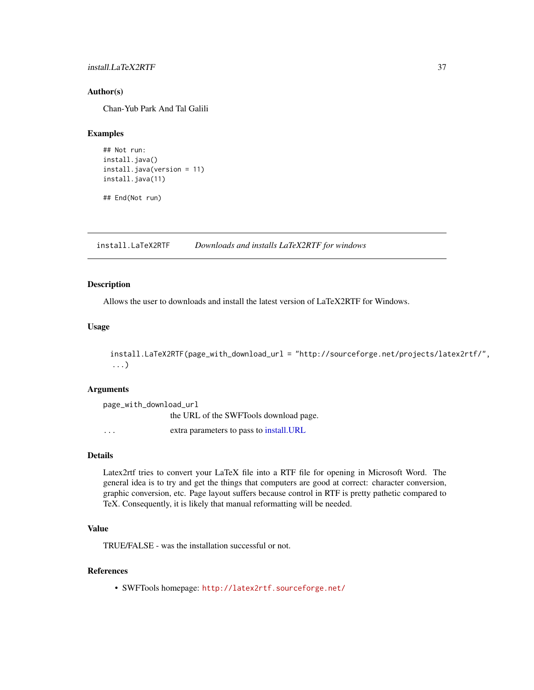## install.LaTeX2RTF 37

#### Author(s)

Chan-Yub Park And Tal Galili

# Examples

```
## Not run:
install.java()
install.java(version = 11)
install.java(11)
```
## End(Not run)

install.LaTeX2RTF *Downloads and installs LaTeX2RTF for windows*

## Description

Allows the user to downloads and install the latest version of LaTeX2RTF for Windows.

#### Usage

```
install.LaTeX2RTF(page_with_download_url = "http://sourceforge.net/projects/latex2rtf/",
...)
```
# Arguments

| page_with_download_url |                                          |  |
|------------------------|------------------------------------------|--|
|                        | the URL of the SWFTools download page.   |  |
| .                      | extra parameters to pass to install. URL |  |

## Details

Latex2rtf tries to convert your LaTeX file into a RTF file for opening in Microsoft Word. The general idea is to try and get the things that computers are good at correct: character conversion, graphic conversion, etc. Page layout suffers because control in RTF is pretty pathetic compared to TeX. Consequently, it is likely that manual reformatting will be needed.

#### Value

TRUE/FALSE - was the installation successful or not.

### References

• SWFTools homepage: <http://latex2rtf.sourceforge.net/>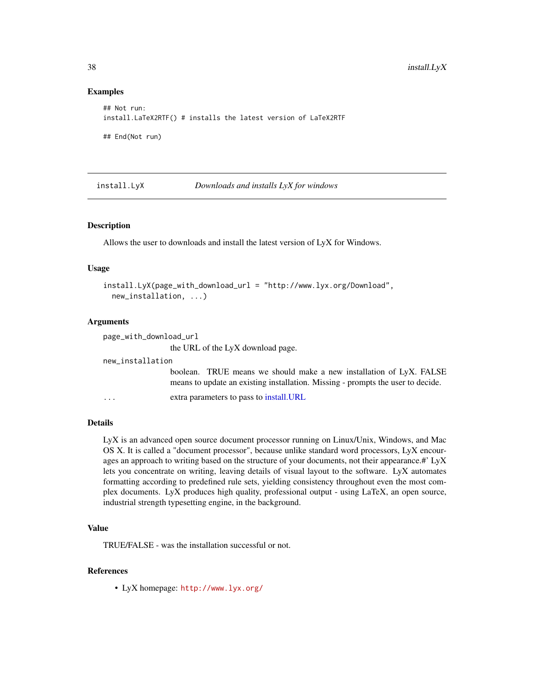#### Examples

```
## Not run:
install.LaTeX2RTF() # installs the latest version of LaTeX2RTF
## End(Not run)
```
install.LyX *Downloads and installs LyX for windows*

# Description

Allows the user to downloads and install the latest version of LyX for Windows.

#### Usage

```
install.LyX(page_with_download_url = "http://www.lyx.org/Download",
 new_installation, ...)
```
#### Arguments

| page_with_download_url  |                                                                                                                                                        |
|-------------------------|--------------------------------------------------------------------------------------------------------------------------------------------------------|
|                         | the URL of the LyX download page.                                                                                                                      |
| new_installation        |                                                                                                                                                        |
|                         | boolean. TRUE means we should make a new installation of LyX. FALSE<br>means to update an existing installation. Missing - prompts the user to decide. |
| $\cdot$ $\cdot$ $\cdot$ | extra parameters to pass to install.URL                                                                                                                |

# Details

LyX is an advanced open source document processor running on Linux/Unix, Windows, and Mac OS X. It is called a "document processor", because unlike standard word processors, LyX encourages an approach to writing based on the structure of your documents, not their appearance.#' LyX lets you concentrate on writing, leaving details of visual layout to the software. LyX automates formatting according to predefined rule sets, yielding consistency throughout even the most complex documents. LyX produces high quality, professional output - using LaTeX, an open source, industrial strength typesetting engine, in the background.

# Value

TRUE/FALSE - was the installation successful or not.

# References

• LyX homepage: <http://www.lyx.org/>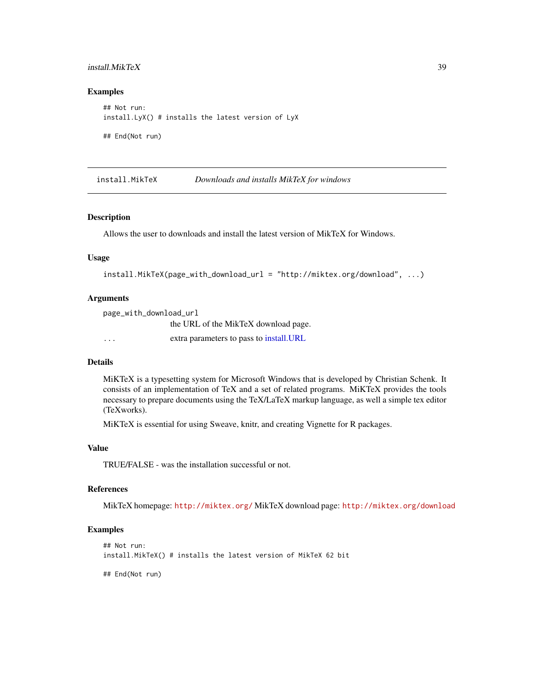## install.MikTeX 39

# Examples

```
## Not run:
install.LyX() # installs the latest version of LyX
```
## End(Not run)

<span id="page-38-0"></span>install.MikTeX *Downloads and installs MikTeX for windows*

## Description

Allows the user to downloads and install the latest version of MikTeX for Windows.

#### Usage

```
install.MikTeX(page_with_download_url = "http://miktex.org/download", ...)
```
#### Arguments

page\_with\_download\_url the URL of the MikTeX download page. ... extra parameters to pass to [install.URL](#page-51-0)

#### Details

MiKTeX is a typesetting system for Microsoft Windows that is developed by Christian Schenk. It consists of an implementation of TeX and a set of related programs. MiKTeX provides the tools necessary to prepare documents using the TeX/LaTeX markup language, as well a simple tex editor (TeXworks).

MiKTeX is essential for using Sweave, knitr, and creating Vignette for R packages.

#### Value

TRUE/FALSE - was the installation successful or not.

#### References

MikTeX homepage: <http://miktex.org/> MikTeX download page: <http://miktex.org/download>

#### Examples

```
## Not run:
install.MikTeX() # installs the latest version of MikTeX 62 bit
```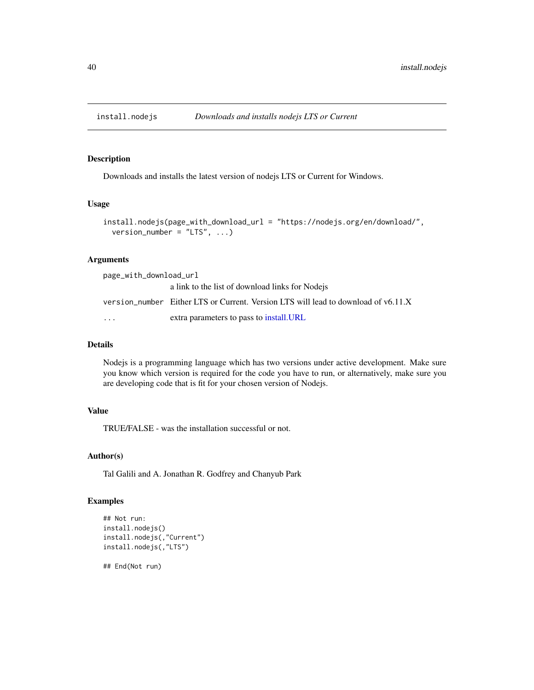Downloads and installs the latest version of nodejs LTS or Current for Windows.

#### Usage

```
install.nodejs(page_with_download_url = "https://nodejs.org/en/download/",
 version_number = "LTS", ...)
```
#### Arguments

| page_with_download_url |                                                                                    |  |
|------------------------|------------------------------------------------------------------------------------|--|
|                        | a link to the list of download links for Node is                                   |  |
|                        | version_number Either LTS or Current. Version LTS will lead to download of v6.11.X |  |
| $\ddotsc$              | extra parameters to pass to install. URL                                           |  |

# Details

Nodejs is a programming language which has two versions under active development. Make sure you know which version is required for the code you have to run, or alternatively, make sure you are developing code that is fit for your chosen version of Nodejs.

# Value

TRUE/FALSE - was the installation successful or not.

# Author(s)

Tal Galili and A. Jonathan R. Godfrey and Chanyub Park

#### Examples

```
## Not run:
install.nodejs()
install.nodejs(,"Current")
install.nodejs(,"LTS")
```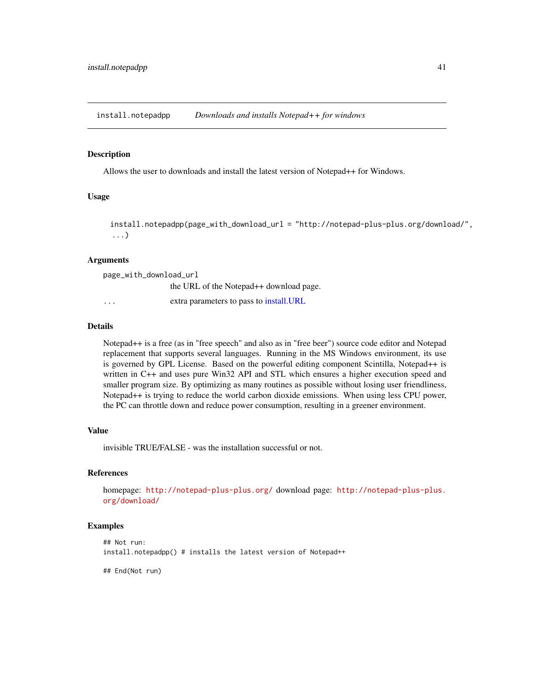install.notepadpp *Downloads and installs Notepad++ for windows*

#### Description

Allows the user to downloads and install the latest version of Notepad++ for Windows.

#### Usage

```
install.notepadpp(page_with_download_url = "http://notepad-plus-plus.org/download/",
...)
```
#### Arguments

| page_with_download_url  |                                                     |  |
|-------------------------|-----------------------------------------------------|--|
|                         | the URL of the Notepad <sup>++</sup> download page. |  |
| $\cdot$ $\cdot$ $\cdot$ | extra parameters to pass to install. URL            |  |

#### Details

Notepad++ is a free (as in "free speech" and also as in "free beer") source code editor and Notepad replacement that supports several languages. Running in the MS Windows environment, its use is governed by GPL License. Based on the powerful editing component Scintilla, Notepad++ is written in C++ and uses pure Win32 API and STL which ensures a higher execution speed and smaller program size. By optimizing as many routines as possible without losing user friendliness, Notepad++ is trying to reduce the world carbon dioxide emissions. When using less CPU power, the PC can throttle down and reduce power consumption, resulting in a greener environment.

# Value

invisible TRUE/FALSE - was the installation successful or not.

#### References

homepage: <http://notepad-plus-plus.org/> download page: [http://notepad-plus-plus.](http://notepad-plus-plus.org/download/) [org/download/](http://notepad-plus-plus.org/download/)

#### Examples

```
## Not run:
install.notepadpp() # installs the latest version of Notepad++
```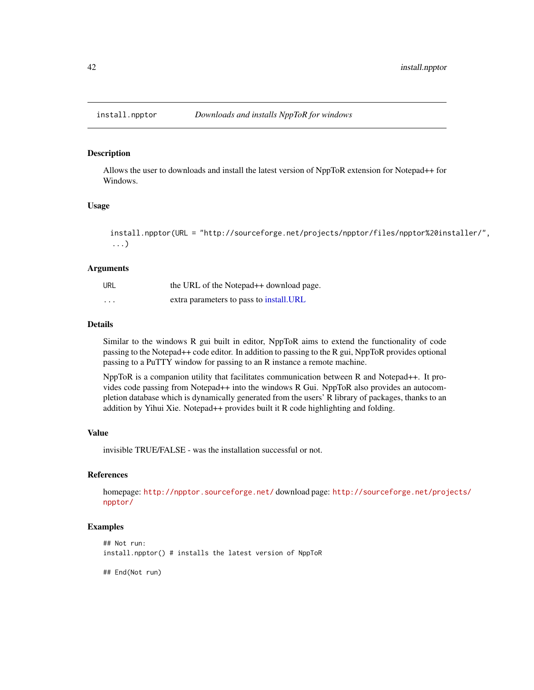Allows the user to downloads and install the latest version of NppToR extension for Notepad++ for Windows.

# Usage

```
install.npptor(URL = "http://sourceforge.net/projects/npptor/files/npptor%20installer/",
...)
```
#### Arguments

| URL                     | the URL of the Notepad <sup>++</sup> download page. |
|-------------------------|-----------------------------------------------------|
| $\cdot$ $\cdot$ $\cdot$ | extra parameters to pass to install. URL            |

#### Details

Similar to the windows R gui built in editor, NppToR aims to extend the functionality of code passing to the Notepad++ code editor. In addition to passing to the R gui, NppToR provides optional passing to a PuTTY window for passing to an R instance a remote machine.

NppToR is a companion utility that facilitates communication between R and Notepad++. It provides code passing from Notepad++ into the windows R Gui. NppToR also provides an autocompletion database which is dynamically generated from the users' R library of packages, thanks to an addition by Yihui Xie. Notepad++ provides built it R code highlighting and folding.

## Value

invisible TRUE/FALSE - was the installation successful or not.

# References

homepage: <http://npptor.sourceforge.net/> download page: [http://sourceforge.net/proj](http://sourceforge.net/projects/npptor/)ects/ [npptor/](http://sourceforge.net/projects/npptor/)

# Examples

```
## Not run:
install.npptor() # installs the latest version of NppToR
```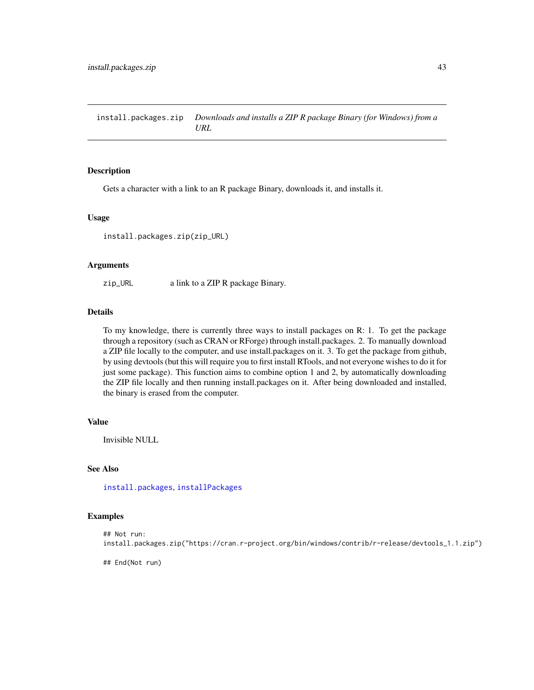<span id="page-42-0"></span>install.packages.zip *Downloads and installs a ZIP R package Binary (for Windows) from a URL*

#### Description

Gets a character with a link to an R package Binary, downloads it, and installs it.

#### Usage

install.packages.zip(zip\_URL)

#### Arguments

zip\_URL a link to a ZIP R package Binary.

# Details

To my knowledge, there is currently three ways to install packages on R: 1. To get the package through a repository (such as CRAN or RForge) through install.packages. 2. To manually download a ZIP file locally to the computer, and use install.packages on it. 3. To get the package from github, by using devtools (but this will require you to first install RTools, and not everyone wishes to do it for just some package). This function aims to combine option 1 and 2, by automatically downloading the ZIP file locally and then running install.packages on it. After being downloaded and installed, the binary is erased from the computer.

# Value

Invisible NULL

# See Also

[install.packages](#page-0-0), [installPackages](#page-0-0)

# Examples

```
## Not run:
install.packages.zip("https://cran.r-project.org/bin/windows/contrib/r-release/devtools_1.1.zip")
```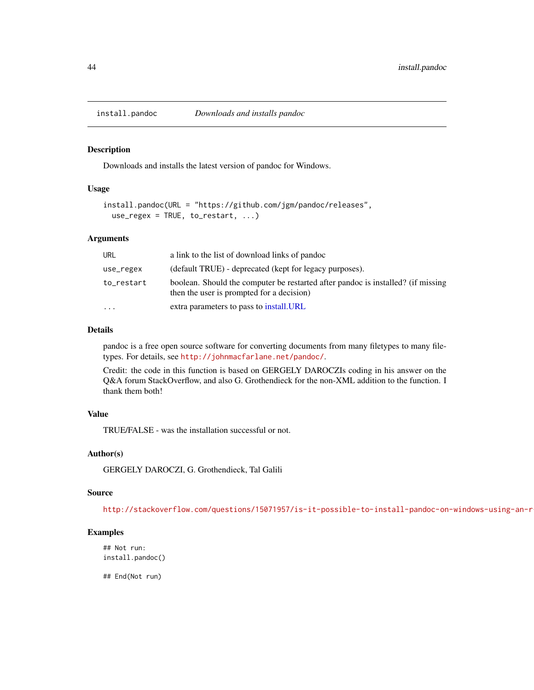<span id="page-43-0"></span>

Downloads and installs the latest version of pandoc for Windows.

#### Usage

```
install.pandoc(URL = "https://github.com/jgm/pandoc/releases",
 use_regex = TRUE, to_restart, ...)
```
#### Arguments

| URL        | a link to the list of download links of pandoc                                                                                |
|------------|-------------------------------------------------------------------------------------------------------------------------------|
| use_regex  | (default TRUE) - deprecated (kept for legacy purposes).                                                                       |
| to_restart | boolean. Should the computer be restarted after pandoc is installed? (if missing<br>then the user is prompted for a decision) |
| $\cdots$   | extra parameters to pass to install. URL                                                                                      |

## Details

pandoc is a free open source software for converting documents from many filetypes to many filetypes. For details, see <http://johnmacfarlane.net/pandoc/>.

Credit: the code in this function is based on GERGELY DAROCZIs coding in his answer on the Q&A forum StackOverflow, and also G. Grothendieck for the non-XML addition to the function. I thank them both!

#### Value

TRUE/FALSE - was the installation successful or not.

## Author(s)

GERGELY DAROCZI, G. Grothendieck, Tal Galili

## Source

http://stackoverflow.com/questions/15071957/is-it-possible-to-install-pandoc-on-windows-using-an-r

## Examples

```
## Not run:
install.pandoc()
```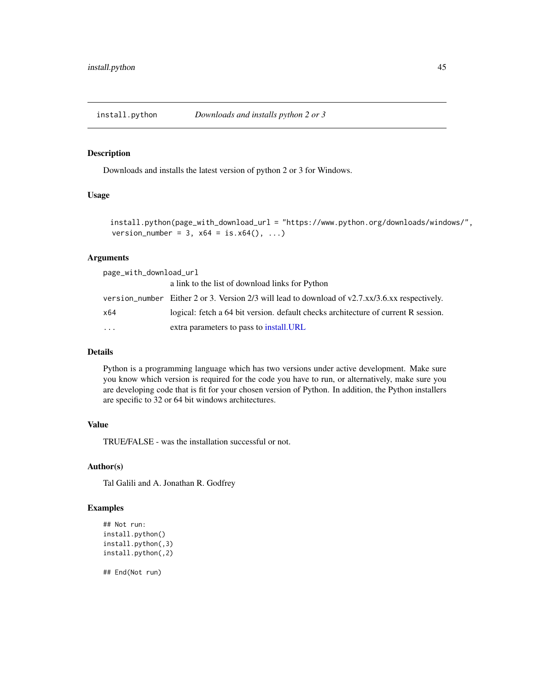install.python *Downloads and installs python 2 or 3*

# Description

Downloads and installs the latest version of python 2 or 3 for Windows.

#### Usage

install.python(page\_with\_download\_url = "https://www.python.org/downloads/windows/", version\_number = 3,  $x64 = is.x64(), ...$ 

#### Arguments

| page_with_download_url |                                                                                                     |  |
|------------------------|-----------------------------------------------------------------------------------------------------|--|
|                        | a link to the list of download links for Python                                                     |  |
|                        | version_number Either 2 or 3. Version $2/3$ will lead to download of $v2.7.xx/3.6.xx$ respectively. |  |
| x64                    | logical: fetch a 64 bit version, default checks architecture of current R session.                  |  |
| $\ddots$               | extra parameters to pass to install. URL                                                            |  |

#### Details

Python is a programming language which has two versions under active development. Make sure you know which version is required for the code you have to run, or alternatively, make sure you are developing code that is fit for your chosen version of Python. In addition, the Python installers are specific to 32 or 64 bit windows architectures.

#### Value

TRUE/FALSE - was the installation successful or not.

#### Author(s)

Tal Galili and A. Jonathan R. Godfrey

# Examples

```
## Not run:
install.python()
install.python(,3)
install.python(,2)
```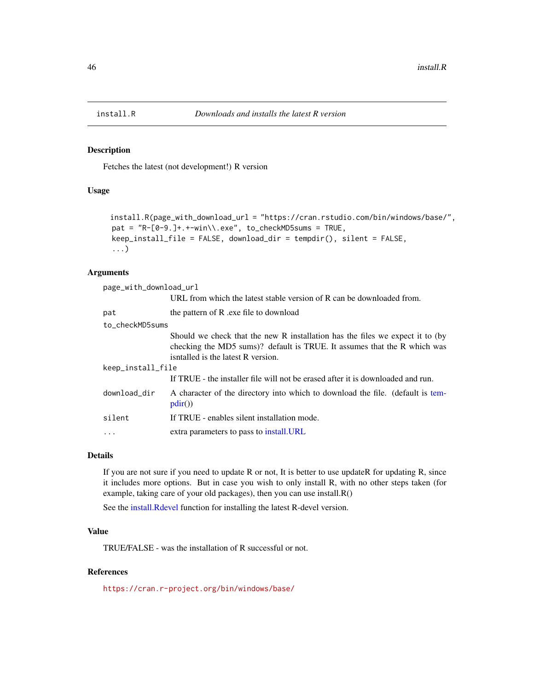<span id="page-45-0"></span>

Fetches the latest (not development!) R version

# Usage

```
install.R(page_with_download_url = "https://cran.rstudio.com/bin/windows/base/",
pat = "R-[0-9.]+.+-win\\.exe", to_checkMD5sums = TRUE,keep_install_file = FALSE, download_dir = tempdir(), silent = FALSE,
...)
```
## Arguments

| page_with_download_url |                                                                                                                                                                                                 |  |  |
|------------------------|-------------------------------------------------------------------------------------------------------------------------------------------------------------------------------------------------|--|--|
|                        | URL from which the latest stable version of R can be downloaded from.                                                                                                                           |  |  |
| pat                    | the pattern of R .exe file to download                                                                                                                                                          |  |  |
|                        | to checkMD5sums                                                                                                                                                                                 |  |  |
|                        | Should we check that the new R installation has the files we expect it to (by<br>checking the MD5 sums)? default is TRUE. It assumes that the R which was<br>isntalled is the latest R version. |  |  |
| keep_install_file      |                                                                                                                                                                                                 |  |  |
|                        | If TRUE - the installer file will not be erased after it is downloaded and run.                                                                                                                 |  |  |
| download_dir           | A character of the directory into which to download the file. (default is tem-<br>pdir()                                                                                                        |  |  |
| silent                 | If TRUE - enables silent installation mode.                                                                                                                                                     |  |  |
|                        | extra parameters to pass to install. URL                                                                                                                                                        |  |  |

#### Details

If you are not sure if you need to update R or not, It is better to use updateR for updating R, since it includes more options. But in case you wish to only install R, with no other steps taken (for example, taking care of your old packages), then you can use install.R()

See the [install.Rdevel](#page-46-0) function for installing the latest R-devel version.

## Value

TRUE/FALSE - was the installation of R successful or not.

# References

<https://cran.r-project.org/bin/windows/base/>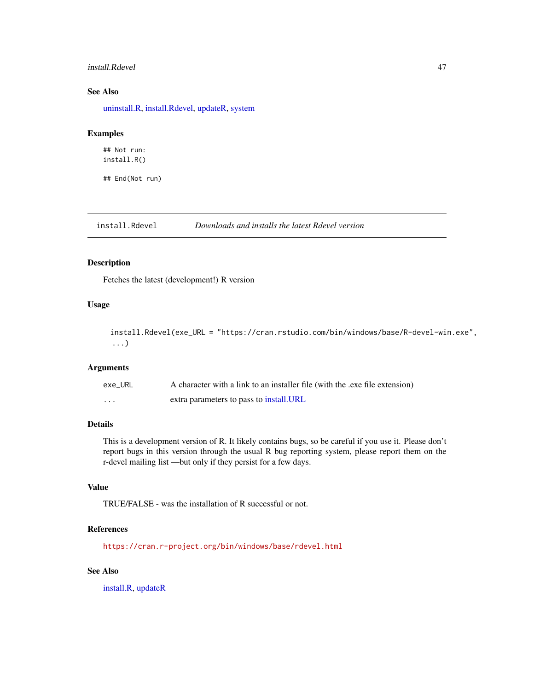## install.Rdevel 47

# See Also

[uninstall.R,](#page-86-0) [install.Rdevel,](#page-46-0) [updateR,](#page-87-0) [system](#page-0-0)

## Examples

## Not run: install.R()

## End(Not run)

<span id="page-46-0"></span>install.Rdevel *Downloads and installs the latest Rdevel version*

# Description

Fetches the latest (development!) R version

#### Usage

install.Rdevel(exe\_URL = "https://cran.rstudio.com/bin/windows/base/R-devel-win.exe", ...)

#### Arguments

| exe URL | A character with a link to an installer file (with the .exe file extension) |
|---------|-----------------------------------------------------------------------------|
| .       | extra parameters to pass to install. URL                                    |

# Details

This is a development version of R. It likely contains bugs, so be careful if you use it. Please don't report bugs in this version through the usual R bug reporting system, please report them on the r-devel mailing list —but only if they persist for a few days.

#### Value

TRUE/FALSE - was the installation of R successful or not.

## References

<https://cran.r-project.org/bin/windows/base/rdevel.html>

# See Also

[install.R,](#page-45-0) [updateR](#page-87-0)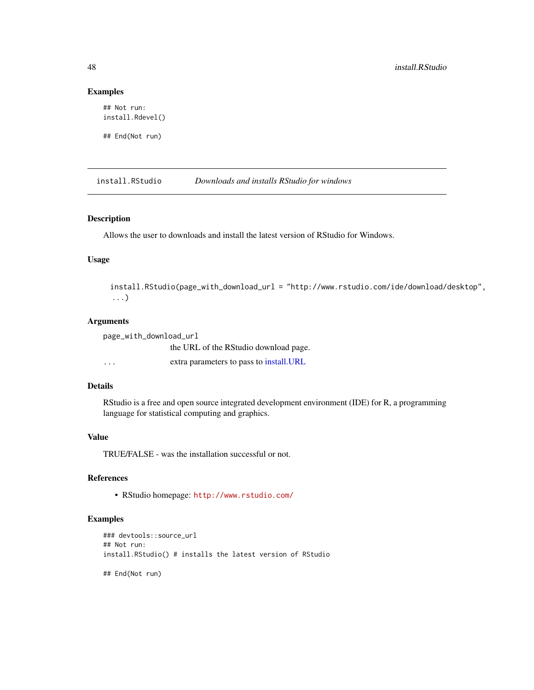## Examples

```
## Not run:
install.Rdevel()
```
## End(Not run)

<span id="page-47-0"></span>install.RStudio *Downloads and installs RStudio for windows*

#### Description

Allows the user to downloads and install the latest version of RStudio for Windows.

# Usage

install.RStudio(page\_with\_download\_url = "http://www.rstudio.com/ide/download/desktop", ...)

#### Arguments

| page_with_download_url |                                          |  |
|------------------------|------------------------------------------|--|
|                        | the URL of the RStudio download page.    |  |
| $\cdot$                | extra parameters to pass to install. URL |  |

# Details

RStudio is a free and open source integrated development environment (IDE) for R, a programming language for statistical computing and graphics.

#### Value

TRUE/FALSE - was the installation successful or not.

## References

• RStudio homepage: <http://www.rstudio.com/>

#### Examples

```
### devtools::source_url
## Not run:
install.RStudio() # installs the latest version of RStudio
## End(Not run)
```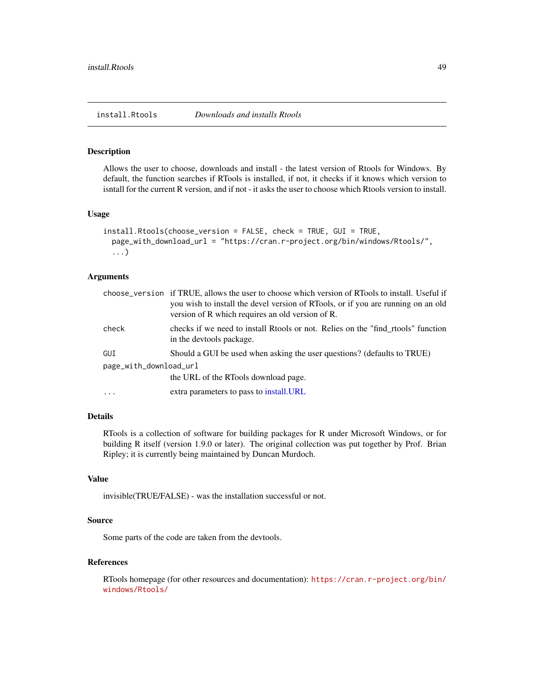<span id="page-48-0"></span>install.Rtools *Downloads and installs Rtools*

#### **Description**

Allows the user to choose, downloads and install - the latest version of Rtools for Windows. By default, the function searches if RTools is installed, if not, it checks if it knows which version to isntall for the current R version, and if not - it asks the user to choose which Rtools version to install.

#### Usage

```
install.Rtools(choose_version = FALSE, check = TRUE, GUI = TRUE,
 page_with_download_url = "https://cran.r-project.org/bin/windows/Rtools/",
  ...)
```
## **Arguments**

|                        | choose_version if TRUE, allows the user to choose which version of RTools to install. Useful if<br>you wish to install the devel version of RTools, or if you are running on an old<br>version of R which requires an old version of R. |
|------------------------|-----------------------------------------------------------------------------------------------------------------------------------------------------------------------------------------------------------------------------------------|
| check                  | checks if we need to install Rtools or not. Relies on the "find_rtools" function<br>in the devtools package.                                                                                                                            |
| GUI                    | Should a GUI be used when asking the user questions? (defaults to TRUE)                                                                                                                                                                 |
| page_with_download_url |                                                                                                                                                                                                                                         |
|                        | the URL of the RTools download page.                                                                                                                                                                                                    |
| $\cdots$               | extra parameters to pass to install. URL                                                                                                                                                                                                |

## Details

RTools is a collection of software for building packages for R under Microsoft Windows, or for building R itself (version 1.9.0 or later). The original collection was put together by Prof. Brian Ripley; it is currently being maintained by Duncan Murdoch.

## Value

invisible(TRUE/FALSE) - was the installation successful or not.

# Source

Some parts of the code are taken from the devtools.

# References

RTools homepage (for other resources and documentation): [https://cran.r-project.org/bin/](https://cran.r-project.org/bin/windows/Rtools/) [windows/Rtools/](https://cran.r-project.org/bin/windows/Rtools/)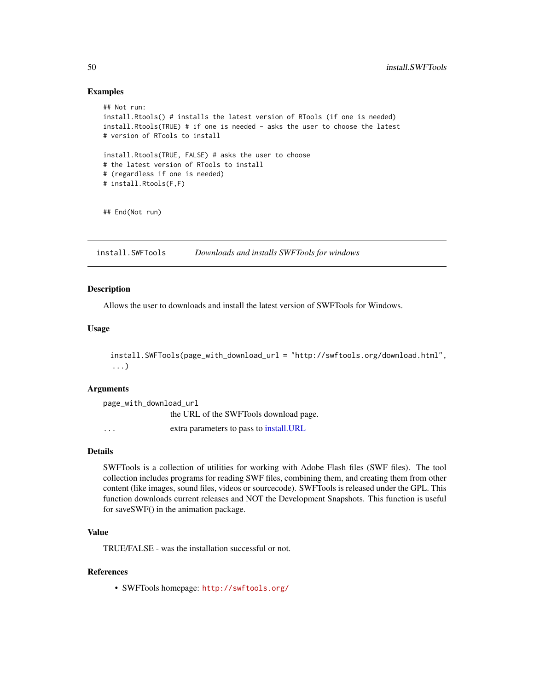## Examples

```
## Not run:
install.Rtools() # installs the latest version of RTools (if one is needed)
install.Rtools(TRUE) # if one is needed - asks the user to choose the latest
# version of RTools to install
install.Rtools(TRUE, FALSE) # asks the user to choose
# the latest version of RTools to install
# (regardless if one is needed)
# install.Rtools(F,F)
## End(Not run)
```
install.SWFTools *Downloads and installs SWFTools for windows*

#### **Description**

Allows the user to downloads and install the latest version of SWFTools for Windows.

#### Usage

```
install.SWFTools(page_with_download_url = "http://swftools.org/download.html",
...)
```
# Arguments

```
page_with_download_url
               the URL of the SWFTools download page.
... extra parameters to pass to install.URL
```
## Details

SWFTools is a collection of utilities for working with Adobe Flash files (SWF files). The tool collection includes programs for reading SWF files, combining them, and creating them from other content (like images, sound files, videos or sourcecode). SWFTools is released under the GPL. This function downloads current releases and NOT the Development Snapshots. This function is useful for saveSWF() in the animation package.

# Value

TRUE/FALSE - was the installation successful or not.

# References

• SWFTools homepage: <http://swftools.org/>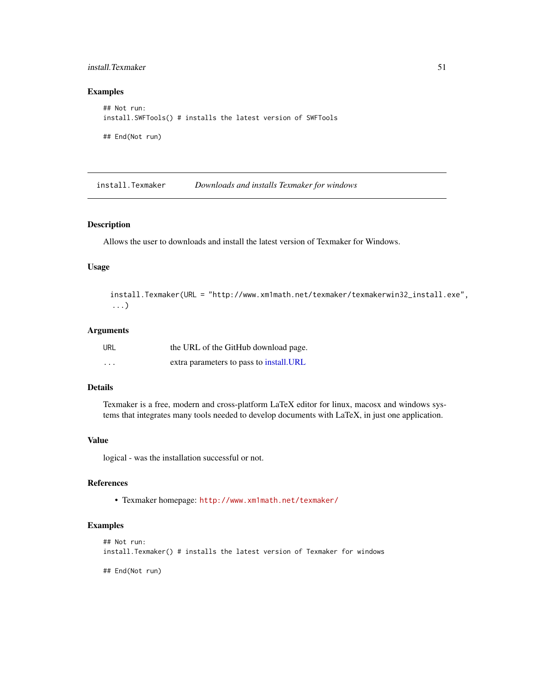## install.Texmaker 51

## Examples

```
## Not run:
install.SWFTools() # installs the latest version of SWFTools
## End(Not run)
```
install.Texmaker *Downloads and installs Texmaker for windows*

# Description

Allows the user to downloads and install the latest version of Texmaker for Windows.

#### Usage

```
install.Texmaker(URL = "http://www.xm1math.net/texmaker/texmakerwin32_install.exe",
...)
```
# Arguments

| URL                     | the URL of the GitHub download page.     |
|-------------------------|------------------------------------------|
| $\cdot$ $\cdot$ $\cdot$ | extra parameters to pass to install. URL |

# Details

Texmaker is a free, modern and cross-platform LaTeX editor for linux, macosx and windows systems that integrates many tools needed to develop documents with LaTeX, in just one application.

# Value

logical - was the installation successful or not.

# References

• Texmaker homepage: <http://www.xm1math.net/texmaker/>

#### Examples

```
## Not run:
install.Texmaker() # installs the latest version of Texmaker for windows
## End(Not run)
```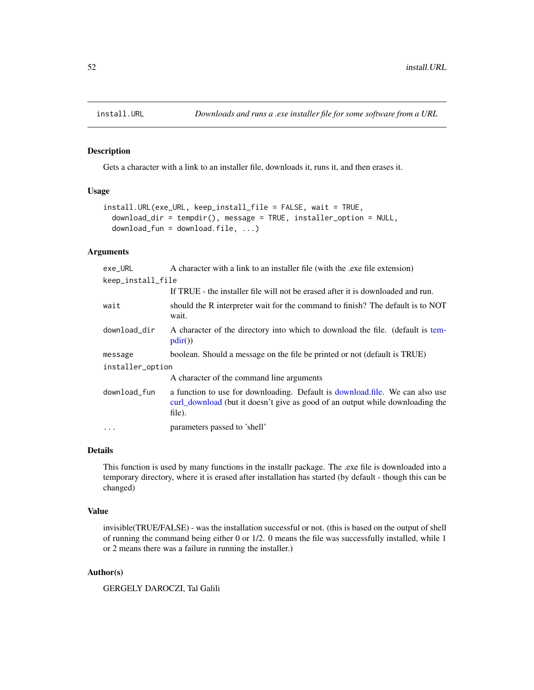<span id="page-51-0"></span>

Gets a character with a link to an installer file, downloads it, runs it, and then erases it.

## Usage

```
install.URL(exe_URL, keep_install_file = FALSE, wait = TRUE,
  download_dir = tempdir(), message = TRUE, installer_option = NULL,
  download_fun = download.file, ...)
```
# Arguments

| exe_URL           | A character with a link to an installer file (with the .exe file extension)                                                                                             |  |  |  |  |
|-------------------|-------------------------------------------------------------------------------------------------------------------------------------------------------------------------|--|--|--|--|
| keep_install_file |                                                                                                                                                                         |  |  |  |  |
|                   | If TRUE - the installer file will not be erased after it is downloaded and run.                                                                                         |  |  |  |  |
| wait              | should the R interpreter wait for the command to finish? The default is to NOT<br>wait.                                                                                 |  |  |  |  |
| download_dir      | A character of the directory into which to download the file. (default is tem-<br>pdir()                                                                                |  |  |  |  |
| message           | boolean. Should a message on the file be printed or not (default is TRUE)                                                                                               |  |  |  |  |
| installer_option  |                                                                                                                                                                         |  |  |  |  |
|                   | A character of the command line arguments                                                                                                                               |  |  |  |  |
| download_fun      | a function to use for downloading. Default is download.file. We can also use<br>curl_download (but it doesn't give as good of an output while downloading the<br>file). |  |  |  |  |
| .                 | parameters passed to 'shell'                                                                                                                                            |  |  |  |  |

#### Details

This function is used by many functions in the installr package. The .exe file is downloaded into a temporary directory, where it is erased after installation has started (by default - though this can be changed)

#### Value

invisible(TRUE/FALSE) - was the installation successful or not. (this is based on the output of shell of running the command being either 0 or 1/2. 0 means the file was successfully installed, while 1 or 2 means there was a failure in running the installer.)

## Author(s)

GERGELY DAROCZI, Tal Galili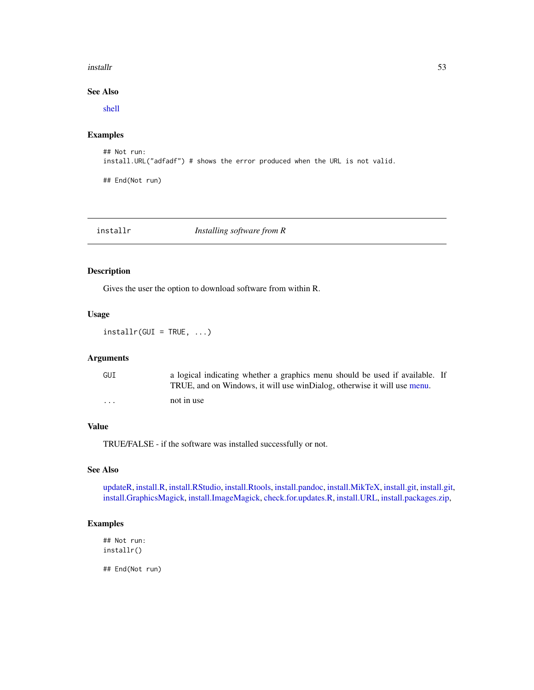#### installr **53**

# See Also

[shell](#page-0-0)

# Examples

```
## Not run:
install.URL("adfadf") # shows the error produced when the URL is not valid.
```
## End(Not run)

# installr *Installing software from R*

# Description

Gives the user the option to download software from within R.

## Usage

 $installr(GUI = TRUE, ...)$ 

## Arguments

| GUI | a logical indicating whether a graphics menu should be used if available. If<br>TRUE, and on Windows, it will use winDialog, otherwise it will use menu. |  |
|-----|----------------------------------------------------------------------------------------------------------------------------------------------------------|--|
| .   | not in use                                                                                                                                               |  |

# Value

TRUE/FALSE - if the software was installed successfully or not.

# See Also

[updateR,](#page-87-0) [install.R,](#page-45-0) [install.RStudio,](#page-47-0) [install.Rtools,](#page-48-0) [install.pandoc,](#page-43-0) [install.MikTeX,](#page-38-0) [install.git,](#page-30-0) [install.git,](#page-30-0) [install.GraphicsMagick,](#page-32-0) [install.ImageMagick,](#page-33-0) [check.for.updates.R,](#page-10-0) [install.URL,](#page-51-0) [install.packages.zip,](#page-42-0)

## Examples

## Not run: installr()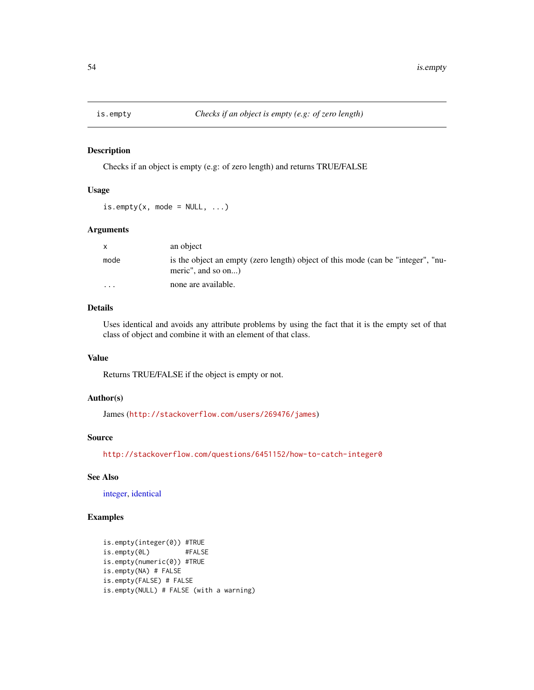Checks if an object is empty (e.g: of zero length) and returns TRUE/FALSE

#### Usage

```
is.empty(x, mode = NULL, ...)
```
## Arguments

| $\mathsf{x}$ | an object                                                                                              |
|--------------|--------------------------------------------------------------------------------------------------------|
| mode         | is the object an empty (zero length) object of this mode (can be "integer", "nu-<br>meric", and so on) |
| $\cdot$      | none are available.                                                                                    |

# Details

Uses identical and avoids any attribute problems by using the fact that it is the empty set of that class of object and combine it with an element of that class.

## Value

Returns TRUE/FALSE if the object is empty or not.

# Author(s)

James (<http://stackoverflow.com/users/269476/james>)

## Source

<http://stackoverflow.com/questions/6451152/how-to-catch-integer0>

# See Also

[integer,](#page-0-0) [identical](#page-0-0)

# Examples

```
is.empty(integer(0)) #TRUE
is.empty(0L) #FALSE
is.empty(numeric(0)) #TRUE
is.empty(NA) # FALSE
is.empty(FALSE) # FALSE
is.empty(NULL) # FALSE (with a warning)
```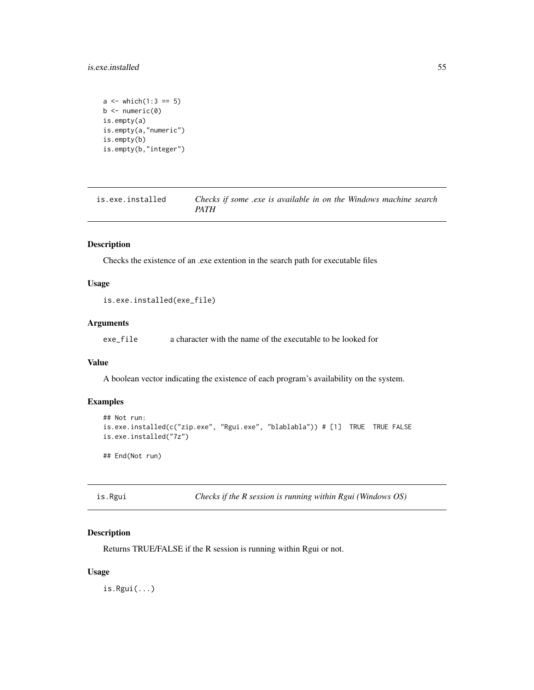## is.exe.installed 55

```
a \le - which(1:3 == 5)
b \leftarrow numeric(0)
is.empty(a)
is.empty(a,"numeric")
is.empty(b)
is.empty(b,"integer")
```

| is.exe.installed | Checks if some .exe is available in on the Windows machine search |
|------------------|-------------------------------------------------------------------|
|                  | PATH                                                              |

# Description

Checks the existence of an .exe extention in the search path for executable files

# Usage

```
is.exe.installed(exe_file)
```
# Arguments

exe\_file a character with the name of the executable to be looked for

## Value

A boolean vector indicating the existence of each program's availability on the system.

# Examples

```
## Not run:
is.exe.installed(c("zip.exe", "Rgui.exe", "blablabla")) # [1] TRUE TRUE FALSE
is.exe.installed("7z")
## End(Not run)
```
is.Rgui *Checks if the R session is running within Rgui (Windows OS)*

## Description

Returns TRUE/FALSE if the R session is running within Rgui or not.

## Usage

is.Rgui(...)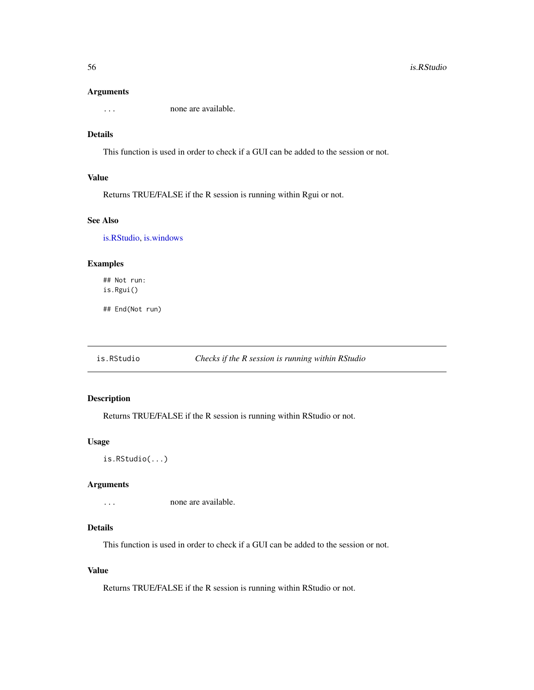#### Arguments

... none are available.

# Details

This function is used in order to check if a GUI can be added to the session or not.

# Value

Returns TRUE/FALSE if the R session is running within Rgui or not.

# See Also

[is.RStudio,](#page-55-0) [is.windows](#page-56-0)

# Examples

## Not run: is.Rgui()

## End(Not run)

<span id="page-55-0"></span>is.RStudio *Checks if the R session is running within RStudio*

### Description

Returns TRUE/FALSE if the R session is running within RStudio or not.

### Usage

```
is.RStudio(...)
```
### Arguments

... none are available.

# Details

This function is used in order to check if a GUI can be added to the session or not.

# Value

Returns TRUE/FALSE if the R session is running within RStudio or not.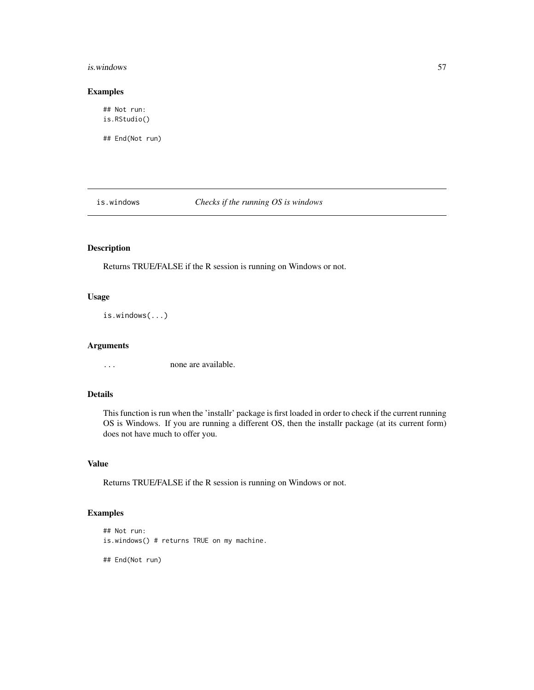#### is.windows 57

## Examples

## Not run: is.RStudio()

## End(Not run)

<span id="page-56-0"></span>is.windows *Checks if the running OS is windows*

# Description

Returns TRUE/FALSE if the R session is running on Windows or not.

# Usage

is.windows(...)

# Arguments

... none are available.

# Details

This function is run when the 'installr' package is first loaded in order to check if the current running OS is Windows. If you are running a different OS, then the installr package (at its current form) does not have much to offer you.

## Value

Returns TRUE/FALSE if the R session is running on Windows or not.

# Examples

```
## Not run:
is.windows() # returns TRUE on my machine.
```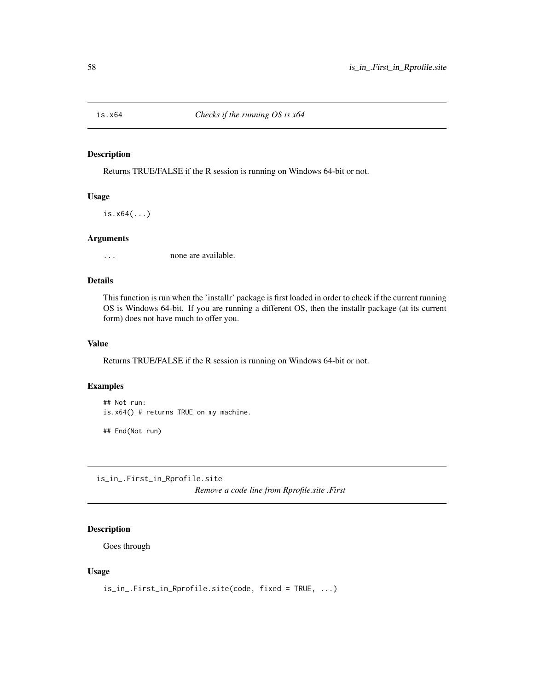Returns TRUE/FALSE if the R session is running on Windows 64-bit or not.

# Usage

is.x64(...)

## **Arguments**

... none are available.

#### Details

This function is run when the 'installr' package is first loaded in order to check if the current running OS is Windows 64-bit. If you are running a different OS, then the installr package (at its current form) does not have much to offer you.

# Value

Returns TRUE/FALSE if the R session is running on Windows 64-bit or not.

#### Examples

## Not run: is.x64() # returns TRUE on my machine.

## End(Not run)

is\_in\_.First\_in\_Rprofile.site

*Remove a code line from Rprofile.site .First*

## Description

Goes through

# Usage

```
is_in_.First_in_Rprofile.site(code, fixed = TRUE, ...)
```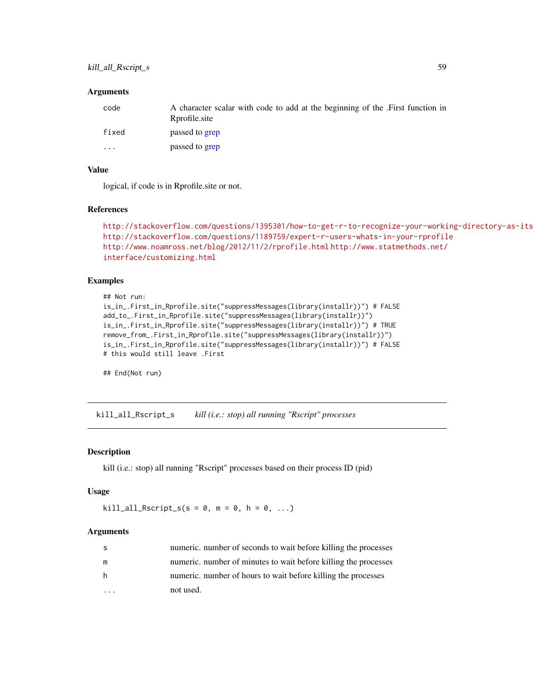#### **Arguments**

| code  | A character scalar with code to add at the beginning of the . First function in<br>Rprofile site |
|-------|--------------------------------------------------------------------------------------------------|
| fixed | passed to grep                                                                                   |
| .     | passed to grep                                                                                   |

## Value

logical, if code is in Rprofile.site or not.

#### References

```
http://stackoverflow.com/questions/1395301/how-to-get-r-to-recognize-your-working-directory-as-its-working-directory
http://stackoverflow.com/questions/1189759/expert-r-users-whats-in-your-rprofile
http://www.noamross.net/blog/2012/11/2/rprofile.html http://www.statmethods.net/
interface/customizing.html
```
## Examples

```
## Not run:
is_in_.First_in_Rprofile.site("suppressMessages(library(installr))") # FALSE
add_to_.First_in_Rprofile.site("suppressMessages(library(installr))")
is_in_.First_in_Rprofile.site("suppressMessages(library(installr))") # TRUE
remove_from_.First_in_Rprofile.site("suppressMessages(library(installr))")
is_in_.First_in_Rprofile.site("suppressMessages(library(installr))") # FALSE
# this would still leave .First
```
## End(Not run)

<span id="page-58-0"></span>kill\_all\_Rscript\_s *kill (i.e.: stop) all running "Rscript" processes*

# Description

kill (i.e.: stop) all running "Rscript" processes based on their process ID (pid)

#### Usage

```
kill\_all\_Rscript_s(s = 0, m = 0, h = 0, ...)
```

| -S | numeric. number of seconds to wait before killing the processes |
|----|-----------------------------------------------------------------|
| m  | numeric, number of minutes to wait before killing the processes |
| h  | numeric, number of hours to wait before killing the processes   |
|    | not used.                                                       |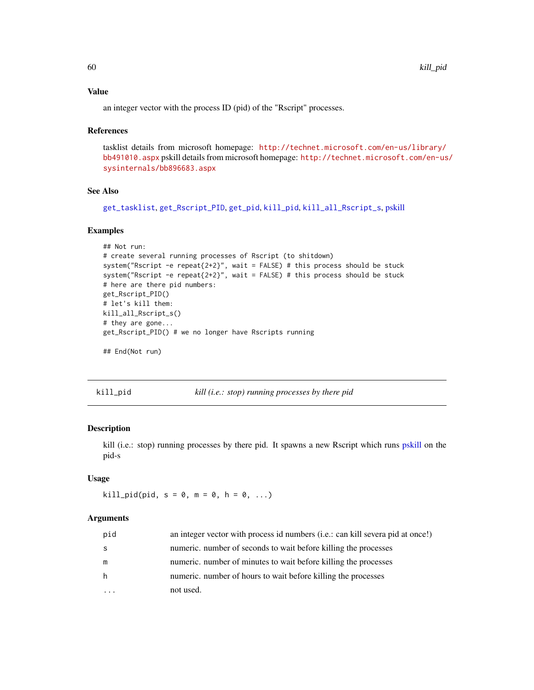## Value

an integer vector with the process ID (pid) of the "Rscript" processes.

#### References

tasklist details from microsoft homepage: [http://technet.microsoft.com/en-us/library/](http://technet.microsoft.com/en-us/library/bb491010.aspx) [bb491010.aspx](http://technet.microsoft.com/en-us/library/bb491010.aspx) pskill details from microsoft homepage: [http://technet.microsoft.com/en-us](http://technet.microsoft.com/en-us/sysinternals/bb896683.aspx)/ [sysinternals/bb896683.aspx](http://technet.microsoft.com/en-us/sysinternals/bb896683.aspx)

# See Also

[get\\_tasklist](#page-25-0), [get\\_Rscript\\_PID](#page-24-0), [get\\_pid](#page-23-0), [kill\\_pid](#page-59-0), [kill\\_all\\_Rscript\\_s](#page-58-0), [pskill](#page-0-0)

## Examples

```
## Not run:
# create several running processes of Rscript (to shitdown)
system("Rscript -e repeat{2+2}", wait = FALSE) # this process should be stuck
system("Rscript -e repeat{2+2}", wait = FALSE) # this process should be stuck
# here are there pid numbers:
get_Rscript_PID()
# let's kill them:
kill_all_Rscript_s()
# they are gone...
get_Rscript_PID() # we no longer have Rscripts running
## End(Not run)
```
<span id="page-59-0"></span>

kill\_pid *kill (i.e.: stop) running processes by there pid*

## Description

kill (i.e.: stop) running processes by there pid. It spawns a new Rscript which runs [pskill](#page-0-0) on the pid-s

# Usage

 $kill\_pid(pid, s = 0, m = 0, h = 0, ...)$ 

| pid | an integer vector with process id numbers (i.e.: can kill severa pid at once!) |
|-----|--------------------------------------------------------------------------------|
| -S  | numeric, number of seconds to wait before killing the processes                |
| m   | numeric, number of minutes to wait before killing the processes                |
| -h  | numeric. number of hours to wait before killing the processes                  |
|     | not used.                                                                      |
|     |                                                                                |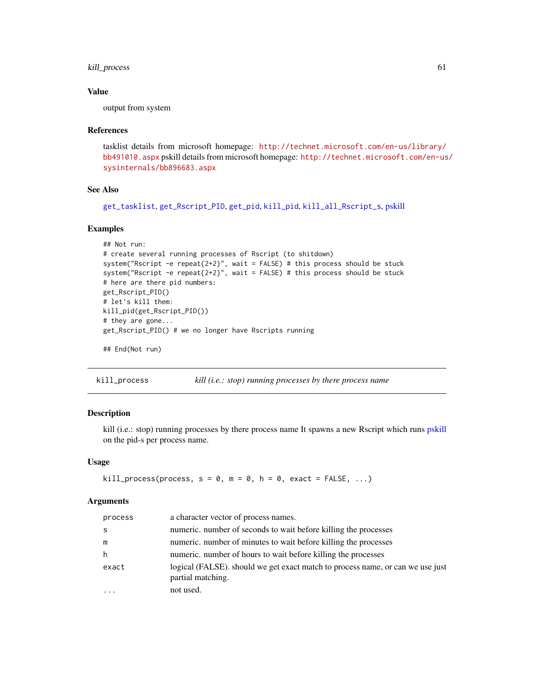# kill\_process 61

## Value

output from system

#### References

tasklist details from microsoft homepage: [http://technet.microsoft.com/en-us/library/](http://technet.microsoft.com/en-us/library/bb491010.aspx) [bb491010.aspx](http://technet.microsoft.com/en-us/library/bb491010.aspx) pskill details from microsoft homepage: [http://technet.microsoft.com/en-us](http://technet.microsoft.com/en-us/sysinternals/bb896683.aspx)/ [sysinternals/bb896683.aspx](http://technet.microsoft.com/en-us/sysinternals/bb896683.aspx)

# See Also

```
get_tasklist, get_Rscript_PID, get_pid, kill_pid, kill_all_Rscript_s, pskill
```
## Examples

```
## Not run:
# create several running processes of Rscript (to shitdown)
system("Rscript -e repeat{2+2}", wait = FALSE) # this process should be stuck
system("Rscript -e repeat{2+2}", wait = FALSE) # this process should be stuck
# here are there pid numbers:
get_Rscript_PID()
# let's kill them:
kill_pid(get_Rscript_PID())
# they are gone...
get_Rscript_PID() # we no longer have Rscripts running
## End(Not run)
```
kill\_process *kill (i.e.: stop) running processes by there process name*

# Description

kill (i.e.: stop) running processes by there process name It spawns a new Rscript which runs [pskill](#page-0-0) on the pid-s per process name.

#### Usage

```
kill\_process(process, s = 0, m = 0, h = 0, exact = FALSE, ...)
```

| process | a character vector of process names.                                                                |
|---------|-----------------------------------------------------------------------------------------------------|
| S       | numeric, number of seconds to wait before killing the processes                                     |
| m       | numeric, number of minutes to wait before killing the processes                                     |
| h.      | numeric, number of hours to wait before killing the processes                                       |
| exact   | logical (FALSE), should we get exact match to process name, or can we use just<br>partial matching. |
|         | not used.                                                                                           |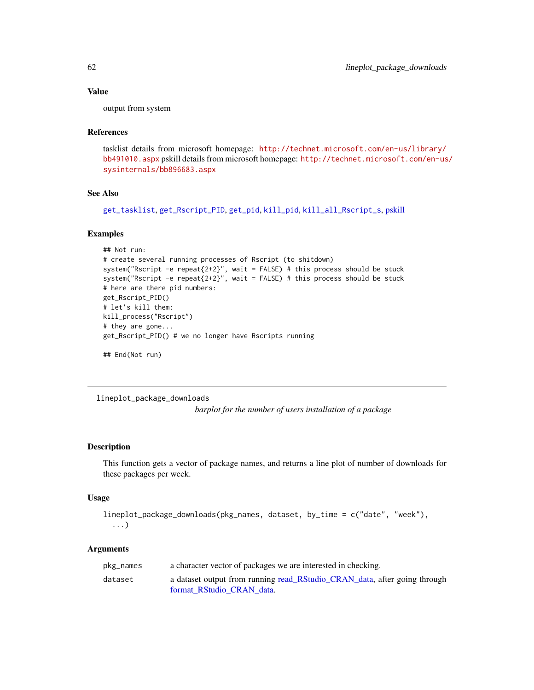## Value

output from system

# References

tasklist details from microsoft homepage: [http://technet.microsoft.com/en-us/library/](http://technet.microsoft.com/en-us/library/bb491010.aspx) [bb491010.aspx](http://technet.microsoft.com/en-us/library/bb491010.aspx) pskill details from microsoft homepage: [http://technet.microsoft.com/en-us](http://technet.microsoft.com/en-us/sysinternals/bb896683.aspx)/ [sysinternals/bb896683.aspx](http://technet.microsoft.com/en-us/sysinternals/bb896683.aspx)

#### See Also

```
get_tasklist, get_Rscript_PID, get_pid, kill_pid, kill_all_Rscript_s, pskill
```
#### Examples

```
## Not run:
# create several running processes of Rscript (to shitdown)
system("Rscript -e repeat\{2+2\}", wait = FALSE) # this process should be stuck
system("Rscript -e repeat{2+2}", wait = FALSE) # this process should be stuck
# here are there pid numbers:
get_Rscript_PID()
# let's kill them:
kill_process("Rscript")
# they are gone...
get_Rscript_PID() # we no longer have Rscripts running
## End(Not run)
```
lineplot\_package\_downloads

*barplot for the number of users installation of a package*

# Description

This function gets a vector of package names, and returns a line plot of number of downloads for these packages per week.

# Usage

```
lineplot_package_downloads(pkg_names, dataset, by_time = c("date", "week"),
  ...)
```

| pkg_names | a character vector of packages we are interested in checking.                                          |
|-----------|--------------------------------------------------------------------------------------------------------|
| dataset   | a dataset output from running read_RStudio_CRAN_data, after going through<br>format RStudio CRAN data. |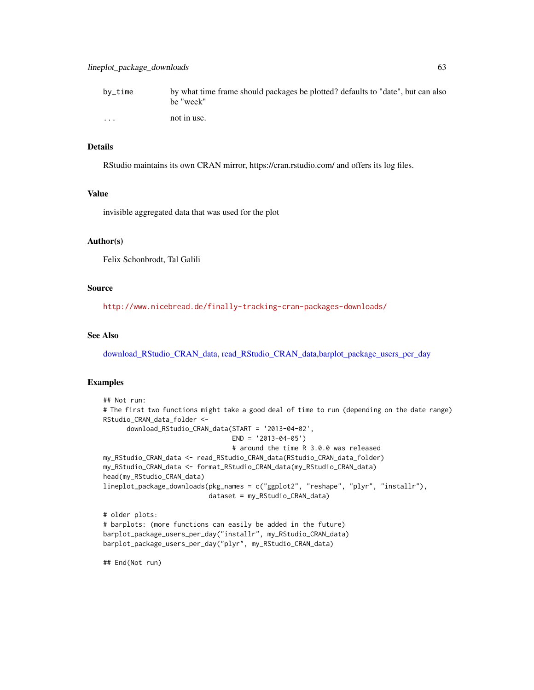| $by$ _time | by what time frame should packages be plotted? defaults to "date", but can also |
|------------|---------------------------------------------------------------------------------|
|            | he "week"                                                                       |
| $\cdot$    | not in use.                                                                     |

#### Details

RStudio maintains its own CRAN mirror, https://cran.rstudio.com/ and offers its log files.

## Value

invisible aggregated data that was used for the plot

#### Author(s)

Felix Schonbrodt, Tal Galili

# Source

<http://www.nicebread.de/finally-tracking-cran-packages-downloads/>

## See Also

[download\\_RStudio\\_CRAN\\_data,](#page-16-0) [read\\_RStudio\\_CRAN\\_data](#page-74-0)[,barplot\\_package\\_users\\_per\\_day](#page-8-0)

## Examples

```
## Not run:
# The first two functions might take a good deal of time to run (depending on the date range)
RStudio_CRAN_data_folder <-
      download_RStudio_CRAN_data(START = '2013-04-02',
                                 END = '2013-04-05')
                                 # around the time R 3.0.0 was released
my_RStudio_CRAN_data <- read_RStudio_CRAN_data(RStudio_CRAN_data_folder)
my_RStudio_CRAN_data <- format_RStudio_CRAN_data(my_RStudio_CRAN_data)
head(my_RStudio_CRAN_data)
lineplot_package_downloads(pkg_names = c("ggplot2", "reshape", "plyr", "installr"),
                           dataset = my_RStudio_CRAN_data)
# older plots:
# barplots: (more functions can easily be added in the future)
barplot_package_users_per_day("installr", my_RStudio_CRAN_data)
barplot_package_users_per_day("plyr", my_RStudio_CRAN_data)
```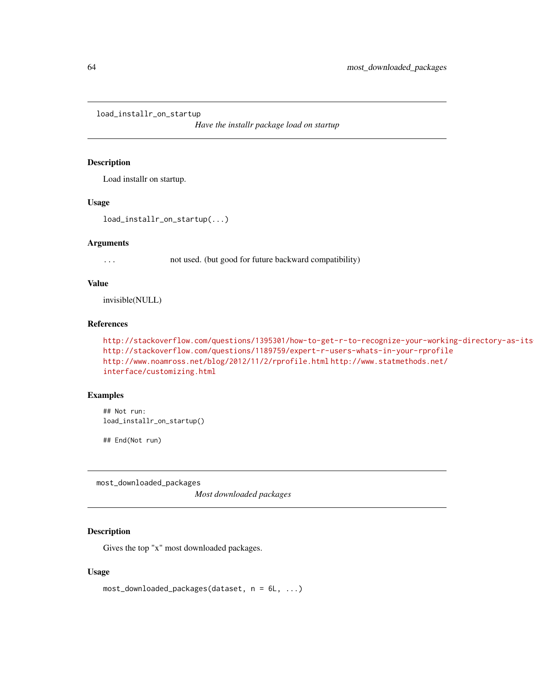load\_installr\_on\_startup

*Have the installr package load on startup*

## Description

Load installr on startup.

#### Usage

load\_installr\_on\_startup(...)

#### Arguments

... not used. (but good for future backward compatibility)

# Value

invisible(NULL)

## References

```
http://stackoverflow.com/questions/1395301/how-to-get-r-to-recognize-your-working-directory-as-its
http://stackoverflow.com/questions/1189759/expert-r-users-whats-in-your-rprofile
http://www.noamross.net/blog/2012/11/2/rprofile.html http://www.statmethods.net/
interface/customizing.html
```
#### Examples

## Not run: load\_installr\_on\_startup()

## End(Not run)

most\_downloaded\_packages

*Most downloaded packages*

# Description

Gives the top "x" most downloaded packages.

#### Usage

```
most_downloaded_packages(dataset, n = 6L, ...)
```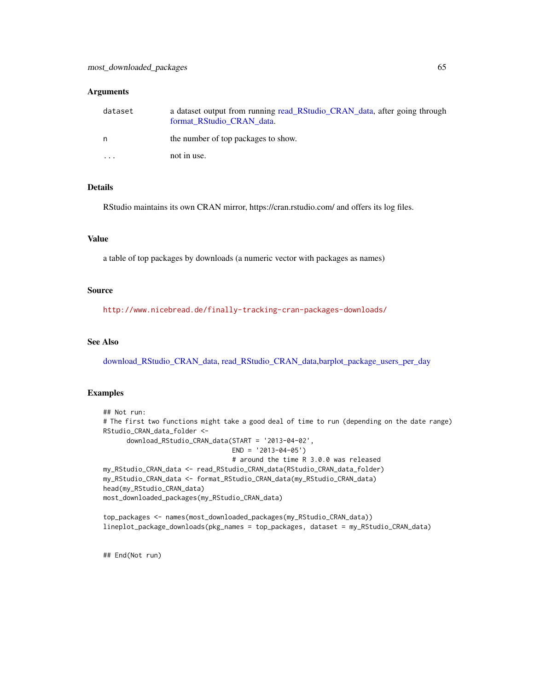#### **Arguments**

| dataset | a dataset output from running read_RStudio_CRAN_data, after going through<br>format RStudio CRAN data. |
|---------|--------------------------------------------------------------------------------------------------------|
| n       | the number of top packages to show.                                                                    |
| $\cdot$ | not in use.                                                                                            |

## Details

RStudio maintains its own CRAN mirror, https://cran.rstudio.com/ and offers its log files.

#### Value

a table of top packages by downloads (a numeric vector with packages as names)

## Source

<http://www.nicebread.de/finally-tracking-cran-packages-downloads/>

## See Also

[download\\_RStudio\\_CRAN\\_data,](#page-16-0) [read\\_RStudio\\_CRAN\\_data](#page-74-0)[,barplot\\_package\\_users\\_per\\_day](#page-8-0)

# Examples

```
## Not run:
# The first two functions might take a good deal of time to run (depending on the date range)
RStudio_CRAN_data_folder <-
      download_RStudio_CRAN_data(START = '2013-04-02',
                                 END = '2013-04-05')
                                 # around the time R 3.0.0 was released
my_RStudio_CRAN_data <- read_RStudio_CRAN_data(RStudio_CRAN_data_folder)
my_RStudio_CRAN_data <- format_RStudio_CRAN_data(my_RStudio_CRAN_data)
head(my_RStudio_CRAN_data)
most_downloaded_packages(my_RStudio_CRAN_data)
```

```
top_packages <- names(most_downloaded_packages(my_RStudio_CRAN_data))
lineplot_package_downloads(pkg_names = top_packages, dataset = my_RStudio_CRAN_data)
```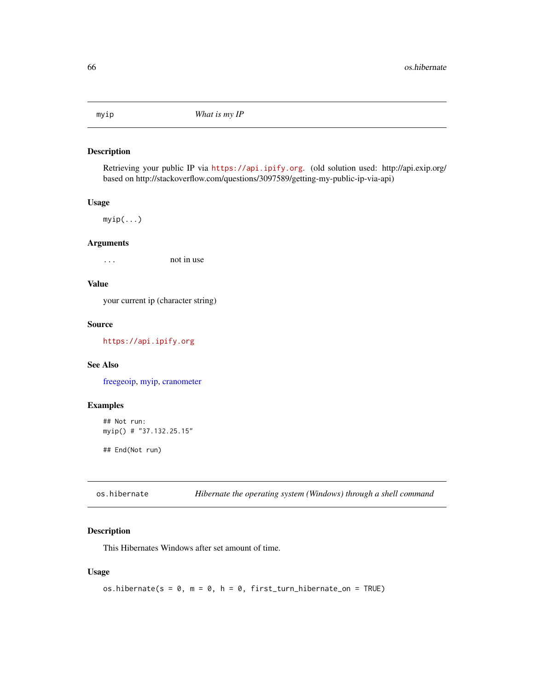<span id="page-65-0"></span>

Retrieving your public IP via <https://api.ipify.org>. (old solution used: http://api.exip.org/ based on http://stackoverflow.com/questions/3097589/getting-my-public-ip-via-api)

## Usage

myip(...)

# Arguments

... not in use

# Value

your current ip (character string)

#### Source

<https://api.ipify.org>

# See Also

[freegeoip,](#page-21-0) [myip,](#page-65-0) [cranometer](#page-14-0)

# Examples

```
## Not run:
myip() # "37.132.25.15"
```
## End(Not run)

<span id="page-65-1"></span>

| os.hibernate |  |  | Hibernate the operating system (Windows) through a shell command |  |  |
|--------------|--|--|------------------------------------------------------------------|--|--|
|--------------|--|--|------------------------------------------------------------------|--|--|

# Description

This Hibernates Windows after set amount of time.

# Usage

os.hibernate(s =  $0$ , m =  $0$ , h =  $0$ , first\_turn\_hibernate\_on = TRUE)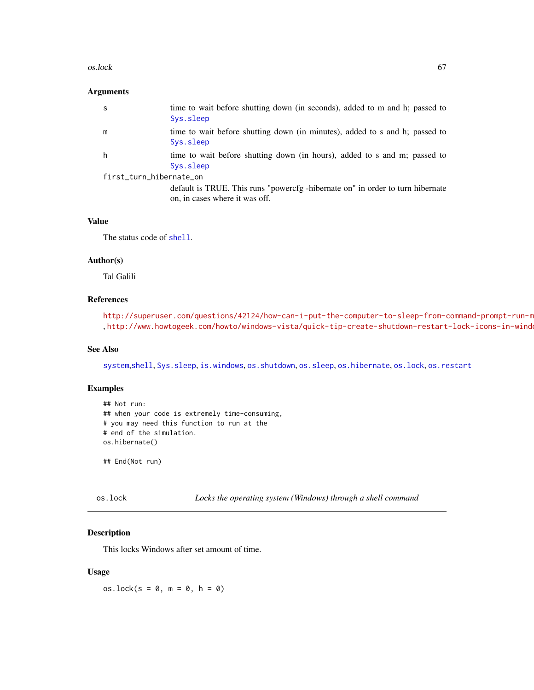#### $\alpha$ s.lock 67

#### Arguments

| -S                      | time to wait before shutting down (in seconds), added to m and h; passed to<br>Sys.sleep                         |
|-------------------------|------------------------------------------------------------------------------------------------------------------|
| m                       | time to wait before shutting down (in minutes), added to s and h; passed to<br>Sys.sleep                         |
| h.                      | time to wait before shutting down (in hours), added to s and m; passed to<br>Sys.sleep                           |
| first_turn_hibernate_on |                                                                                                                  |
|                         | default is TRUE. This runs "powercfg -hibernate on" in order to turn hibernate<br>on, in cases where it was off. |

# Value

The status code of [shell](#page-0-0).

#### Author(s)

Tal Galili

# References

http://superuser.com/questions/42124/how-can-i-put-the-computer-to-sleep-from-command-prompt-run-m , <http://www.howtogeek.com/howto/windows-vista/quick-tip-create-shutdown-restart-lock-icons-in-windows-vista/>

## See Also

[system](#page-0-0),[shell](#page-0-0), [Sys.sleep](#page-0-0), [is.windows](#page-56-0), [os.shutdown](#page-69-0), [os.sleep](#page-70-0), [os.hibernate](#page-65-1), [os.lock](#page-66-0), [os.restart](#page-68-0)

# Examples

```
## Not run:
## when your code is extremely time-consuming,
# you may need this function to run at the
# end of the simulation.
os.hibernate()
```
## End(Not run)

<span id="page-66-0"></span>os.lock *Locks the operating system (Windows) through a shell command*

## Description

This locks Windows after set amount of time.

#### Usage

 $os.\text{lock}(s = 0, m = 0, h = 0)$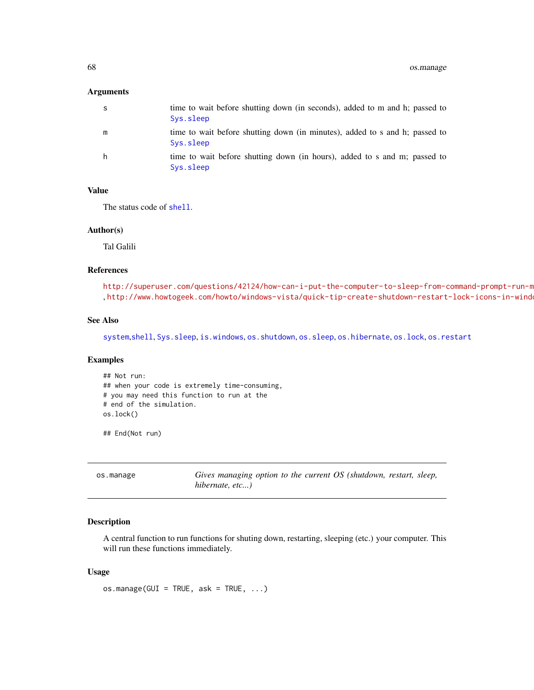#### Arguments

| -S | time to wait before shutting down (in seconds), added to m and h; passed to<br>Sys.sleep |
|----|------------------------------------------------------------------------------------------|
| m  | time to wait before shutting down (in minutes), added to s and h; passed to<br>Sys.sleep |
| h. | time to wait before shutting down (in hours), added to s and m; passed to<br>Sys.sleep   |

#### Value

The status code of [shell](#page-0-0).

#### Author(s)

Tal Galili

## References

http://superuser.com/questions/42124/how-can-i-put-the-computer-to-sleep-from-command-prompt-run-m , http://www.howtogeek.com/howto/windows-vista/quick-tip-create-shutdown-restart-lock-icons-in-wind

# See Also

[system](#page-0-0),[shell](#page-0-0), [Sys.sleep](#page-0-0), [is.windows](#page-56-0), [os.shutdown](#page-69-0), [os.sleep](#page-70-0), [os.hibernate](#page-65-1), [os.lock](#page-66-0), [os.restart](#page-68-0)

# Examples

```
## Not run:
## when your code is extremely time-consuming,
# you may need this function to run at the
# end of the simulation.
os.lock()
```
## End(Not run)

| os.manage | Gives managing option to the current OS (shutdown, restart, sleep, |  |  |  |  |
|-----------|--------------------------------------------------------------------|--|--|--|--|
|           | hibernate, etc)                                                    |  |  |  |  |

# Description

A central function to run functions for shuting down, restarting, sleeping (etc.) your computer. This will run these functions immediately.

#### Usage

 $os.maxe(GUI = TRUE, ask = TRUE, ...)$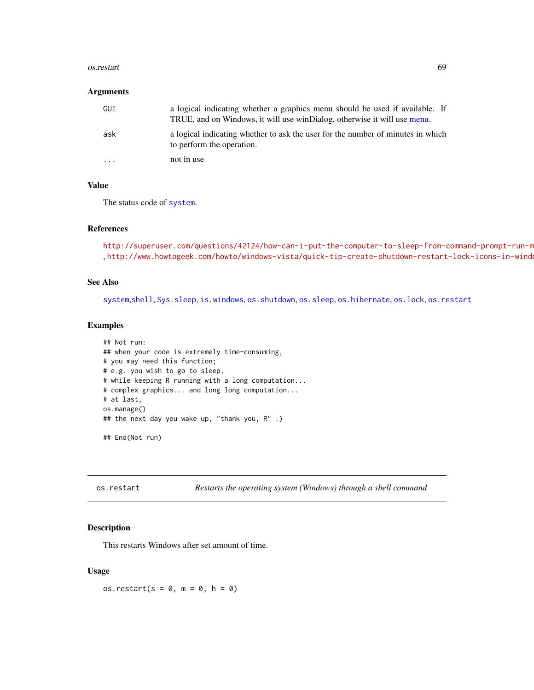#### os.restart 69

#### **Arguments**

| GUI                     | a logical indicating whether a graphics menu should be used if available. If<br>TRUE, and on Windows, it will use winDialog, otherwise it will use menu. |
|-------------------------|----------------------------------------------------------------------------------------------------------------------------------------------------------|
| ask                     | a logical indicating whether to ask the user for the number of minutes in which<br>to perform the operation.                                             |
| $\cdot$ $\cdot$ $\cdot$ | not in use                                                                                                                                               |

## Value

The status code of [system](#page-0-0).

## References

```
http://superuser.com/questions/42124/how-can-i-put-the-computer-to-sleep-from-command-prompt-run-m
, http://www.howtogeek.com/howto/windows-vista/quick-tip-create-shutdown-restart-lock-icons-in-windows-vista/
```
# See Also

[system](#page-0-0),[shell](#page-0-0), [Sys.sleep](#page-0-0), [is.windows](#page-56-0), [os.shutdown](#page-69-0), [os.sleep](#page-70-0), [os.hibernate](#page-65-1), [os.lock](#page-66-0), [os.restart](#page-68-0)

# Examples

```
## Not run:
## when your code is extremely time-consuming,
# you may need this function;
# e.g. you wish to go to sleep,
# while keeping R running with a long computation...
# complex graphics... and long long computation...
# at last,
os.manage()
## the next day you wake up, "thank you, R" :)
```
## End(Not run)

<span id="page-68-0"></span>os.restart *Restarts the operating system (Windows) through a shell command*

# Description

This restarts Windows after set amount of time.

# Usage

os.restart( $s = 0$ ,  $m = 0$ ,  $h = 0$ )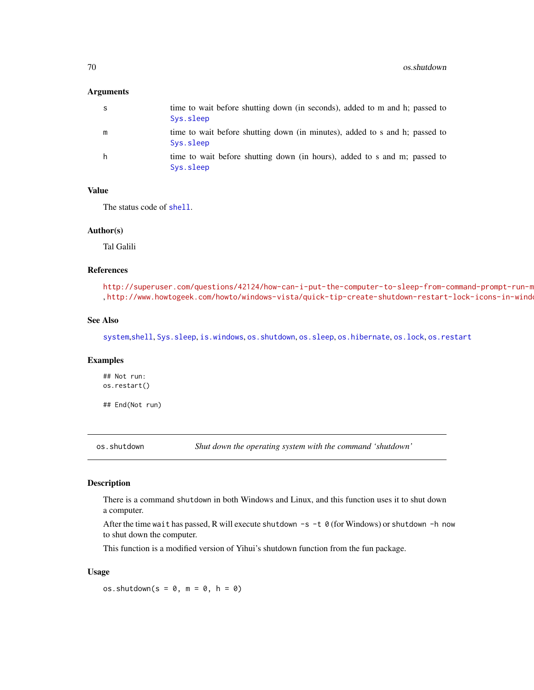#### **Arguments**

| S | time to wait before shutting down (in seconds), added to m and h; passed to<br>Sys.sleep |
|---|------------------------------------------------------------------------------------------|
| m | time to wait before shutting down (in minutes), added to s and h; passed to<br>Sys.sleep |
| h | time to wait before shutting down (in hours), added to s and m; passed to<br>Sys.sleep   |

#### Value

The status code of [shell](#page-0-0).

#### Author(s)

Tal Galili

## References

http://superuser.com/questions/42124/how-can-i-put-the-computer-to-sleep-from-command-prompt-run-m , http://www.howtogeek.com/howto/windows-vista/quick-tip-create-shutdown-restart-lock-icons-in-wind

## See Also

[system](#page-0-0),[shell](#page-0-0), [Sys.sleep](#page-0-0), [is.windows](#page-56-0), [os.shutdown](#page-69-0), [os.sleep](#page-70-0), [os.hibernate](#page-65-1), [os.lock](#page-66-0), [os.restart](#page-68-0)

#### Examples

## Not run: os.restart()

## End(Not run)

<span id="page-69-0"></span>os.shutdown *Shut down the operating system with the command 'shutdown'*

## Description

There is a command shutdown in both Windows and Linux, and this function uses it to shut down a computer.

After the time wait has passed, R will execute shutdown  $-s -t$  0 (for Windows) or shutdown -h now to shut down the computer.

This function is a modified version of Yihui's shutdown function from the fun package.

#### Usage

os.shutdown( $s = 0$ ,  $m = 0$ ,  $h = 0$ )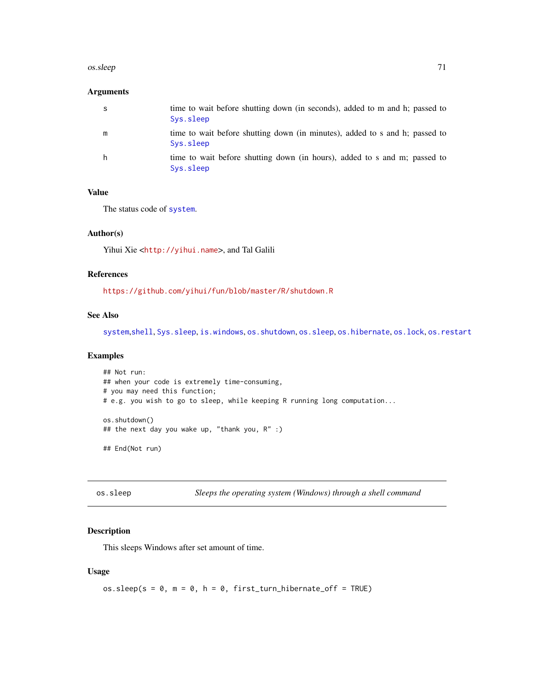#### os.sleep 71

## Arguments

| -S | time to wait before shutting down (in seconds), added to m and h; passed to<br>Sys.sleep |
|----|------------------------------------------------------------------------------------------|
| m  | time to wait before shutting down (in minutes), added to s and h; passed to<br>Sys.sleep |
| h  | time to wait before shutting down (in hours), added to s and m; passed to<br>Sys.sleep   |

# Value

The status code of [system](#page-0-0).

# Author(s)

Yihui Xie <<http://yihui.name>>, and Tal Galili

## References

<https://github.com/yihui/fun/blob/master/R/shutdown.R>

#### See Also

[system](#page-0-0),[shell](#page-0-0), [Sys.sleep](#page-0-0), [is.windows](#page-56-0), [os.shutdown](#page-69-0), [os.sleep](#page-70-0), [os.hibernate](#page-65-1), [os.lock](#page-66-0), [os.restart](#page-68-0)

#### Examples

```
## Not run:
## when your code is extremely time-consuming,
# you may need this function;
# e.g. you wish to go to sleep, while keeping R running long computation...
os.shutdown()
## the next day you wake up, "thank you, R" :)
## End(Not run)
```
<span id="page-70-0"></span>os.sleep *Sleeps the operating system (Windows) through a shell command*

#### Description

This sleeps Windows after set amount of time.

# Usage

os.sleep( $s = 0$ ,  $m = 0$ ,  $h = 0$ , first\_turn\_hibernate\_off = TRUE)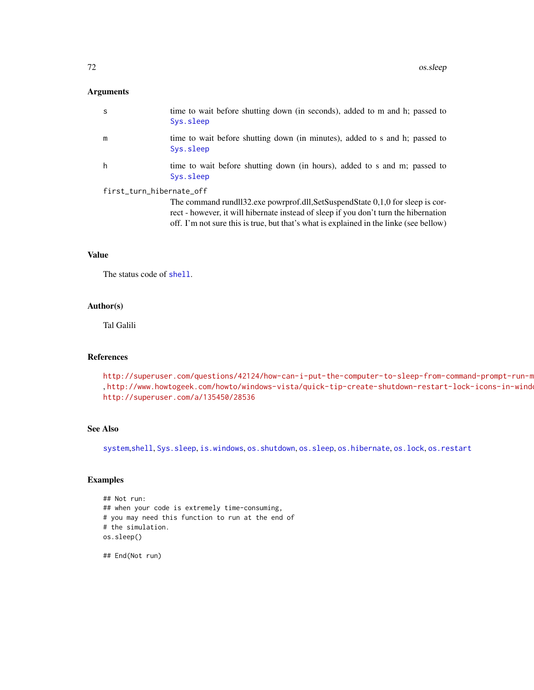#### Arguments

| S                        | time to wait before shutting down (in seconds), added to m and h; passed to<br>Sys.sleep                                                                               |
|--------------------------|------------------------------------------------------------------------------------------------------------------------------------------------------------------------|
| m                        | time to wait before shutting down (in minutes), added to s and h; passed to<br>Sys.sleep                                                                               |
| h                        | time to wait before shutting down (in hours), added to s and m; passed to<br>Sys.sleep                                                                                 |
| first_turn_hibernate_off |                                                                                                                                                                        |
|                          | The command rundll32.exe powrprof.dll, SetSuspendState 0,1,0 for sleep is cor-<br>rect - however, it will hibernate instead of sleep if you don't turn the hibernation |

off. I'm not sure this is true, but that's what is explained in the linke (see bellow)

# Value

The status code of [shell](#page-0-0).

# Author(s)

Tal Galili

# References

http://superuser.com/questions/42124/how-can-i-put-the-computer-to-sleep-from-command-prompt-run-m , <http://www.howtogeek.com/howto/windows-vista/quick-tip-create-shutdown-restart-lock-icons-in-windows-vista/>, <http://superuser.com/a/135450/28536>

# See Also

[system](#page-0-0),[shell](#page-0-0), [Sys.sleep](#page-0-0), [is.windows](#page-56-0), [os.shutdown](#page-69-0), [os.sleep](#page-70-0), [os.hibernate](#page-65-1), [os.lock](#page-66-0), [os.restart](#page-68-0)

# Examples

```
## Not run:
## when your code is extremely time-consuming,
# you may need this function to run at the end of
# the simulation.
os.sleep()
```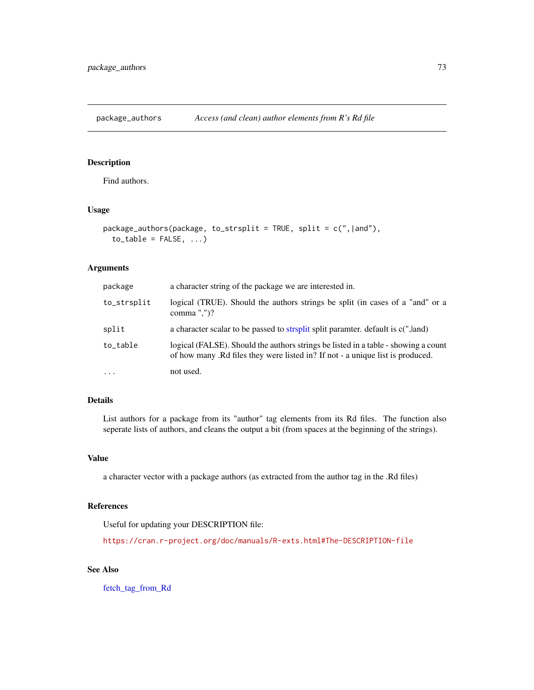<span id="page-72-0"></span>package\_authors *Access (and clean) author elements from R's Rd file*

# Description

Find authors.

#### Usage

```
package_authors(package, to_strsplit = TRUE, split = c(",|and"),
  to\_table = FALSE, ...)
```
## Arguments

| package     | a character string of the package we are interested in.                                                                                                              |
|-------------|----------------------------------------------------------------------------------------------------------------------------------------------------------------------|
| to_strsplit | logical (TRUE). Should the authors strings be split (in cases of a "and" or a<br>comma "," $)$ ?                                                                     |
| split       | a character scalar to be passed to strsplit split paramter. default is c(",land)                                                                                     |
| to_table    | logical (FALSE). Should the authors strings be listed in a table - showing a count<br>of how many. Rd files they were listed in? If not - a unique list is produced. |
| $\cdots$    | not used.                                                                                                                                                            |

#### Details

List authors for a package from its "author" tag elements from its Rd files. The function also seperate lists of authors, and cleans the output a bit (from spaces at the beginning of the strings).

#### Value

a character vector with a package authors (as extracted from the author tag in the .Rd files)

#### References

Useful for updating your DESCRIPTION file:

<https://cran.r-project.org/doc/manuals/R-exts.html#The-DESCRIPTION-file>

## See Also

[fetch\\_tag\\_from\\_Rd](#page-18-0)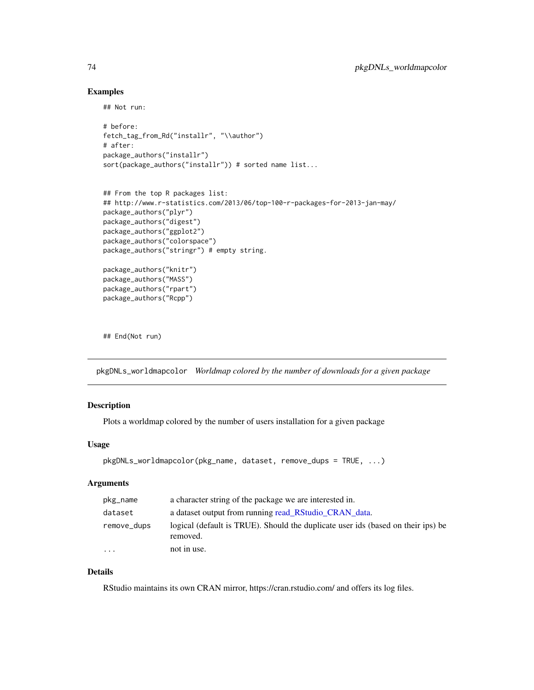#### Examples

## Not run:

```
# before:
fetch_tag_from_Rd("installr", "\\author")
# after:
package_authors("installr")
sort(package_authors("installr")) # sorted name list...
```

```
## From the top R packages list:
## http://www.r-statistics.com/2013/06/top-100-r-packages-for-2013-jan-may/
package_authors("plyr")
package_authors("digest")
package_authors("ggplot2")
package_authors("colorspace")
package_authors("stringr") # empty string.
package_authors("knitr")
```

```
package_authors("MASS")
package_authors("rpart")
package_authors("Rcpp")
```
## End(Not run)

pkgDNLs\_worldmapcolor *Worldmap colored by the number of downloads for a given package*

## Description

Plots a worldmap colored by the number of users installation for a given package

#### Usage

```
pkgDNLs_worldmapcolor(pkg_name, dataset, remove_dups = TRUE, ...)
```
## Arguments

| pkg_name    | a character string of the package we are interested in.                                      |  |
|-------------|----------------------------------------------------------------------------------------------|--|
| dataset     | a dataset output from running read RStudio CRAN data.                                        |  |
| remove_dups | logical (default is TRUE). Should the duplicate user ids (based on their ips) be<br>removed. |  |
| $\cdots$    | not in use.                                                                                  |  |

## Details

RStudio maintains its own CRAN mirror, https://cran.rstudio.com/ and offers its log files.

<span id="page-73-0"></span>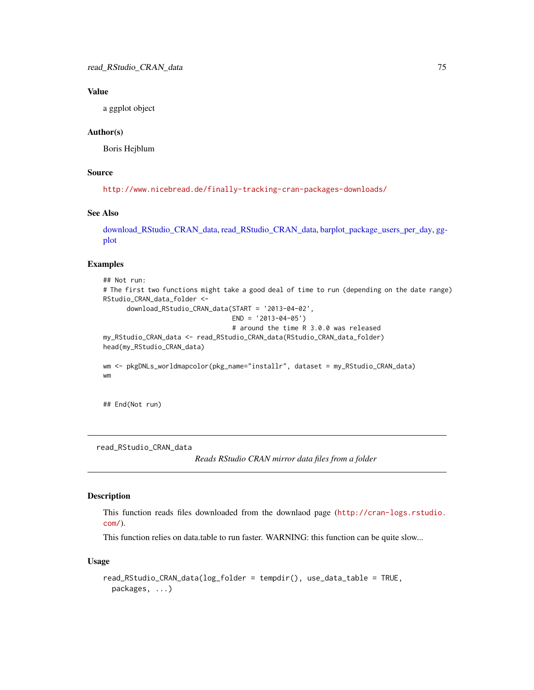#### <span id="page-74-1"></span>Value

a ggplot object

#### Author(s)

Boris Hejblum

#### Source

<http://www.nicebread.de/finally-tracking-cran-packages-downloads/>

## See Also

[download\\_RStudio\\_CRAN\\_data,](#page-16-0) [read\\_RStudio\\_CRAN\\_data,](#page-74-0) [barplot\\_package\\_users\\_per\\_day,](#page-8-0) [gg](#page-0-0)[plot](#page-0-0)

## Examples

```
## Not run:
# The first two functions might take a good deal of time to run (depending on the date range)
RStudio_CRAN_data_folder <-
      download_RStudio_CRAN_data(START = '2013-04-02',
                                 END = '2013-04-05')# around the time R 3.0.0 was released
my_RStudio_CRAN_data <- read_RStudio_CRAN_data(RStudio_CRAN_data_folder)
head(my_RStudio_CRAN_data)
wm <- pkgDNLs_worldmapcolor(pkg_name="installr", dataset = my_RStudio_CRAN_data)
wm
```
## End(Not run)

<span id="page-74-0"></span>read\_RStudio\_CRAN\_data

*Reads RStudio CRAN mirror data files from a folder*

#### Description

This function reads files downloaded from the downlaod page ([http://cran-logs.rstudio.](http://cran-logs.rstudio.com/) [com/](http://cran-logs.rstudio.com/)).

This function relies on data.table to run faster. WARNING: this function can be quite slow...

#### Usage

```
read_RStudio_CRAN_data(log_folder = tempdir(), use_data_table = TRUE,
 packages, ...)
```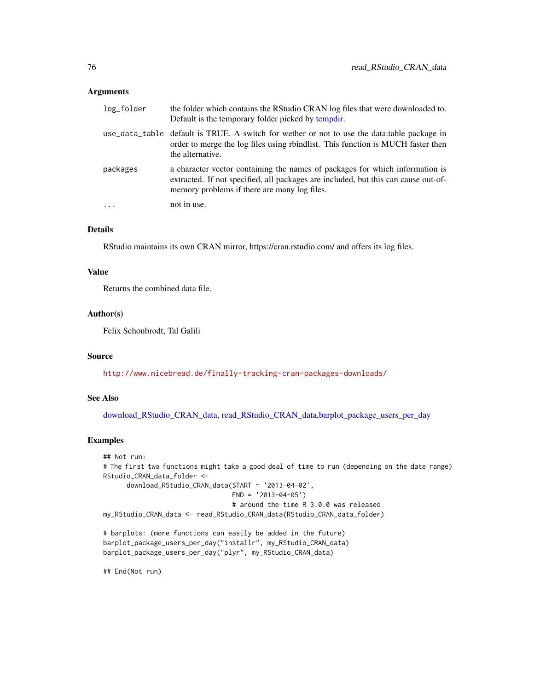#### <span id="page-75-0"></span>Arguments

| log_folder | the folder which contains the RStudio CRAN log files that were downloaded to.<br>Default is the temporary folder picked by tempdir.                                                                                |  |
|------------|--------------------------------------------------------------------------------------------------------------------------------------------------------------------------------------------------------------------|--|
|            | use_data_table default is TRUE. A switch for wether or not to use the data.table package in<br>order to merge the log files using rbindlist. This function is MUCH faster then<br>the alternative.                 |  |
| packages   | a character vector containing the names of packages for which information is<br>extracted. If not specified, all packages are included, but this can cause out-of-<br>memory problems if there are many log files. |  |
|            | not in use.                                                                                                                                                                                                        |  |

## Details

RStudio maintains its own CRAN mirror, https://cran.rstudio.com/ and offers its log files.

#### Value

Returns the combined data file.

#### Author(s)

Felix Schonbrodt, Tal Galili

#### Source

<http://www.nicebread.de/finally-tracking-cran-packages-downloads/>

## See Also

[download\\_RStudio\\_CRAN\\_data,](#page-16-0) [read\\_RStudio\\_CRAN\\_data](#page-74-0)[,barplot\\_package\\_users\\_per\\_day](#page-8-0)

## Examples

```
## Not run:
# The first two functions might take a good deal of time to run (depending on the date range)
RStudio_CRAN_data_folder <-
      download_RStudio_CRAN_data(START = '2013-04-02',
                                 END = '2013-04-05')# around the time R 3.0.0 was released
my_RStudio_CRAN_data <- read_RStudio_CRAN_data(RStudio_CRAN_data_folder)
# barplots: (more functions can easily be added in the future)
```

```
barplot_package_users_per_day("installr", my_RStudio_CRAN_data)
barplot_package_users_per_day("plyr", my_RStudio_CRAN_data)
```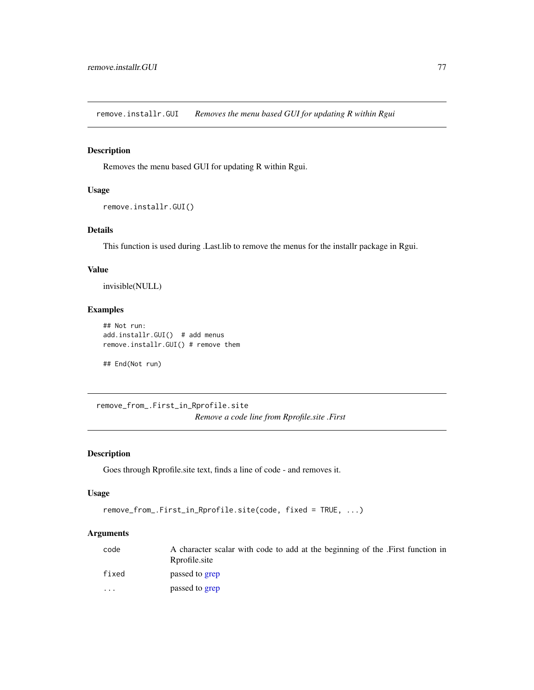<span id="page-76-0"></span>remove.installr.GUI *Removes the menu based GUI for updating R within Rgui*

## Description

Removes the menu based GUI for updating R within Rgui.

# Usage

```
remove.installr.GUI()
```
## Details

This function is used during .Last.lib to remove the menus for the installr package in Rgui.

## Value

invisible(NULL)

## Examples

```
## Not run:
add.installr.GUI() # add menus
remove.installr.GUI() # remove them
```
## End(Not run)

remove\_from\_.First\_in\_Rprofile.site *Remove a code line from Rprofile.site .First*

#### Description

Goes through Rprofile.site text, finds a line of code - and removes it.

## Usage

```
remove_from_.First_in_Rprofile.site(code, fixed = TRUE, ...)
```
#### Arguments

| code                    | A character scalar with code to add at the beginning of the .First function in<br>Rprofile.site |
|-------------------------|-------------------------------------------------------------------------------------------------|
| fixed                   | passed to grep                                                                                  |
| $\cdot$ $\cdot$ $\cdot$ | passed to grep                                                                                  |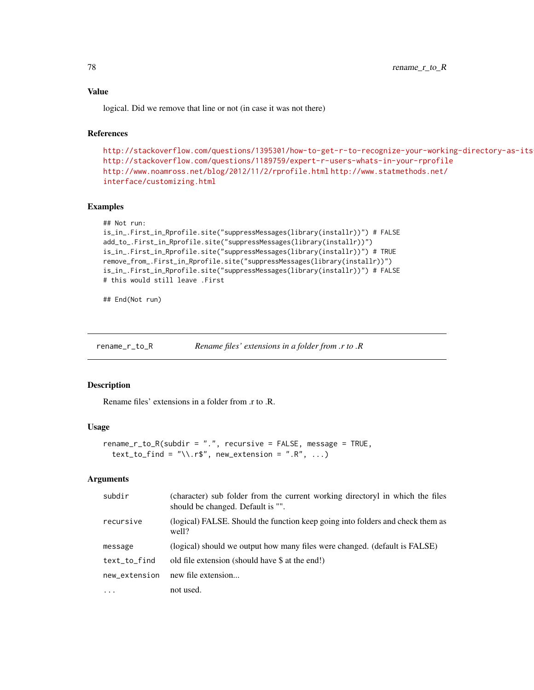## Value

logical. Did we remove that line or not (in case it was not there)

## References

```
http://stackoverflow.com/questions/1395301/how-to-get-r-to-recognize-your-working-directory-as-its-working-directory
http://stackoverflow.com/questions/1189759/expert-r-users-whats-in-your-rprofile
http://www.noamross.net/blog/2012/11/2/rprofile.html http://www.statmethods.net/
interface/customizing.html
```
#### Examples

```
## Not run:
```

```
is_in_.First_in_Rprofile.site("suppressMessages(library(installr))") # FALSE
add_to_.First_in_Rprofile.site("suppressMessages(library(installr))")
is_in_.First_in_Rprofile.site("suppressMessages(library(installr))") # TRUE
remove_from_.First_in_Rprofile.site("suppressMessages(library(installr))")
is_in_.First_in_Rprofile.site("suppressMessages(library(installr))") # FALSE
# this would still leave .First
```
## End(Not run)

rename\_r\_to\_R *Rename files' extensions in a folder from .r to .R*

#### Description

Rename files' extensions in a folder from .r to .R.

#### Usage

```
rename_r_to_R(subdir = ".", recursive = FALSE, message = TRUE,
  text_to_find = "\\.r$", new_ex tension = ".R", ...)
```
# Arguments

| subdir        | (character) sub folder from the current working directoryl in which the files<br>should be changed. Default is "". |
|---------------|--------------------------------------------------------------------------------------------------------------------|
| recursive     | (logical) FALSE. Should the function keep going into folders and check them as<br>well?                            |
| message       | (logical) should we output how many files were changed. (default is FALSE)                                         |
| text_to_find  | old file extension (should have \$ at the end!)                                                                    |
| new_extension | new file extension                                                                                                 |
| $\ddotsc$     | not used.                                                                                                          |

<span id="page-77-0"></span>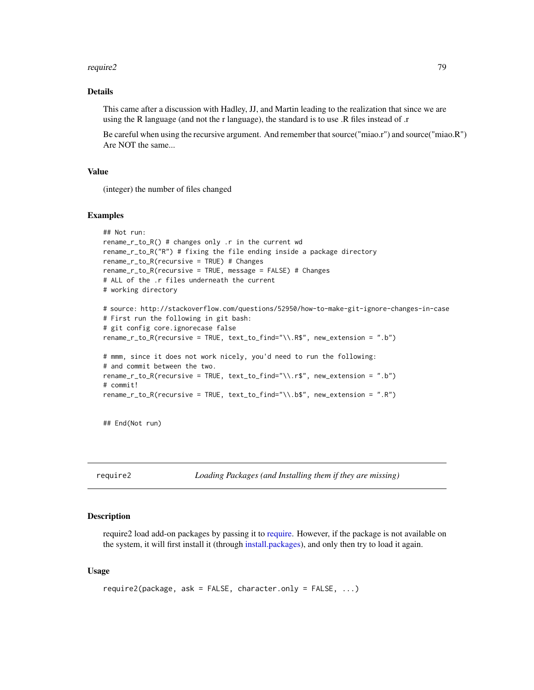#### <span id="page-78-0"></span>require2 79

## Details

This came after a discussion with Hadley, JJ, and Martin leading to the realization that since we are using the R language (and not the r language), the standard is to use .R files instead of .r

Be careful when using the recursive argument. And remember that source("miao.r") and source("miao.R") Are NOT the same...

## Value

(integer) the number of files changed

#### Examples

```
## Not run:
rename_r_to_R() # changes only .r in the current wd
rename_r_to_R("R") # fixing the file ending inside a package directory
rename_r_to_R(recursive = TRUE) # Changes
rename_r_to_R(recursive = TRUE, message = FALSE) # Changes
# ALL of the .r files underneath the current
# working directory
# source: http://stackoverflow.com/questions/52950/how-to-make-git-ignore-changes-in-case
# First run the following in git bash:
# git config core.ignorecase false
rename_r_to_R(recursive = TRUE, text_to_find="\\.R$", new_extension = ".b")
# mmm, since it does not work nicely, you'd need to run the following:
# and commit between the two.
rename_r_to_R(recursive = TRUE, text_to_find="\\.r$", new_extension = ".b")
# commit!
rename_r_to_R(recursive = TRUE, text_to_find="\\.b$", new_extension = ".R")
```
## End(Not run)

require2 *Loading Packages (and Installing them if they are missing)*

#### Description

require2 load add-on packages by passing it to [require.](#page-0-0) However, if the package is not available on the system, it will first install it (through [install.packages\)](#page-0-0), and only then try to load it again.

#### Usage

```
require2(package, ask = FALSE, character.only = FALSE, ...)
```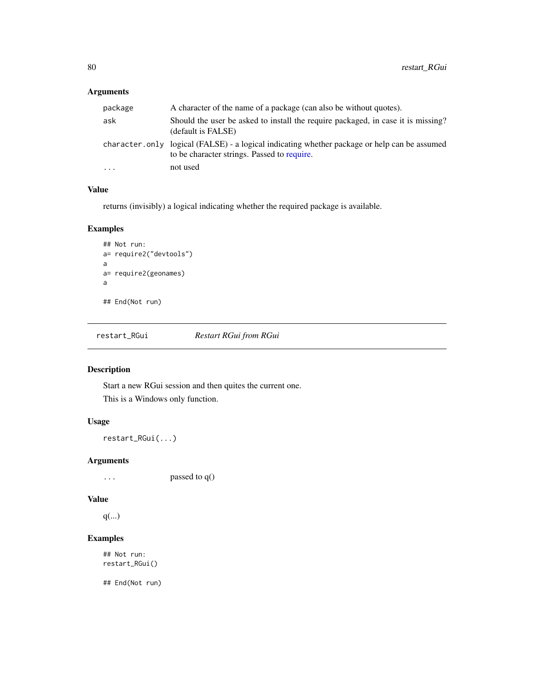# <span id="page-79-0"></span>Arguments

| package | A character of the name of a package (can also be without quotes).                                                                          |  |
|---------|---------------------------------------------------------------------------------------------------------------------------------------------|--|
| ask     | Should the user be asked to install the require packaged, in case it is missing?<br>(default is FALSE)                                      |  |
|         | character.only logical (FALSE) - a logical indicating whether package or help can be assumed<br>to be character strings. Passed to require. |  |
| .       | not used                                                                                                                                    |  |

# Value

returns (invisibly) a logical indicating whether the required package is available.

## Examples

```
## Not run:
a= require2("devtools")
a
a= require2(geonames)
a
## End(Not run)
```
restart\_RGui *Restart RGui from RGui*

# Description

Start a new RGui session and then quites the current one. This is a Windows only function.

# Usage

```
restart_RGui(...)
```
## Arguments

... passed to q()

## Value

q(...)

# Examples

## Not run: restart\_RGui()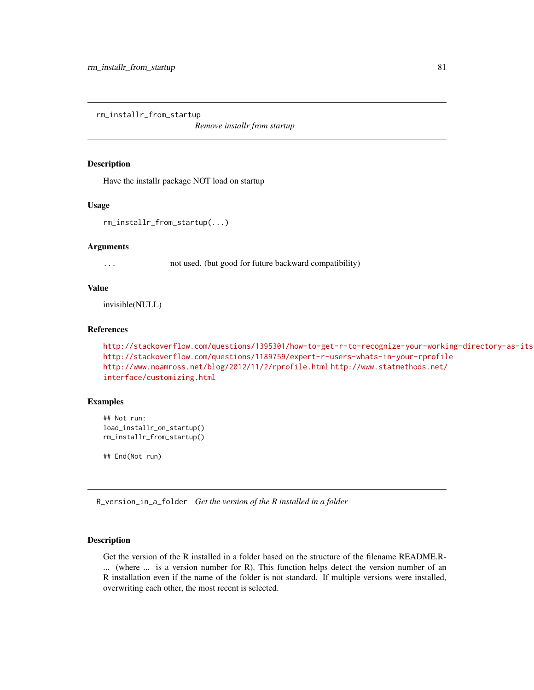<span id="page-80-0"></span>rm\_installr\_from\_startup

*Remove installr from startup*

#### Description

Have the installr package NOT load on startup

#### Usage

rm\_installr\_from\_startup(...)

#### Arguments

... not used. (but good for future backward compatibility)

## Value

invisible(NULL)

#### References

```
http://stackoverflow.com/questions/1395301/how-to-get-r-to-recognize-your-working-directory-as-its-working-directory
http://stackoverflow.com/questions/1189759/expert-r-users-whats-in-your-rprofile
http://www.noamross.net/blog/2012/11/2/rprofile.html http://www.statmethods.net/
interface/customizing.html
```
## Examples

## Not run: load\_installr\_on\_startup() rm\_installr\_from\_startup()

## End(Not run)

R\_version\_in\_a\_folder *Get the version of the R installed in a folder*

#### Description

Get the version of the R installed in a folder based on the structure of the filename README.R- ... (where ... is a version number for R). This function helps detect the version number of an R installation even if the name of the folder is not standard. If multiple versions were installed, overwriting each other, the most recent is selected.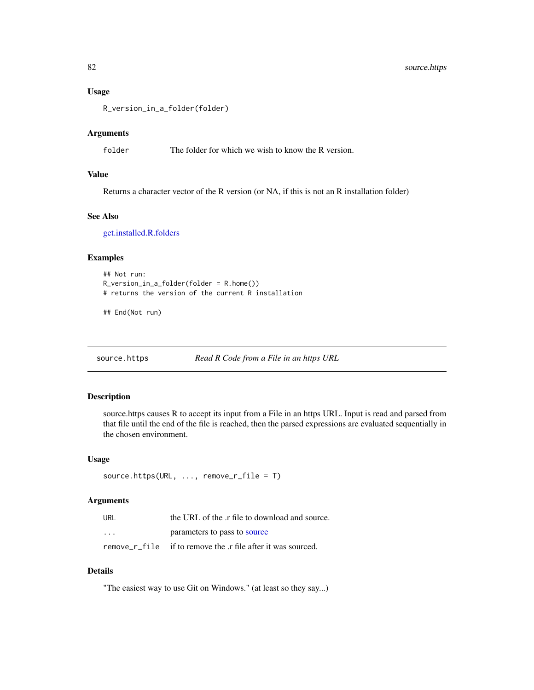#### Usage

R\_version\_in\_a\_folder(folder)

#### Arguments

folder The folder for which we wish to know the R version.

## Value

Returns a character vector of the R version (or NA, if this is not an R installation folder)

#### See Also

[get.installed.R.folders](#page-22-0)

## Examples

```
## Not run:
R_version_in_a_folder(folder = R.home())
# returns the version of the current R installation
```
## End(Not run)

source.https *Read R Code from a File in an https URL*

#### Description

source.https causes R to accept its input from a File in an https URL. Input is read and parsed from that file until the end of the file is reached, then the parsed expressions are evaluated sequentially in the chosen environment.

#### Usage

```
source.https(URL, ..., remove_r_file = T)
```
#### Arguments

| URL     | the URL of the .r file to download and source.              |
|---------|-------------------------------------------------------------|
| $\cdot$ | parameters to pass to source                                |
|         | remove r file if to remove the r file after it was sourced. |

## Details

"The easiest way to use Git on Windows." (at least so they say...)

<span id="page-81-0"></span>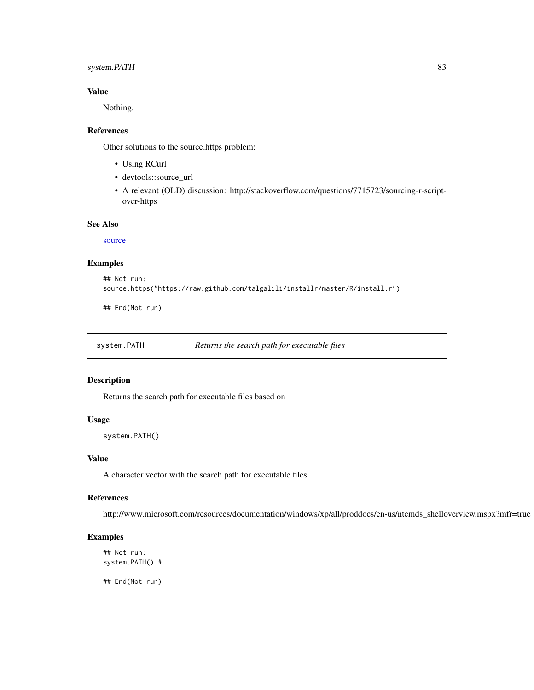## <span id="page-82-0"></span>system.PATH 83

## Value

Nothing.

#### References

Other solutions to the source.https problem:

- Using RCurl
- devtools::source\_url
- A relevant (OLD) discussion: http://stackoverflow.com/questions/7715723/sourcing-r-scriptover-https

## See Also

[source](#page-0-0)

## Examples

```
## Not run:
source.https("https://raw.github.com/talgalili/installr/master/R/install.r")
```
## End(Not run)

system.PATH *Returns the search path for executable files*

## Description

Returns the search path for executable files based on

#### Usage

system.PATH()

## Value

A character vector with the search path for executable files

#### References

http://www.microsoft.com/resources/documentation/windows/xp/all/proddocs/en-us/ntcmds\_shelloverview.mspx?mfr=true

# Examples

## Not run: system.PATH() #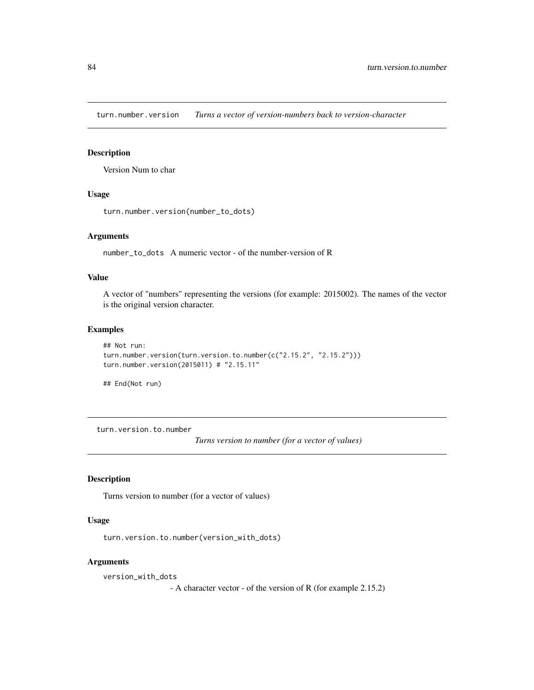<span id="page-83-1"></span>turn.number.version *Turns a vector of version-numbers back to version-character*

# Description

Version Num to char

#### Usage

```
turn.number.version(number_to_dots)
```
## Arguments

number\_to\_dots A numeric vector - of the number-version of R

## Value

A vector of "numbers" representing the versions (for example: 2015002). The names of the vector is the original version character.

#### Examples

```
## Not run:
turn.number.version(turn.version.to.number(c("2.15.2", "2.15.2")))
turn.number.version(2015011) # "2.15.11"
```
## End(Not run)

<span id="page-83-0"></span>turn.version.to.number

*Turns version to number (for a vector of values)*

## Description

Turns version to number (for a vector of values)

#### Usage

turn.version.to.number(version\_with\_dots)

## Arguments

version\_with\_dots

- A character vector - of the version of R (for example 2.15.2)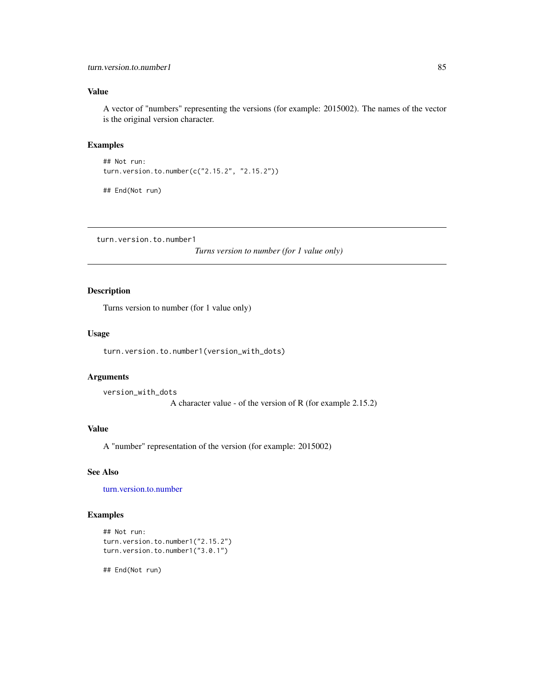# <span id="page-84-0"></span>Value

A vector of "numbers" representing the versions (for example: 2015002). The names of the vector is the original version character.

## Examples

## Not run: turn.version.to.number(c("2.15.2", "2.15.2"))

## End(Not run)

turn.version.to.number1

*Turns version to number (for 1 value only)*

## Description

Turns version to number (for 1 value only)

#### Usage

turn.version.to.number1(version\_with\_dots)

#### Arguments

```
version_with_dots
```
A character value - of the version of R (for example 2.15.2)

# Value

A "number" representation of the version (for example: 2015002)

## See Also

[turn.version.to.number](#page-83-0)

## Examples

```
## Not run:
turn.version.to.number1("2.15.2")
turn.version.to.number1("3.0.1")
```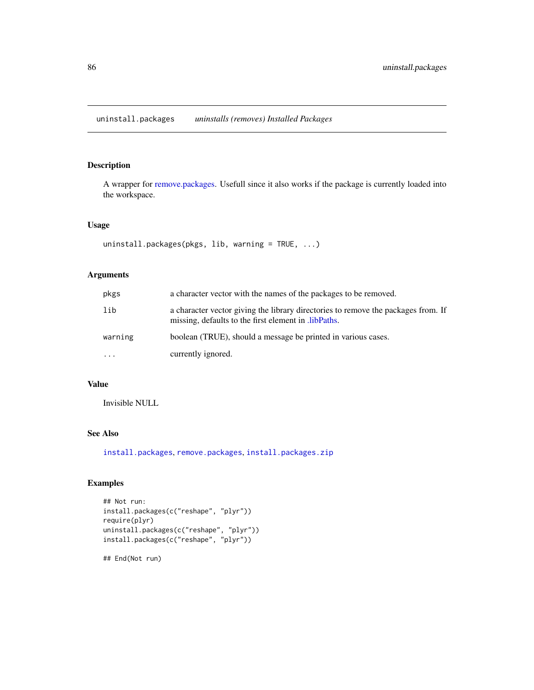<span id="page-85-0"></span>uninstall.packages *uninstalls (removes) Installed Packages*

## Description

A wrapper for [remove.packages.](#page-0-0) Usefull since it also works if the package is currently loaded into the workspace.

#### Usage

```
uninstall.packages(pkgs, lib, warning = TRUE, ...)
```
## Arguments

| pkgs      | a character vector with the names of the packages to be removed.                                                                         |
|-----------|------------------------------------------------------------------------------------------------------------------------------------------|
| lib       | a character vector giving the library directories to remove the packages from. If<br>missing, defaults to the first element in libPaths. |
| warning   | boolean (TRUE), should a message be printed in various cases.                                                                            |
| $\ddotsc$ | currently ignored.                                                                                                                       |

#### Value

Invisible NULL

#### See Also

[install.packages](#page-0-0), [remove.packages](#page-0-0), [install.packages.zip](#page-42-0)

## Examples

```
## Not run:
install.packages(c("reshape", "plyr"))
require(plyr)
uninstall.packages(c("reshape", "plyr"))
install.packages(c("reshape", "plyr"))
```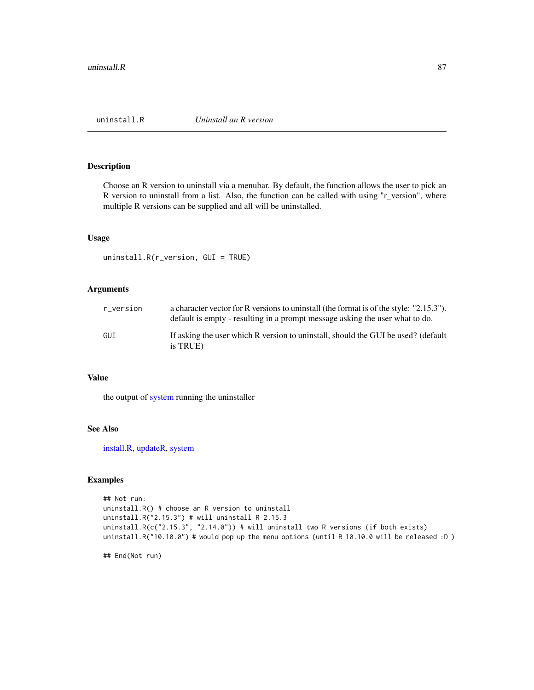<span id="page-86-1"></span><span id="page-86-0"></span>

## Description

Choose an R version to uninstall via a menubar. By default, the function allows the user to pick an R version to uninstall from a list. Also, the function can be called with using "r\_version", where multiple R versions can be supplied and all will be uninstalled.

#### Usage

uninstall.R(r\_version, GUI = TRUE)

#### Arguments

| r version | a character vector for R versions to uninstall (the format is of the style: "2.15.3").<br>default is empty - resulting in a prompt message asking the user what to do. |
|-----------|------------------------------------------------------------------------------------------------------------------------------------------------------------------------|
| GUT       | If asking the user which R version to uninstall, should the GUI be used? (default<br>is TRUE)                                                                          |

#### Value

the output of [system](#page-0-0) running the uninstaller

## See Also

[install.R,](#page-45-0) [updateR,](#page-87-0) [system](#page-0-0)

## Examples

```
## Not run:
uninstall.R() # choose an R version to uninstall
uninstall.R("2.15.3") # will uninstall R 2.15.3
uninstall.R(c("2.15.3", "2.14.0")) # will uninstall two R versions (if both exists)
uninstall.R("10.10.0") # would pop up the menu options (until R 10.10.0 will be released :D )
```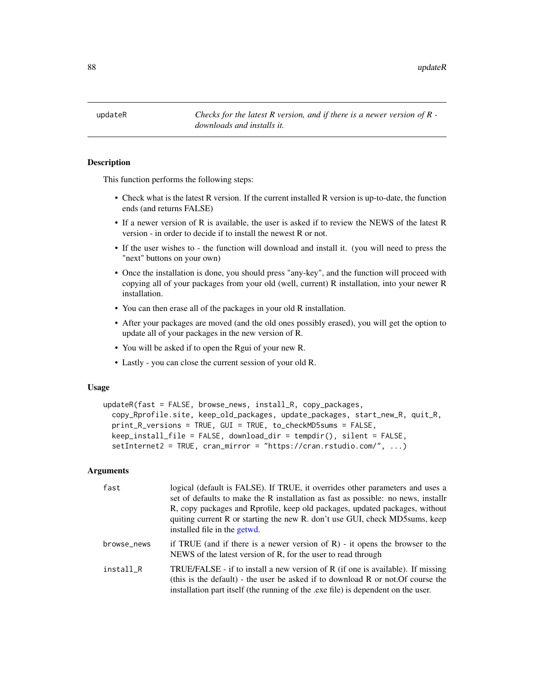<span id="page-87-1"></span>88 updateR and the control of the control of the control of the control of the control of the control of the control of the control of the control of the control of the control of the control of the control of the control

<span id="page-87-0"></span>updateR *Checks for the latest R version, and if there is a newer version of R downloads and installs it.*

## **Description**

This function performs the following steps:

- Check what is the latest R version. If the current installed R version is up-to-date, the function ends (and returns FALSE)
- If a newer version of R is available, the user is asked if to review the NEWS of the latest R version - in order to decide if to install the newest R or not.
- If the user wishes to the function will download and install it. (you will need to press the "next" buttons on your own)
- Once the installation is done, you should press "any-key", and the function will proceed with copying all of your packages from your old (well, current) R installation, into your newer R installation.
- You can then erase all of the packages in your old R installation.
- After your packages are moved (and the old ones possibly erased), you will get the option to update all of your packages in the new version of R.
- You will be asked if to open the Rgui of your new R.
- Lastly you can close the current session of your old R.

#### Usage

```
updateR(fast = FALSE, browse_news, install_R, copy_packages,
  copy_Rprofile.site, keep_old_packages, update_packages, start_new_R, quit_R,
 print_R_versions = TRUE, GUI = TRUE, to_checkMD5sums = FALSE,
 keep_install_file = FALSE, download_dir = tempdir(), silent = FALSE,
  setInternet2 = TRUE, cran_mirror = "https://cran.rstudio.com/", ...)
```
#### Arguments

| fast        | logical (default is FALSE). If TRUE, it overrides other parameters and uses a<br>set of defaults to make the R installation as fast as possible: no news, installr<br>R, copy packages and Rprofile, keep old packages, updated packages, without<br>quiting current R or starting the new R. don't use GUI, check MD5sums, keep<br>installed file in the getwd. |
|-------------|------------------------------------------------------------------------------------------------------------------------------------------------------------------------------------------------------------------------------------------------------------------------------------------------------------------------------------------------------------------|
| browse_news | if TRUE (and if there is a newer version of R) - it opens the browser to the<br>NEWS of the latest version of R, for the user to read through                                                                                                                                                                                                                    |
| install R   | TRUE/FALSE - if to install a new version of R (if one is available). If missing<br>(this is the default) - the user be asked if to download R or not. Of course the<br>installation part itself (the running of the .exe file) is dependent on the user.                                                                                                         |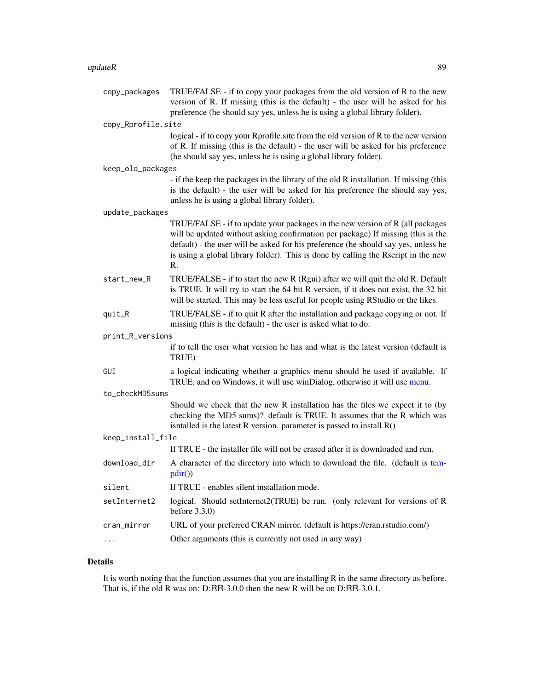#### <span id="page-88-0"></span> $updateR$  and  $89$

| copy_packages      | TRUE/FALSE - if to copy your packages from the old version of R to the new<br>version of R. If missing (this is the default) - the user will be asked for his<br>preference (he should say yes, unless he is using a global library folder).                                                                                                       |
|--------------------|----------------------------------------------------------------------------------------------------------------------------------------------------------------------------------------------------------------------------------------------------------------------------------------------------------------------------------------------------|
| copy_Rprofile.site |                                                                                                                                                                                                                                                                                                                                                    |
|                    | logical - if to copy your Rprofile site from the old version of R to the new version<br>of R. If missing (this is the default) - the user will be asked for his preference<br>(he should say yes, unless he is using a global library folder).                                                                                                     |
| keep_old_packages  |                                                                                                                                                                                                                                                                                                                                                    |
|                    | - if the keep the packages in the library of the old R installation. If missing (this<br>is the default) - the user will be asked for his preference (he should say yes,<br>unless he is using a global library folder).                                                                                                                           |
| update_packages    |                                                                                                                                                                                                                                                                                                                                                    |
|                    | TRUE/FALSE - if to update your packages in the new version of R (all packages<br>will be updated without asking confirmation per package) If missing (this is the<br>default) - the user will be asked for his preference (he should say yes, unless he<br>is using a global library folder). This is done by calling the Rscript in the new<br>R. |
| start_new_R        | TRUE/FALSE - if to start the new R (Rgui) after we will quit the old R. Default<br>is TRUE. It will try to start the 64 bit R version, if it does not exist, the 32 bit<br>will be started. This may be less useful for people using RStudio or the likes.                                                                                         |
| quit_R             | TRUE/FALSE - if to quit R after the installation and package copying or not. If<br>missing (this is the default) - the user is asked what to do.                                                                                                                                                                                                   |
| print_R_versions   |                                                                                                                                                                                                                                                                                                                                                    |
|                    | if to tell the user what version he has and what is the latest version (default is<br>TRUE)                                                                                                                                                                                                                                                        |
| GUI                | a logical indicating whether a graphics menu should be used if available. If<br>TRUE, and on Windows, it will use winDialog, otherwise it will use menu.                                                                                                                                                                                           |
| to_checkMD5sums    |                                                                                                                                                                                                                                                                                                                                                    |
|                    | Should we check that the new R installation has the files we expect it to (by<br>checking the MD5 sums)? default is TRUE. It assumes that the R which was<br>isntalled is the latest R version. parameter is passed to install.R()                                                                                                                 |
| keep_install_file  |                                                                                                                                                                                                                                                                                                                                                    |
|                    | If TRUE - the installer file will not be erased after it is downloaded and run.                                                                                                                                                                                                                                                                    |
| download_dir       | A character of the directory into which to download the file. (default is tem-<br>pdir()                                                                                                                                                                                                                                                           |
| silent             | If TRUE - enables silent installation mode.                                                                                                                                                                                                                                                                                                        |
| setInternet2       | logical. Should setInternet2(TRUE) be run. (only relevant for versions of R<br>before $3.3.0$ )                                                                                                                                                                                                                                                    |
| cran_mirror        | URL of your preferred CRAN mirror. (default is https://cran.rstudio.com/)                                                                                                                                                                                                                                                                          |
| $\ldots$           | Other arguments (this is currently not used in any way)                                                                                                                                                                                                                                                                                            |

# Details

It is worth noting that the function assumes that you are installing R in the same directory as before. That is, if the old R was on: D:RR-3.0.0 then the new R will be on D:RR-3.0.1.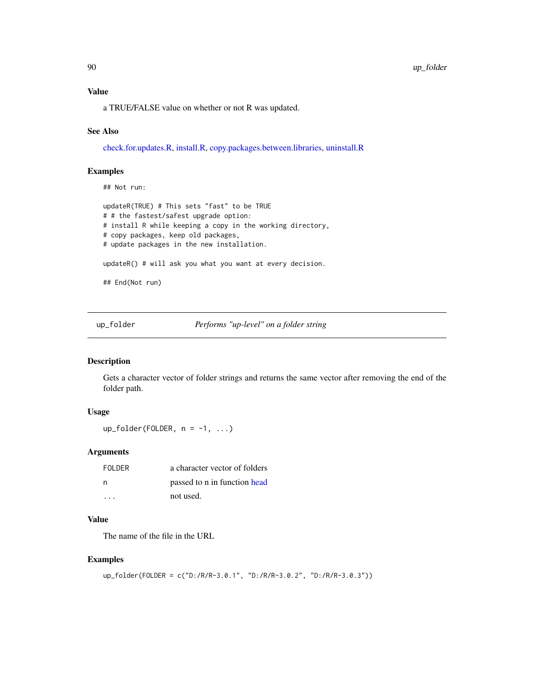#### <span id="page-89-0"></span>Value

a TRUE/FALSE value on whether or not R was updated.

#### See Also

[check.for.updates.R,](#page-10-0) [install.R,](#page-45-0) [copy.packages.between.libraries,](#page-13-0) [uninstall.R](#page-86-0)

## Examples

## Not run:

```
updateR(TRUE) # This sets "fast" to be TRUE
# # the fastest/safest upgrade option:
# install R while keeping a copy in the working directory,
# copy packages, keep old packages,
# update packages in the new installation.
updateR() # will ask you what you want at every decision.
## End(Not run)
```
up\_folder *Performs "up-level" on a folder string*

#### Description

Gets a character vector of folder strings and returns the same vector after removing the end of the folder path.

## Usage

 $up_folder(FOLDER, n = -1, ...)$ 

## Arguments

| FOI DER                 | a character vector of folders |
|-------------------------|-------------------------------|
| - n                     | passed to n in function head  |
| $\cdot$ $\cdot$ $\cdot$ | not used.                     |

#### Value

The name of the file in the URL

## Examples

```
up_folder(FOLDER = c("D:/R/R-3.0.1", "D:/R/R-3.0.2", "D:/R/R-3.0.3"))
```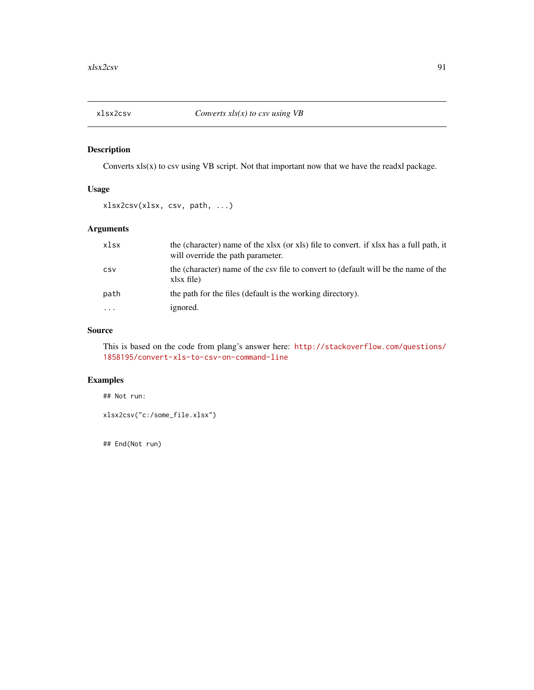<span id="page-90-0"></span>

## Description

Converts  $xls(x)$  to csv using VB script. Not that important now that we have the readxl package.

## Usage

```
xlsx2csv(xlsx, csv, path, ...)
```
## Arguments

| xlsx                    | the (character) name of the xlsx (or xls) file to convert. if xlsx has a full path, it<br>will override the path parameter. |
|-------------------------|-----------------------------------------------------------------------------------------------------------------------------|
| CSV                     | the (character) name of the csy file to convert to (default will be the name of the<br>xlsx file)                           |
| path                    | the path for the files (default is the working directory).                                                                  |
| $\cdot$ $\cdot$ $\cdot$ | ignored.                                                                                                                    |

# Source

This is based on the code from plang's answer here: [http://stackoverflow.com/questions/](http://stackoverflow.com/questions/1858195/convert-xls-to-csv-on-command-line) [1858195/convert-xls-to-csv-on-command-line](http://stackoverflow.com/questions/1858195/convert-xls-to-csv-on-command-line)

#### Examples

## Not run:

```
xlsx2csv("c:/some_file.xlsx")
```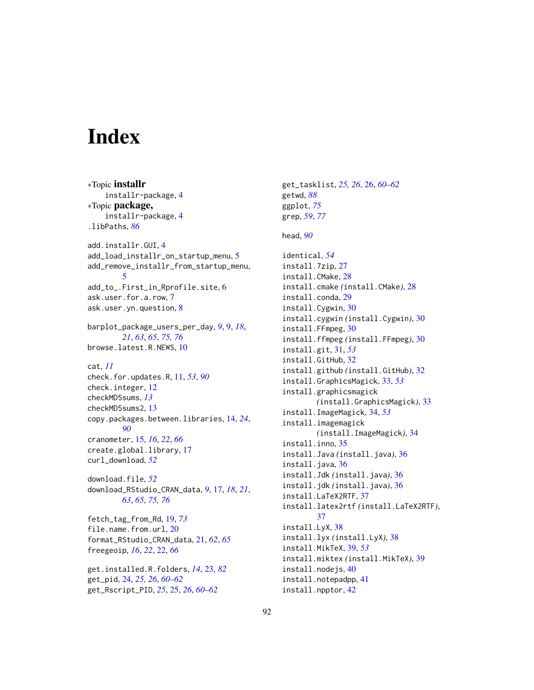# **Index**

∗Topic installr installr-package, [4](#page-3-0) ∗Topic package, installr-package, [4](#page-3-0) .libPaths, *[86](#page-85-0)* add.installr.GUI, [4](#page-3-0) add\_load\_installr\_on\_startup\_menu, [5](#page-4-0) add\_remove\_installr\_from\_startup\_menu, [5](#page-4-0) add\_to\_.First\_in\_Rprofile.site, [6](#page-5-0) ask.user.for.a.row, [7](#page-6-0) ask.user.yn.question, [8](#page-7-0) barplot\_package\_users\_per\_day, *[9](#page-8-1)*, [9,](#page-8-1) *[18](#page-17-0)*, *[21](#page-20-0)*, *[63](#page-62-0)*, *[65](#page-64-0)*, *[75,](#page-74-1) [76](#page-75-0)* browse.latest.R.NEWS, [10](#page-9-0) cat, *[11](#page-10-1)* check.for.updates.R, [11,](#page-10-1) *[53](#page-52-0)*, *[90](#page-89-0)* check.integer, [12](#page-11-0) checkMD5sums, *[13](#page-12-0)* checkMD5sums2, [13](#page-12-0) copy.packages.between.libraries, [14,](#page-13-1) *[24](#page-23-0)*, *[90](#page-89-0)* cranometer, [15,](#page-14-0) *[16](#page-15-0)*, *[22](#page-21-0)*, *[66](#page-65-0)* create.global.library, [17](#page-16-1) curl\_download, *[52](#page-51-0)* download.file, *[52](#page-51-0)* download\_RStudio\_CRAN\_data, *[9](#page-8-1)*, [17,](#page-16-1) *[18](#page-17-0)*, *[21](#page-20-0)*, *[63](#page-62-0)*, *[65](#page-64-0)*, *[75,](#page-74-1) [76](#page-75-0)* fetch\_tag\_from\_Rd, [19,](#page-18-1) *[73](#page-72-0)* file.name.from.url, [20](#page-19-0) format\_RStudio\_CRAN\_data, [21,](#page-20-0) *[62](#page-61-0)*, *[65](#page-64-0)* freegeoip, *[16](#page-15-0)*, *[22](#page-21-0)*, [22,](#page-21-0) *[66](#page-65-0)* get.installed.R.folders, *[14](#page-13-1)*, [23,](#page-22-1) *[82](#page-81-0)* get\_pid, [24,](#page-23-0) *[25,](#page-24-0) [26](#page-25-0)*, *[60–](#page-59-0)[62](#page-61-0)* get\_Rscript\_PID, *[25](#page-24-0)*, [25,](#page-24-0) *[26](#page-25-0)*, *[60–](#page-59-0)[62](#page-61-0)*

get\_tasklist, *[25,](#page-24-0) [26](#page-25-0)*, [26,](#page-25-0) *[60](#page-59-0)[–62](#page-61-0)* getwd, *[88](#page-87-1)* ggplot, *[75](#page-74-1)* grep, *[59](#page-58-0)*, *[77](#page-76-0)* head, *[90](#page-89-0)* identical, *[54](#page-53-0)* install.7zip, [27](#page-26-0) install.CMake, [28](#page-27-0) install.cmake *(*install.CMake*)*, [28](#page-27-0) install.conda, [29](#page-28-0) install.Cygwin, [30](#page-29-0) install.cygwin *(*install.Cygwin*)*, [30](#page-29-0) install.FFmpeg, [30](#page-29-0) install.ffmpeg *(*install.FFmpeg*)*, [30](#page-29-0) install.git, [31,](#page-30-0) *[53](#page-52-0)* install.GitHub, [32](#page-31-0) install.github *(*install.GitHub*)*, [32](#page-31-0) install.GraphicsMagick, [33,](#page-32-0) *[53](#page-52-0)* install.graphicsmagick *(*install.GraphicsMagick*)*, [33](#page-32-0) install.ImageMagick, [34,](#page-33-0) *[53](#page-52-0)* install.imagemagick *(*install.ImageMagick*)*, [34](#page-33-0) install.inno, [35](#page-34-0) install.Java *(*install.java*)*, [36](#page-35-0) install.java, [36](#page-35-0) install.Jdk *(*install.java*)*, [36](#page-35-0) install.jdk *(*install.java*)*, [36](#page-35-0) install.LaTeX2RTF, [37](#page-36-0) install.latex2rtf *(*install.LaTeX2RTF*)*, [37](#page-36-0) install.LyX, [38](#page-37-0) install.lyx *(*install.LyX*)*, [38](#page-37-0) install.MikTeX, [39,](#page-38-0) *[53](#page-52-0)* install.miktex *(*install.MikTeX*)*, [39](#page-38-0) install.nodejs, [40](#page-39-0) install.notepadpp, [41](#page-40-0) install.npptor, [42](#page-41-0)